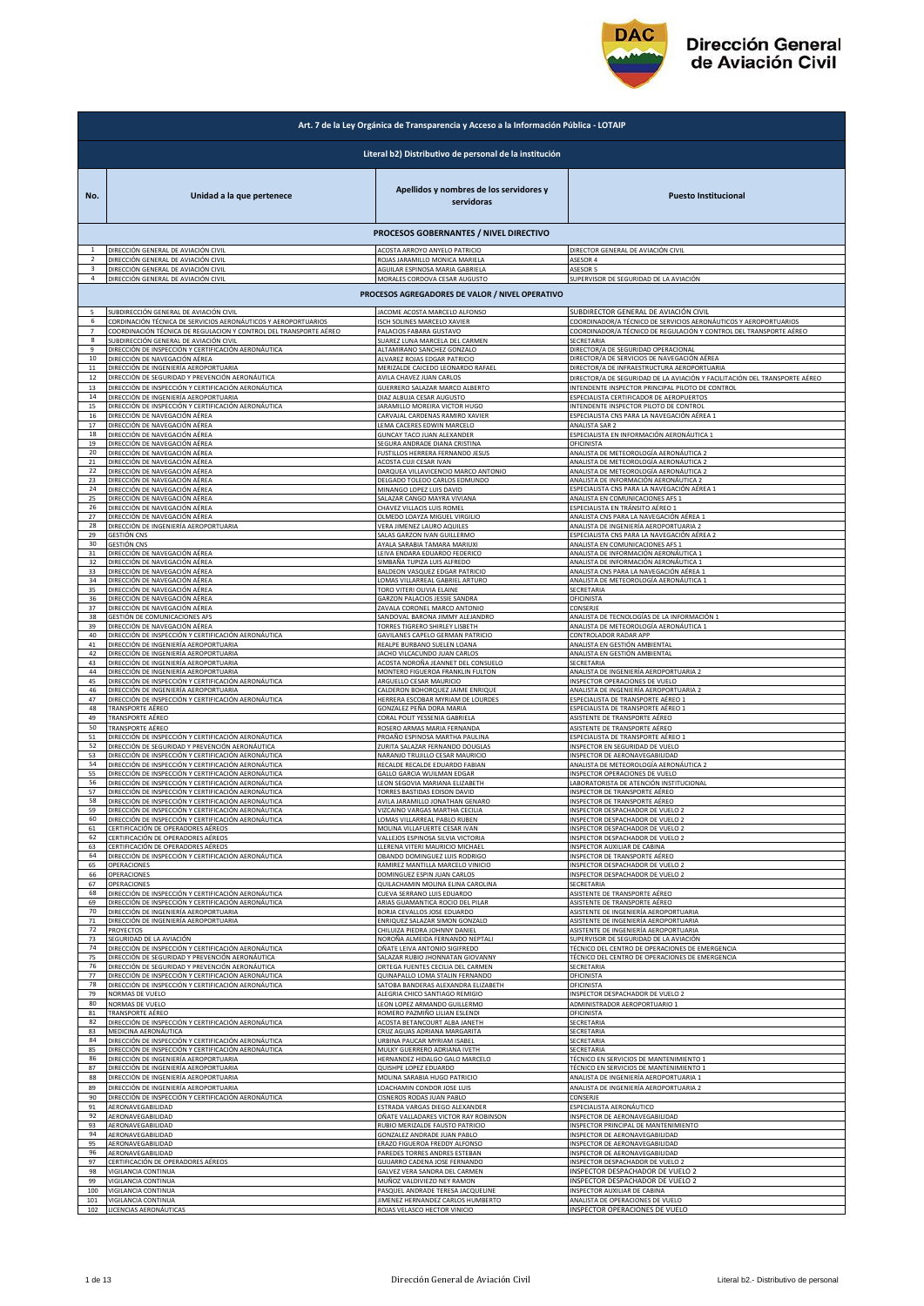

|                         | Art. 7 de la Ley Orgánica de Transparencia y Acceso a la Información Pública - LOTAIP                                           |                                                                                                        |                                                                                                                                |  |
|-------------------------|---------------------------------------------------------------------------------------------------------------------------------|--------------------------------------------------------------------------------------------------------|--------------------------------------------------------------------------------------------------------------------------------|--|
|                         | Literal b2) Distributivo de personal de la institución                                                                          |                                                                                                        |                                                                                                                                |  |
| No.                     | Unidad a la que pertenece                                                                                                       | Apellidos y nombres de los servidores y<br>servidoras                                                  | <b>Puesto Institucional</b>                                                                                                    |  |
|                         |                                                                                                                                 | PROCESOS GOBERNANTES / NIVEL DIRECTIVO                                                                 |                                                                                                                                |  |
| 2                       | DIRECCIÓN GENERAL DE AVIACIÓN CIVIL                                                                                             | ACOSTA ARROYO ANYELO PATRICIO                                                                          | DIRECTOR GENERAL DE AVIACIÓN CIVIL                                                                                             |  |
|                         | DIRECCIÓN GENERAL DE AVIACIÓN CIVIL                                                                                             | ROJAS JARAMILLO MONICA MARIELA                                                                         | ASESOR 4                                                                                                                       |  |
| $\overline{\mathbf{3}}$ | DIRECCIÓN GENERAL DE AVIACIÓN CIVIL                                                                                             | AGUILAR ESPINOSA MARIA GABRIELA                                                                        | ASESOR 5                                                                                                                       |  |
| 4                       | DIRECCIÓN GENERAL DE AVIACIÓN CIVIL                                                                                             | MORALES CORDOVA CESAR AUGUSTO                                                                          | SUPERVISOR DE SEGURIDAD DE LA AVIACIÓN                                                                                         |  |
|                         |                                                                                                                                 | PROCESOS AGREGADORES DE VALOR / NIVEL OPERATIVO                                                        |                                                                                                                                |  |
| 5                       | SUBDIRECCIÓN GENERAL DE AVIACIÓN CIVIL                                                                                          | JACOME ACOSTA MARCELO ALFONSO                                                                          | SUBDIRECTOR GENERAL DE AVIACIÓN CIVIL                                                                                          |  |
| 6                       | CORDINACIÓN TÉCNICA DE SERVICIOS AERONÁUTICOS Y AEROPORTUARIOS                                                                  | ISCH SOLINES MARCELO XAVIER                                                                            | COORDINADOR/A TÉCNICO DE SERVICIOS AERONÁUTICOS Y AEROPORTUARIOS                                                               |  |
| $\overline{7}$          | COORDINACIÓN TÉCNICA DE REGULACION Y CONTROL DEL TRANSPORTE AÉREO                                                               | PALACIOS FABARA GUSTAVO                                                                                | COORDINADOR/A TÉCNICO DE REGULACIÓN Y CONTROL DEL TRANSPORTE AÉREO                                                             |  |
| 8                       | SUBDIRECCIÓN GENERAL DE AVIACIÓN CIVIL                                                                                          | SUAREZ LUNA MARCELA DEL CARMEN                                                                         | SECRETARIA                                                                                                                     |  |
| $\mathbf{q}$            | DIRECCIÓN DE INSPECCIÓN Y CERTIFICACIÓN AERONÁUTICA                                                                             | ALTAMIRANO SANCHEZ GONZALO                                                                             | DIRECTOR/A DE SEGURIDAD OPERACIONAL                                                                                            |  |
| 10                      | DIRECCIÓN DE NAVEGACIÓN AÉREA                                                                                                   | ALVAREZ ROJAS EDGAR PATRICIO                                                                           | DIRECTOR/A DE SERVICIOS DE NAVEGACIÓN AÉREA                                                                                    |  |
| $11\,$                  | DIRECCIÓN DE INGENIERÍA AEROPORTUARIA                                                                                           | MERIZALDE CAICEDO LEONARDO RAFAEL                                                                      | DIRECTOR/A DE INFRAESTRUCTURA AEROPORTUARIA                                                                                    |  |
| $12\,$                  | DIRECCIÓN DE SEGURIDAD Y PREVENCIÓN AERONÁUTICA                                                                                 | AVILA CHAVEZ JUAN CARLOS                                                                               | DIRECTOR/A DE SEGURIDAD DE LA AVIACIÓN Y FACILITACIÓN DEL TRANSPORTE AÉREO                                                     |  |
| 13                      | DIRECCIÓN DE INSPECCIÓN Y CERTIFICACIÓN AERONÁUTICA                                                                             | GUERRERO SALAZAR MARCO ALBERTO                                                                         | INTENDENTE INSPECTOR PRINCIPAL PILOTO DE CONTROL                                                                               |  |
| 14                      | DIRECCIÓN DE INGENIERÍA AEROPORTUARIA                                                                                           | DIAZ ALBUJA CESAR AUGUSTO                                                                              | ESPECIALISTA CERTIFICADOR DE AEROPUERTOS                                                                                       |  |
| 15                      | DIRECCIÓN DE INSPECCIÓN Y CERTIFICACIÓN AERONÁUTICA                                                                             | JARAMILLO MOREIRA VICTOR HUGO                                                                          | INTENDENTE INSPECTOR PILOTO DE CONTROL                                                                                         |  |
| 16                      | DIRECCIÓN DE NAVEGACIÓN AÉREA                                                                                                   | CARVAJAL CARDENAS RAMIRO XAVIER                                                                        | ESPECIALISTA CNS PARA LA NAVEGACIÓN AÉREA 1                                                                                    |  |
| 17                      | DIRECCIÓN DE NAVEGACIÓN AÉREA                                                                                                   | LEMA CACERES EDWIN MARCELO                                                                             | ANALISTA SAR 2                                                                                                                 |  |
| 18                      | DIRECCIÓN DE NAVEGACIÓN AÉREA                                                                                                   | GUNCAY TACO JUAN ALEXANDER                                                                             | ESPECIALISTA EN INFORMACIÓN AERONÁUTICA 1                                                                                      |  |
| 19                      | DIRECCIÓN DE NAVEGACIÓN AÉREA                                                                                                   | SEGURA ANDRADE DIANA CRISTINA                                                                          | OFICINISTA                                                                                                                     |  |
| 20                      | DIRECCIÓN DE NAVEGACIÓN AÉREA                                                                                                   | FUSTILLOS HERRERA FERNANDO JESUS                                                                       | ANALISTA DE METEOROLOGÍA AERONÁUTICA 2                                                                                         |  |
| 21                      | DIRECCIÓN DE NAVEGACIÓN AÉREA                                                                                                   | ACOSTA CUJI CESAR IVAN                                                                                 | ANALISTA DE METEOROLOGÍA AERONÁUTICA 2                                                                                         |  |
| 22                      | DIRECCIÓN DE NAVEGACIÓN AÉREA                                                                                                   | DARQUEA VILLAVICENCIO MARCO ANTONIO                                                                    | ANALISTA DE METEOROLOGÍA AERONÁUTICA 2                                                                                         |  |
| 23                      | DIRECCIÓN DE NAVEGACIÓN AÉREA                                                                                                   | DELGADO TOLEDO CARLOS EDMUNDO                                                                          | ANALISTA DE INFORMACIÓN AERONÁUTICA 2                                                                                          |  |
| 24                      | DIRECCIÓN DE NAVEGACIÓN AÉREA                                                                                                   | MINANGO LOPEZ LUIS DAVID                                                                               | ESPECIALISTA CNS PARA LA NAVEGACIÓN AÉREA 1                                                                                    |  |
| 25                      | DIRECCIÓN DE NAVEGACIÓN AÉREA                                                                                                   | SALAZAR CANGO MAYRA VIVIANA                                                                            | ANALISTA EN COMUNICACIONES AFS 1                                                                                               |  |
| 26                      | DIRECCIÓN DE NAVEGACIÓN AÉREA                                                                                                   | CHAVEZ VILLACIS LUIS ROMEL                                                                             | ESPECIALISTA EN TRÁNSITO AÉREO 1                                                                                               |  |
| 27                      | DIRECCIÓN DE NAVEGACIÓN AÉREA                                                                                                   | OLMEDO LOAYZA MIGUEL VIRGILIO                                                                          | ANALISTA CNS PARA LA NAVEGACIÓN AÉREA 1                                                                                        |  |
| 28                      | DIRECCIÓN DE INGENIERÍA AEROPORTUARIA                                                                                           | VERA JIMENEZ LAURO AQUILES                                                                             | ANALISTA DE INGENIERÍA AEROPORTUARIA 2                                                                                         |  |
| 29                      | <b>GESTIÓN CNS</b>                                                                                                              | SALAS GARZON IVAN GUILLERMO                                                                            | ESPECIALISTA CNS PARA LA NAVEGACIÓN AÉREA 2                                                                                    |  |
| 30                      | <b>GESTIÓN CNS</b>                                                                                                              | AYALA SARABIA TAMARA MARIUXI                                                                           | ANALISTA EN COMUNICACIONES AFS 1                                                                                               |  |
| 31                      | DIRECCIÓN DE NAVEGACIÓN AÉREA                                                                                                   | LEIVA ENDARA EDUARDO FEDERICO                                                                          | ANALISTA DE INFORMACIÓN AERONÁUTICA 1                                                                                          |  |
| 32                      | DIRECCIÓN DE NAVEGACIÓN AÉREA                                                                                                   | SIMBAÑA TUPIZA LUIS ALFREDO                                                                            | ANALISTA DE INFORMACIÓN AERONÁUTICA 1                                                                                          |  |
| 33                      | DIRECCIÓN DE NAVEGACIÓN AÉREA                                                                                                   | BALDEON VASQUEZ EDGAR PATRICIO                                                                         | ANALISTA CNS PARA LA NAVEGACIÓN AÉREA 1                                                                                        |  |
| 34                      | DIRECCIÓN DE NAVEGACIÓN AÉREA                                                                                                   | LOMAS VILLARREAL GABRIEL ARTURO                                                                        | ANALISTA DE METEOROLOGÍA AERONÁUTICA 1                                                                                         |  |
| 35                      | DIRECCIÓN DE NAVEGACIÓN AÉREA                                                                                                   | <b>TORO VITERI OLIVIA ELAINE</b>                                                                       | SECRETARIA                                                                                                                     |  |
| 36                      | DIRECCIÓN DE NAVEGACIÓN AÉREA                                                                                                   | GARZON PALACIOS JESSIE SANDRA                                                                          | OFICINISTA                                                                                                                     |  |
| 37                      | DIRECCIÓN DE NAVEGACIÓN AÉREA                                                                                                   | ZAVALA CORONEL MARCO ANTONIO                                                                           | CONSERJE                                                                                                                       |  |
| 38                      | GESTIÓN DE COMUNICACIONES AFS                                                                                                   | SANDOVAL BARONA JIMMY ALEJANDRO                                                                        | ANALISTA DE TECNOLOGÍAS DE LA INFORMACIÓN 1                                                                                    |  |
| 39                      | DIRECCIÓN DE NAVEGACIÓN AÉREA                                                                                                   | TORRES TIGRERO SHIRLEY LISBETH                                                                         | ANALISTA DE METEOROLOGÍA AERONÁUTICA 1                                                                                         |  |
| 40                      | DIRECCIÓN DE INSPECCIÓN Y CERTIFICACIÓN AERONÁUTICA                                                                             | GAVILANES CAPELO GERMAN PATRICIO                                                                       | CONTROLADOR RADAR APP                                                                                                          |  |
| 41                      | DIRECCIÓN DE INGENIERÍA AEROPORTUARIA                                                                                           | REALPE BURBANO SUELEN LOANA                                                                            | ANALISTA EN GESTIÓN AMBIENTAL                                                                                                  |  |
| 42                      | DIRECCIÓN DE INGENIERÍA AEROPORTUARIA                                                                                           | JACHO VILCACUNDO JUAN CARLOS                                                                           | ANALISTA EN GESTIÓN AMBIENTAL                                                                                                  |  |
| 43                      | DIRECCIÓN DE INGENIERÍA AEROPORTUARIA                                                                                           | ACOSTA NOROÑA JEANNET DEL CONSUELO                                                                     | SECRETARIA                                                                                                                     |  |
| 44                      | DIRECCIÓN DE INGENIERÍA AEROPORTUARIA                                                                                           | MONTERO FIGUEROA FRANKLIN FULTON                                                                       | ANALISTA DE INGENIERÍA AEROPORTUARIA 2                                                                                         |  |
| 45                      | DIRECCIÓN DE INSPECCIÓN Y CERTIFICACIÓN AERONÁUTICA                                                                             | ARGUELLO CESAR MAURICIO                                                                                | INSPECTOR OPERACIONES DE VUELO                                                                                                 |  |
| 46                      | DIRECCIÓN DE INGENIERÍA AEROPORTUARIA                                                                                           | CALDERON BOHORQUEZ JAIME ENRIQUE                                                                       | ANALISTA DE INGENIERÍA AEROPORTUARIA 2                                                                                         |  |
| 47                      | DIRECCIÓN DE INSPECCIÓN Y CERTIFICACIÓN AERONÁUTICA                                                                             | HERRERA ESCOBAR MYRIAM DE LOURDES                                                                      | SPECIALISTA DE TRANSPORTE AÉREO :                                                                                              |  |
| 48                      | TRANSPORTE AÉREO                                                                                                                | GONZALEZ PEÑA DORA MARIA                                                                               | ESPECIALISTA DE TRANSPORTE AÉREO 1                                                                                             |  |
| 49                      | TRANSPORTE AÉREO                                                                                                                | CORAL POLIT YESSENIA GABRIELA                                                                          | ASISTENTE DE TRANSPORTE AÉREO                                                                                                  |  |
| 50                      | TRANSPORTE AÉREO                                                                                                                | ROSERO ARMAS MARIA FERNANDA                                                                            | ASISTENTE DE TRANSPORTE AÉREO                                                                                                  |  |
| 51                      | DIRECCIÓN DE INSPECCIÓN Y CERTIFICACIÓN AERONÁUTICA                                                                             | PROAÑO ESPINOSA MARTHA PAULINA                                                                         | ESPECIALISTA DE TRANSPORTE AÉREO 1                                                                                             |  |
| 52                      | DIRECCIÓN DE SEGURIDAD Y PREVENCIÓN AERONÁUTICA                                                                                 | ZURITA SALAZAR FERNANDO DOUGLAS                                                                        | INSPECTOR EN SEGURIDAD DE VUELO                                                                                                |  |
| 53                      | DIRECCIÓN DE INSPECCIÓN Y CERTIFICACIÓN AERONÁUTICA                                                                             | NARANJO TRUJILLO CESAR MAURICIO                                                                        | INSPECTOR DE AERONAVEGABILIDAD                                                                                                 |  |
| 54                      | DIRECCIÓN DE INSPECCIÓN Y CERTIFICACIÓN AERONÁUTICA                                                                             | RECALDE RECALDE EDUARDO FABIAN                                                                         | ANALISTA DE METEOROLOGÍA AERONÁUTICA 2                                                                                         |  |
| 55                      | DIRECCIÓN DE INSPECCIÓN Y CERTIFICACIÓN AERONÁUTICA                                                                             | GALLO GARCIA WUILMAN EDGAR                                                                             | INSPECTOR OPERACIONES DE VUELO                                                                                                 |  |
| 56                      | DIRECCIÓN DE INSPECCIÓN Y CERTIFICACIÓN AERONÁUTICA                                                                             | <b>EON SEGOVIA MARIANA ELIZABETH</b>                                                                   | LABORATORISTA DE ATENCIÓN INSTITUCIONAL                                                                                        |  |
| 57                      | DIRECCIÓN DE INSPECCIÓN Y CERTIFICACIÓN AERONÁUTICA                                                                             | TORRES BASTIDAS EDISON DAVID                                                                           | INSPECTOR DE TRANSPORTE AÉREO                                                                                                  |  |
| 58                      | DIRECCIÓN DE INSPECCIÓN Y CERTIFICACIÓN AERONÁUTICA                                                                             | AVILA JARAMILLO JONATHAN GENARO                                                                        | INSPECTOR DE TRANSPORTE AÉREO                                                                                                  |  |
|                         | DIRECCIÓN DE INSPECCIÓN Y CERTIFICACIÓN AERONÁUTICA                                                                             | VIZCAINO VARGAS MARTHA CECILIA                                                                         | INSPECTOR DESPACHADOR DE VUELO 2                                                                                               |  |
| 60                      | DIRECCIÓN DE INSPECCIÓN Y CERTIFICACIÓN AERONÁUTICA                                                                             | LOMAS VILLARREAL PABLO RUBEN                                                                           | INSPECTOR DESPACHADOR DE VUELO 2                                                                                               |  |
| 61                      | CERTIFICACIÓN DE OPERADORES AÉREOS                                                                                              | MOLINA VILLAFUERTE CESAR IVAN                                                                          | INSPECTOR DESPACHADOR DE VUELO 2                                                                                               |  |
| 62<br>63                | CERTIFICACIÓN DE OPERADORES AÉREOS<br>CERTIFICACIÓN DE OPERADORES AÉREOS<br>DIRECCIÓN DE INSPECCIÓN Y CERTIFICACIÓN AERONÁUTICA | VALLEJOS ESPINOSA SILVIA VICTORIA<br>LLERENA VITERI MAURICIO MICHAEL                                   | INSPECTOR DESPACHADOR DE VUELO 2<br>INSPECTOR AUXILIAR DE CABINA                                                               |  |
| 64<br>65                | OPERACIONES<br>OPERACIONES                                                                                                      | OBANDO DOMINGUEZ LUIS RODRIGO<br>RAMIREZ MANTILLA MARCELO VINICIO<br>DOMINGUEZ ESPIN JUAN CARLOS       | INSPECTOR DE TRANSPORTE AÉREO<br>INSPECTOR DESPACHADOR DE VUELO 2<br>INSPECTOR DESPACHADOR DE VUELO 2                          |  |
| 66<br>67                | OPERACIONES                                                                                                                     | QUILACHAMIN MOLINA ELINA CAROLINA                                                                      | SECRETARIA<br>ASISTENTE DE TRANSPORTE AÉREO                                                                                    |  |
| 68                      | DIRECCIÓN DE INSPECCIÓN Y CERTIFICACIÓN AERONÁUTICA                                                                             | CUEVA SERRANO LUIS EDUARDO                                                                             | ASISTENTE DE TRANSPORTE AÉREO                                                                                                  |  |
| 69                      | DIRECCIÓN DE INSPECCIÓN Y CERTIFICACIÓN AERONÁUTICA                                                                             | ARIAS GUAMANTICA ROCIO DEL PILAR                                                                       |                                                                                                                                |  |
| 70                      | DIRECCIÓN DE INGENIERÍA AEROPORTUARIA                                                                                           | BORJA CEVALLOS JOSE EDUARDO                                                                            | ASISTENTE DE INGENIERÍA AEROPORTUARIA                                                                                          |  |
| 71                      | DIRECCIÓN DE INGENIERÍA AEROPORTUARIA                                                                                           | ENRIQUEZ SALAZAR SIMON GONZALO                                                                         | ASISTENTE DE INGENIERÍA AEROPORTUARIA                                                                                          |  |
| 72<br>73<br>74          | PROYECTOS<br>SEGURIDAD DE LA AVIACIÓN<br>DIRECCIÓN DE INSPECCIÓN Y CERTIFICACIÓN AERONÁUTICA                                    | CHILUIZA PIEDRA JOHNNY DANIEL<br>NOROÑA ALMEIDA FERNANDO NEPTALI                                       | ASISTENTE DE INGENIERÍA AEROPORTUARIA<br>SUPERVISOR DE SEGURIDAD DE LA AVIACIÓN                                                |  |
| 75<br>76                | DIRECCIÓN DE SEGURIDAD Y PREVENCIÓN AERONÁUTICA<br>DIRECCIÓN DE SEGURIDAD Y PREVENCIÓN AERONÁUTICA                              | OÑATE LEIVA ANTONIO SIGIFREDO<br>SALAZAR RUBIO JHONNATAN GIOVANNY<br>ORTEGA FUENTES CECILIA DEL CARMEN | <b>IÉCNICO DEL CENTRO DE OPERACIONES DE EMERGENCIA</b><br><b>IÉCNICO DEL CENTRO DE OPERACIONES DE EMERGENCIA</b><br>SECRETARIA |  |
| 77                      | DIRECCIÓN DE INSPECCIÓN Y CERTIFICACIÓN AERONÁUTICA                                                                             | QUINAPALLO LOMA STALIN FERNANDO                                                                        | DFICINISTA                                                                                                                     |  |
| 78                      |                                                                                                                                 | <b>SATOBA BANDERAS ALEXANDRA ELIZABETH</b>                                                             | OFICINISTA                                                                                                                     |  |
| 79                      | DIRECCIÓN DE INSPECCIÓN Y CERTIFICACIÓN AERONÁUTICA<br>NORMAS DE VUELO<br>NORMAS DE VUELO                                       | ALEGRIA CHICO SANTIAGO REMIGIO                                                                         | NSPECTOR DESPACHADOR DE VUELO 2<br>ADMINISTRADOR AEROPORTUARIO 1                                                               |  |
| 80<br>81                | TRANSPORTE AÉREO                                                                                                                | LEON LOPEZ ARMANDO GUILLERMO<br>ROMERO PAZMIÑO LILIAN ESLENDI                                          | DFICINISTA                                                                                                                     |  |
| 82                      | DIRECCIÓN DE INSPECCIÓN Y CERTIFICACIÓN AERONÁUTICA                                                                             | <b>ACOSTA BETANCOURT ALBA JANETH</b>                                                                   | ECRETARIA                                                                                                                      |  |
| 83                      | MEDICINA AERONÁUTICA                                                                                                            | CRUZ AGUAS ADRIANA MARGARITA                                                                           | ECRETARIA                                                                                                                      |  |
| 84                      | DIRECCIÓN DE INSPECCIÓN Y CERTIFICACIÓN AERONÁUTICA                                                                             | JRBINA PAUCAR MYRIAM ISABEL                                                                            | SECRETARIA                                                                                                                     |  |
| 85                      | DIRECCIÓN DE INSPECCIÓN Y CERTIFICACIÓN AERONÁUTICA                                                                             | MULKY GUERRERO ADRIANA IVETH                                                                           | ECRETARIA                                                                                                                      |  |
| 86                      | DIRECCIÓN DE INGENIERÍA AEROPORTUARIA                                                                                           | HERNANDEZ HIDALGO GALO MARCELO                                                                         | TÉCNICO EN SERVICIOS DE MANTENIMIENTO 1                                                                                        |  |
| 87                      | DIRECCIÓN DE INGENIERÍA AEROPORTUARIA                                                                                           | QUISHPE LOPEZ EDUARDO                                                                                  | TÉCNICO EN SERVICIOS DE MANTENIMIENTO 1                                                                                        |  |
| 88                      | DIRECCIÓN DE INGENIERÍA AEROPORTUARIA                                                                                           | MOLINA SARABIA HUGO PATRICIO                                                                           | ANALISTA DE INGENIERÍA AEROPORTUARIA 1                                                                                         |  |
| 89                      | DIRECCIÓN DE INGENIERÍA AEROPORTUARIA                                                                                           | LOACHAMIN CONDOR JOSE LUIS                                                                             | ANALISTA DE INGENIERÍA AEROPORTUARIA 2                                                                                         |  |
| 90                      | DIRECCIÓN DE INSPECCIÓN Y CERTIFICACIÓN AERONÁUTICA                                                                             | CISNEROS RODAS JUAN PABLO                                                                              | CONSERJE                                                                                                                       |  |
| 91                      | AERONAVEGABILIDAD                                                                                                               | ESTRADA VARGAS DIEGO ALEXANDER                                                                         | ESPECIALISTA AERONÁUTICO                                                                                                       |  |
| 92                      | AERONAVEGABILIDAD                                                                                                               | OÑATE VALLADARES VICTOR RAY ROBINSON                                                                   | INSPECTOR DE AERONAVEGABILIDAD                                                                                                 |  |
| 93                      | AERONAVEGABILIDAD                                                                                                               | RUBIO MERIZALDE FAUSTO PATRICIO                                                                        | INSPECTOR PRINCIPAL DE MANTENIMIENTO                                                                                           |  |
| 94                      | AERONAVEGABILIDAD                                                                                                               | GONZALEZ ANDRADE JUAN PABLO                                                                            | INSPECTOR DE AERONAVEGABILIDAD                                                                                                 |  |
| 95                      | AERONAVEGABILIDAD                                                                                                               | ERAZO FIGUEROA FREDDY ALFONSO                                                                          | INSPECTOR DE AERONAVEGABILIDAD                                                                                                 |  |
| 96                      | AERONAVEGABILIDAD                                                                                                               | PAREDES TORRES ANDRES ESTEBAN                                                                          | INSPECTOR DE AERONAVEGABILIDAD                                                                                                 |  |
| 97                      | CERTIFICACIÓN DE OPERADORES AÉREOS                                                                                              | GUIJARRO CADENA JOSE FERNANDO                                                                          | INSPECTOR DESPACHADOR DE VUELO 2                                                                                               |  |
| 98                      | VIGILANCIA CONTINUA                                                                                                             | GALVEZ VERA SANDRA DEL CARMEN                                                                          | INSPECTOR DESPACHADOR DE VUELO 2                                                                                               |  |
| 99                      | VIGILANCIA CONTINUA                                                                                                             | MUÑOZ VALDIVIEZO NEY RAMON                                                                             | INSPECTOR DESPACHADOR DE VUELO 2                                                                                               |  |
| 100                     | VIGILANCIA CONTINUA                                                                                                             | PASQUEL ANDRADE TERESA JACQUELINE                                                                      | INSPECTOR AUXILIAR DE CABINA                                                                                                   |  |
| 101                     | VIGILANCIA CONTINUA                                                                                                             | JIMENEZ HERNANDEZ CARLOS HUMBERTO                                                                      | ANALISTA DE OPERACIONES DE VUELO                                                                                               |  |
| 102                     | LICENCIAS AERONÁUTICAS                                                                                                          | ROJAS VELASCO HECTOR VINICIO                                                                           | INSPECTOR OPERACIONES DE VUELO                                                                                                 |  |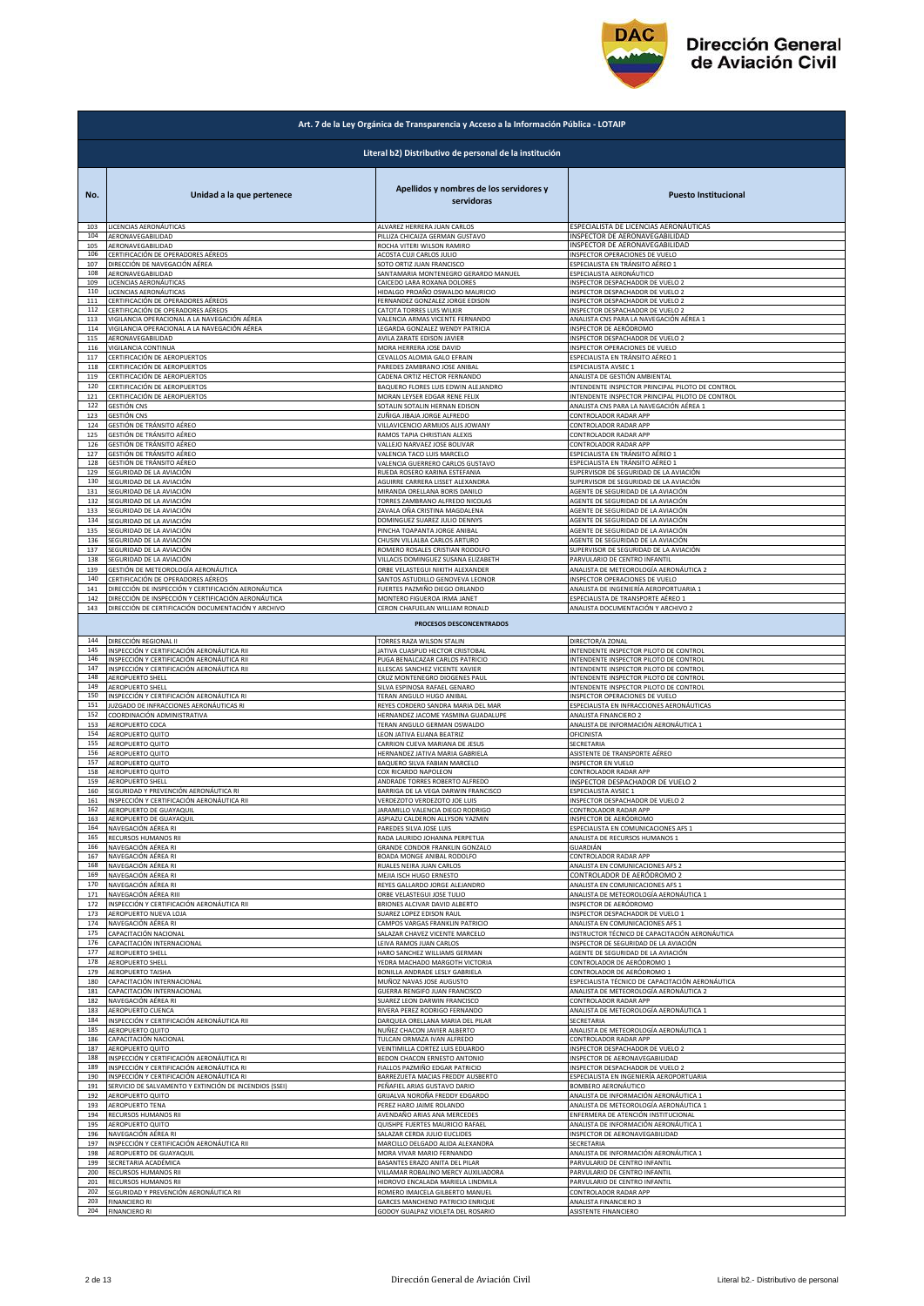

|     | Art. 7 de la Ley Orgánica de Transparencia y Acceso a la Información Pública - LOTAIP |                                                       |                                                  |  |
|-----|---------------------------------------------------------------------------------------|-------------------------------------------------------|--------------------------------------------------|--|
|     | Literal b2) Distributivo de personal de la institución                                |                                                       |                                                  |  |
| No. | Unidad a la que pertenece                                                             | Apellidos y nombres de los servidores y<br>servidoras | <b>Puesto Institucional</b>                      |  |
| 103 | LICENCIAS AERONÁUTICAS                                                                | ALVAREZ HERRERA JUAN CARLOS                           | ESPECIALISTA DE LICENCIAS AERONÁUTICAS           |  |
| 104 | AERONAVEGABILIDAD                                                                     | PILLIZA CHICAIZA GERMAN GUSTAVO                       | INSPECTOR DE AERONAVEGABILIDAD                   |  |
| 105 | AERONAVEGABILIDAD                                                                     | ROCHA VITERI WILSON RAMIRO                            | INSPECTOR DE AERONAVEGABILIDAD                   |  |
| 106 | CERTIFICACIÓN DE OPERADORES AÉREOS                                                    | ACOSTA CUJI CARLOS JULIO                              | INSPECTOR OPERACIONES DE VUELO                   |  |
| 107 | DIRECCIÓN DE NAVEGACIÓN AÉREA                                                         | SOTO ORTIZ JUAN FRANCISCO                             | ESPECIALISTA EN TRÁNSITO AÉREO 1                 |  |
| 108 | AERONAVEGABILIDAD                                                                     | SANTAMARIA MONTENEGRO GERARDO MANUEL                  | ESPECIALISTA AERONÁUTICO                         |  |
| 109 | LICENCIAS AERONÁUTICAS                                                                | CAICEDO LARA ROXANA DOLORES                           | INSPECTOR DESPACHADOR DE VUELO 2                 |  |
| 110 | LICENCIAS AERONÁUTICAS                                                                | HIDALGO PROAÑO OSWALDO MAURICIO                       | INSPECTOR DESPACHADOR DE VUELO 2                 |  |
| 111 | CERTIFICACIÓN DE OPERADORES AÉREOS                                                    | FERNANDEZ GONZALEZ JORGE EDISON                       | INSPECTOR DESPACHADOR DE VUELO 2                 |  |
| 112 | CERTIFICACIÓN DE OPERADORES AÉREOS                                                    | CATOTA TORRES LUIS WILKIR                             | INSPECTOR DESPACHADOR DE VUELO 2                 |  |
| 113 | VIGILANCIA OPERACIONAL A LA NAVEGACIÓN AÉREA                                          | VALENCIA ARMAS VICENTE FERNANDO                       | ANALISTA CNS PARA LA NAVEGACIÓN AÉREA 1          |  |
| 114 | VIGILANCIA OPERACIONAL A LA NAVEGACIÓN AÉREA                                          | LEGARDA GONZALEZ WENDY PATRICIA                       | INSPECTOR DE AERÓDROMO                           |  |
| 115 | AERONAVEGABILIDAD                                                                     | AVILA ZARATE EDISON JAVIER                            | INSPECTOR DESPACHADOR DE VUELO 2                 |  |
| 116 | VIGILANCIA CONTINUA                                                                   | MORA HERRERA JOSE DAVID                               | INSPECTOR OPERACIONES DE VUELO                   |  |
| 117 | CERTIFICACIÓN DE AEROPUERTOS                                                          | CEVALLOS ALOMIA GALO EFRAIN                           | ESPECIALISTA EN TRÁNSITO AÉREO 1                 |  |
| 118 | CERTIFICACIÓN DE AEROPUERTOS                                                          | PAREDES ZAMBRANO JOSE ANIBAL                          | ESPECIALISTA AVSEC 1                             |  |
| 119 | CERTIFICACIÓN DE AEROPUERTOS                                                          | CADENA ORTIZ HECTOR FERNANDO                          | ANALISTA DE GESTIÓN AMBIENTAL                    |  |
| 120 | CERTIFICACIÓN DE AEROPUERTOS                                                          | BAQUERO FLORES LUIS EDWIN ALEJANDRO                   | INTENDENTE INSPECTOR PRINCIPAL PILOTO DE CONTROL |  |
| 121 | CERTIFICACIÓN DE AEROPUERTOS                                                          | MORAN LEYSER EDGAR RENE FELIX                         | INTENDENTE INSPECTOR PRINCIPAL PILOTO DE CONTROL |  |
| 122 | GESTIÓN CNS                                                                           | SOTALIN SOTALIN HERNAN EDISON                         | ANALISTA CNS PARA LA NAVEGACIÓN AÉREA 1          |  |
| 123 | <b>GESTIÓN CNS</b>                                                                    | ZUÑIGA JIBAJA JORGE ALFREDO                           | CONTROLADOR RADAR APP                            |  |
| 124 | GESTIÓN DE TRÁNSITO AÉREO                                                             | VILLAVICENCIO ARMIJOS ALIS JOWANY                     | CONTROLADOR RADAR APP                            |  |
| 125 | GESTIÓN DE TRÁNSITO AÉREO                                                             | RAMOS TAPIA CHRISTIAN ALEXIS                          | CONTROLADOR RADAR APP                            |  |
| 126 | GESTIÓN DE TRÁNSITO AÉREO                                                             | VALLEJO NARVAEZ JOSE BOLIVAR                          | CONTROLADOR RADAR APP                            |  |
| 127 | GESTIÓN DE TRÁNSITO AÉREO                                                             | VALENCIA TACO LUIS MARCELO                            | ESPECIALISTA EN TRÁNSITO AÉREO 1                 |  |
| 128 | GESTIÓN DE TRÁNSITO AÉREO                                                             | VALENCIA GUERRERO CARLOS GUSTAVO                      | ESPECIALISTA EN TRÁNSITO AÉREO 1                 |  |
| 129 | SEGURIDAD DE LA AVIACIÓN                                                              | RUEDA ROSERO KARINA ESTEFANIA                         | SUPERVISOR DE SEGURIDAD DE LA AVIACIÓN           |  |
| 130 | SEGURIDAD DE LA AVIACIÓN                                                              | AGUIRRE CARRERA LISSET ALEXANDRA                      | SUPERVISOR DE SEGURIDAD DE LA AVIACIÓN           |  |
| 131 | SEGURIDAD DE LA AVIACIÓN                                                              | MIRANDA ORELLANA BORIS DANILO                         | AGENTE DE SEGURIDAD DE LA AVIACIÓN               |  |
| 132 | SEGURIDAD DE LA AVIACIÓN                                                              | TORRES ZAMBRANO ALFREDO NICOLAS                       | AGENTE DE SEGURIDAD DE LA AVIACIÓN               |  |
| 133 | SEGURIDAD DE LA AVIACIÓN                                                              | ZAVALA OÑA CRISTINA MAGDALENA                         | AGENTE DE SEGURIDAD DE LA AVIACIÓN               |  |
| 134 | SEGURIDAD DE LA AVIACIÓN                                                              | DOMINGUEZ SUAREZ JULIO DENNYS                         | AGENTE DE SEGURIDAD DE LA AVIACIÓN               |  |
| 135 | SEGURIDAD DE LA AVIACIÓN                                                              | PINCHA TOAPANTA JORGE ANIBAL                          | AGENTE DE SEGURIDAD DE LA AVIACIÓN               |  |
| 136 | SEGURIDAD DE LA AVIACIÓN                                                              | CHUSIN VILLALBA CARLOS ARTURO                         | AGENTE DE SEGURIDAD DE LA AVIACIÓN               |  |
| 137 | SEGURIDAD DE LA AVIACIÓN                                                              | ROMERO ROSALES CRISTIAN RODOLFO                       | SUPERVISOR DE SEGURIDAD DE LA AVIACIÓN           |  |
| 138 | SEGURIDAD DE LA AVIACIÓN                                                              | VILLACIS DOMINGUEZ SUSANA ELIZABETH                   | PARVULARIO DE CENTRO INFANTIL                    |  |
| 139 | GESTIÓN DE METEOROLOGÍA AERONÁUTICA                                                   | ORBE VELASTEGUI NIKITH ALEXANDER                      | ANALISTA DE METEOROLOGÍA AERONÁUTICA 2           |  |
| 140 | CERTIFICACIÓN DE OPERADORES AÉREOS                                                    | SANTOS ASTUDILLO GENOVEVA LEONOR                      | INSPECTOR OPERACIONES DE VUELO                   |  |
| 141 | DIRECCIÓN DE INSPECCIÓN Y CERTIFICACIÓN AERONÁUTICA                                   | FUERTES PAZMIÑO DIEGO ORLANDO                         | ANALISTA DE INGENIERÍA AEROPORTUARIA 1           |  |
| 142 | DIRECCIÓN DE INSPECCIÓN Y CERTIFICACIÓN AERONÁUTICA                                   | MONTERO FIGUEROA IRMA JANET                           | ESPECIALISTA DE TRANSPORTE AÉREO 1               |  |
| 143 | DIRECCIÓN DE CERTIFICACIÓN DOCUMENTACIÓN Y ARCHIVO                                    | CERON CHAFUELAN WILLIAM RONALD                        | ANALISTA DOCUMENTACIÓN Y ARCHIVO 2               |  |
|     |                                                                                       | PROCESOS DESCONCENTRADOS                              |                                                  |  |
| 144 | DIRECCIÓN REGIONAL II                                                                 | TORRES RAZA WILSON STALIN                             | DIRECTOR/A ZONAL                                 |  |
| 145 | INSPECCIÓN Y CERTIFICACIÓN AERONÁUTICA RII                                            | <b>JATIVA CUASPUD HECTOR CRISTOBAL</b>                | INTENDENTE INSPECTOR PILOTO DE CONTROL           |  |
| 146 | INSPECCIÓN Y CERTIFICACIÓN AERONÁUTICA RII                                            | PUGA BENALCAZAR CARLOS PATRICIO                       | INTENDENTE INSPECTOR PILOTO DE CONTROL           |  |
| 147 | INSPECCIÓN Y CERTIFICACIÓN AERONÁUTICA RII                                            | ILLESCAS SANCHEZ VICENTE XAVIER                       | INTENDENTE INSPECTOR PILOTO DE CONTROL           |  |
| 148 | <b>AEROPUERTO SHELL</b>                                                               | CRUZ MONTENEGRO DIOGENES PAUL                         | INTENDENTE INSPECTOR PILOTO DE CONTROL           |  |
| 149 | AEROPUERTO SHELL                                                                      | SILVA ESPINOSA RAFAEL GENARO                          | INTENDENTE INSPECTOR PILOTO DE CONTROL           |  |
| 150 | INSPECCIÓN Y CERTIFICACIÓN AERONÁUTICA RI                                             | TERAN ANGULO HUGO ANIBAL                              | INSPECTOR OPERACIONES DE VUELO                   |  |
| 151 | JUZGADO DE INFRACCIONES AERONÁUTICAS RI                                               | REYES CORDERO SANDRA MARIA DEL MAR                    | ESPECIALISTA EN INFRACCIONES AERONÁUTICAS        |  |
| 152 | COORDINACIÓN ADMINISTRATIVA                                                           | HERNANDEZ JACOME YASMINA GUADALUPE                    | ANALISTA FINANCIERO 2                            |  |
| 153 | AEROPUERTO COCA                                                                       | TERAN ANGULO GERMAN OSWALDO                           | ANALISTA DE INFORMACIÓN AERONÁUTICA 1            |  |
| 154 | AEROPUERTO QUITO                                                                      | LEON JATIVA ELIANA BEATRIZ                            | OFICINISTA                                       |  |
| 155 | AEROPUERTO QUITO                                                                      | CARRION CUEVA MARIANA DE JESUS                        | SECRETARIA                                       |  |
| 156 | AEROPUERTO QUITO                                                                      | HERNANDEZ JATIVA MARIA GABRIELA                       | ASISTENTE DE TRANSPORTE AÉREO                    |  |
| 157 | AEROPUERTO QUITO                                                                      | BAQUERO SILVA FABIAN MARCELO                          | INSPECTOR EN VUELO                               |  |
| 158 | AEROPUERTO QUITO                                                                      | COX RICARDO NAPOLEON                                  | CONTROLADOR RADAR APP                            |  |
| 159 | AEROPUERTO SHELL                                                                      | ANDRADE TORRES ROBERTO ALFREDO                        | INSPECTOR DESPACHADOR DE VUELO 2                 |  |
| 160 | SEGURIDAD Y PREVENCIÓN AERONÁUTICA RI                                                 | BARRIGA DE LA VEGA DARWIN FRANCISCO                   | ESPECIALISTA AVSEC 1                             |  |
| 161 | INSPECCIÓN Y CERTIFICACIÓN AERONÁUTICA RII                                            | VERDEZOTO VERDEZOTO JOE LUIS                          | INSPECTOR DESPACHADOR DE VUELO 2                 |  |
| 162 | AEROPUERTO DE GUAYAQUIL                                                               | JARAMILLO VALENCIA DIEGO RODRIGO                      | CONTROLADOR RADAR APP                            |  |
| 163 | AEROPUERTO DE GUAYAQUIL                                                               | ASPIAZU CALDERON ALLYSON YAZMIN                       | INSPECTOR DE AERÓDROMO                           |  |
| 164 | NAVEGACIÓN AÉREA RI                                                                   | PAREDES SILVA JOSE LUIS                               | ESPECIALISTA EN COMUNICACIONES AFS 1             |  |
| 165 | RECURSOS HUMANOS RII                                                                  | RADA LAURIDO JOHANNA PERPETUA                         | ANALISTA DE RECURSOS HUMANOS 1                   |  |
| 166 | NAVEGACIÓN AÉREA RI                                                                   | GRANDE CONDOR FRANKLIN GONZALO                        | GUARDIÁN                                         |  |
| 167 | NAVEGACIÓN AÉREA RI                                                                   | BOADA MONGE ANIBAL RODOLFO                            | CONTROLADOR RADAR APP                            |  |
| 168 | NAVEGACIÓN AÉREA RI                                                                   | RUALES NEIRA JUAN CARLOS                              | ANALISTA EN COMUNICACIONES AFS 2                 |  |
| 169 | NAVEGACIÓN AÉREA RI                                                                   | MEJIA ISCH HUGO ERNESTO                               | CONTROLADOR DE AERÓDROMO 2                       |  |
| 170 | NAVEGACIÓN AÉREA RI                                                                   | REYES GALLARDO JORGE ALEJANDRO                        | ANALISTA EN COMUNICACIONES AFS 1                 |  |
| 171 | NAVEGACIÓN AÉREA RIII                                                                 | ORBE VELASTEGUI JOSE TULIO                            | ANALISTA DE METEOROLOGÍA AERONÁUTICA 1           |  |
| 172 | INSPECCIÓN Y CERTIFICACIÓN AERONÁUTICA RII                                            | BRIONES ALCIVAR DAVID ALBERTO                         | INSPECTOR DE AERÓDROMO                           |  |
| 173 | AEROPUERTO NUEVA LOJA                                                                 | SUAREZ LOPEZ EDISON RAUL                              | INSPECTOR DESPACHADOR DE VUELO 1                 |  |
| 174 | NAVEGACIÓN AÉREA RI                                                                   | CAMPOS VARGAS FRANKLIN PATRICIO                       | ANALISTA EN COMUNICACIONES AFS 1                 |  |
| 175 | CAPACITACIÓN NACIONAL                                                                 | SALAZAR CHAVEZ VICENTE MARCELO                        | INSTRUCTOR TÉCNICO DE CAPACITACIÓN AERONÁUTICA   |  |
| 176 | CAPACITACIÓN INTERNACIONAL                                                            | LEIVA RAMOS JUAN CARLOS                               | INSPECTOR DE SEGURIDAD DE LA AVIACIÓN            |  |
| 177 | AEROPUERTO SHELL                                                                      | HARO SANCHEZ WILLIAMS GERMAN                          | AGENTE DE SEGURIDAD DE LA AVIACIÓN               |  |
| 178 | AEROPUERTO SHELL                                                                      | YEDRA MACHADO MARGOTH VICTORIA                        | CONTROLADOR DE AERÓDROMO 1                       |  |
| 179 | <b>AEROPUERTO TAISHA</b>                                                              | BONILLA ANDRADE LESLY GABRIELA                        | CONTROLADOR DE AERÓDROMO 1                       |  |
| 180 | CAPACITACIÓN INTERNACIONAL                                                            | MUÑOZ NAVAS JOSE AUGUSTO                              | ESPECIALISTA TÉCNICO DE CAPACITACIÓN AERONÁUTICA |  |
| 181 | CAPACITACIÓN INTERNACIONAL                                                            | GUERRA RENGIFO JUAN FRANCISCO                         | ANALISTA DE METEOROLOGÍA AERONÁUTICA 2           |  |
| 182 | NAVEGACIÓN AÉREA RI                                                                   | SUAREZ LEON DARWIN FRANCISCO                          | CONTROLADOR RADAR APP                            |  |
| 183 | AEROPUERTO CUENCA                                                                     | RIVERA PEREZ RODRIGO FERNANDO                         | ANALISTA DE METEOROLOGÍA AERONÁUTICA 1           |  |
| 184 | INSPECCIÓN Y CERTIFICACIÓN AERONÁUTICA RII                                            | DARQUEA ORELLANA MARIA DEL PILAR                      | SECRETARIA                                       |  |
| 185 | AEROPUERTO QUITO                                                                      | NUÑEZ CHACON JAVIER ALBERTO                           | ANALISTA DE METEOROLOGÍA AERONÁUTICA 1           |  |
| 186 | CAPACITACIÓN NACIONAL                                                                 | TULCAN ORMAZA IVAN ALFREDO                            | CONTROLADOR RADAR APP                            |  |
| 187 | AEROPUERTO QUITO                                                                      | VEINTIMILLA CORTEZ LUIS EDUARDO                       | INSPECTOR DESPACHADOR DE VUELO 2                 |  |
| 188 | INSPECCIÓN Y CERTIFICACIÓN AERONÁUTICA RI                                             | BEDON CHACON ERNESTO ANTONIO                          | INSPECTOR DE AERONAVEGABILIDAD                   |  |
| 189 | INSPECCIÓN Y CERTIFICACIÓN AERONÁUTICA RI                                             | FIALLOS PAZMIÑO EDGAR PATRICIO                        | INSPECTOR DESPACHADOR DE VUELO 2                 |  |
| 190 | INSPECCIÓN Y CERTIFICACIÓN AERONÁUTICA RI                                             | BARREZUETA MACIAS FREDDY AUSBERTO                     | ESPECIALISTA EN INGENIERÍA AEROPORTUARIA         |  |
| 191 | SERVICIO DE SALVAMENTO Y EXTINCIÓN DE INCENDIOS (SSEI)                                | PEÑAFIEL ARIAS GUSTAVO DARIO                          | BOMBERO AERONÁUTICO                              |  |
| 192 | AEROPUERTO QUITO                                                                      | GRIJALVA NOROÑA FREDDY EDGARDO                        | ANALISTA DE INFORMACIÓN AERONÁUTICA 1            |  |
| 193 | AEROPUERTO TENA                                                                       | PEREZ HARO JAIME ROLANDO                              | ANALISTA DE METEOROLOGÍA AERONÁUTICA 1           |  |
| 194 | RECURSOS HUMANOS RII                                                                  | AVENDAÑO ARIAS ANA MERCEDES                           | ENFERMERA DE ATENCIÓN INSTITUCIONAL              |  |
| 195 | AEROPUERTO QUITO                                                                      | QUISHPE FUERTES MAURICIO RAFAEL                       | ANALISTA DE INFORMACIÓN AERONÁUTICA 1            |  |
| 196 | NAVEGACIÓN AÉREA RI                                                                   | SALAZAR CERDA JULIO EUCLIDES                          | INSPECTOR DE AERONAVEGABILIDAD                   |  |
| 197 | INSPECCIÓN Y CERTIFICACIÓN AERONÁUTICA RII                                            | MARCILLO DELGADO ALIDA ALEXANDRA                      | SECRETARIA                                       |  |
| 198 | AEROPUERTO DE GUAYAQUIL                                                               | MORA VIVAR MARIO FERNANDO                             | ANALISTA DE INFORMACIÓN AERONÁUTICA 1            |  |
| 199 | SECRETARIA ACADÉMICA                                                                  | BASANTES ERAZO ANITA DEL PILAR                        | PARVULARIO DE CENTRO INFANTII                    |  |
| 200 | RECURSOS HUMANOS RII                                                                  | VILLAMAR ROBALINO MERCY AUXILIADORA                   | PARVULARIO DE CENTRO INFANTIL                    |  |
| 201 | RECURSOS HUMANOS RII                                                                  | HIDROVO ENCALADA MARIELA LINDMILA                     | PARVULARIO DE CENTRO INFANTIL                    |  |
| 202 | SEGURIDAD Y PREVENCIÓN AERONÁUTICA RII                                                | ROMERO IMAICELA GILBERTO MANUEL                       | CONTROLADOR RADAR APP                            |  |
| 203 | <b>FINANCIERO RI</b>                                                                  | GARCES MANCHENO PATRICIO ENRIQUE                      | ANALISTA FINANCIERO 3                            |  |
| 204 | <b>FINANCIERO RI</b>                                                                  | GODOY GUALPAZ VIOLETA DEL ROSARIO                     | ASISTENTE FINANCIERO                             |  |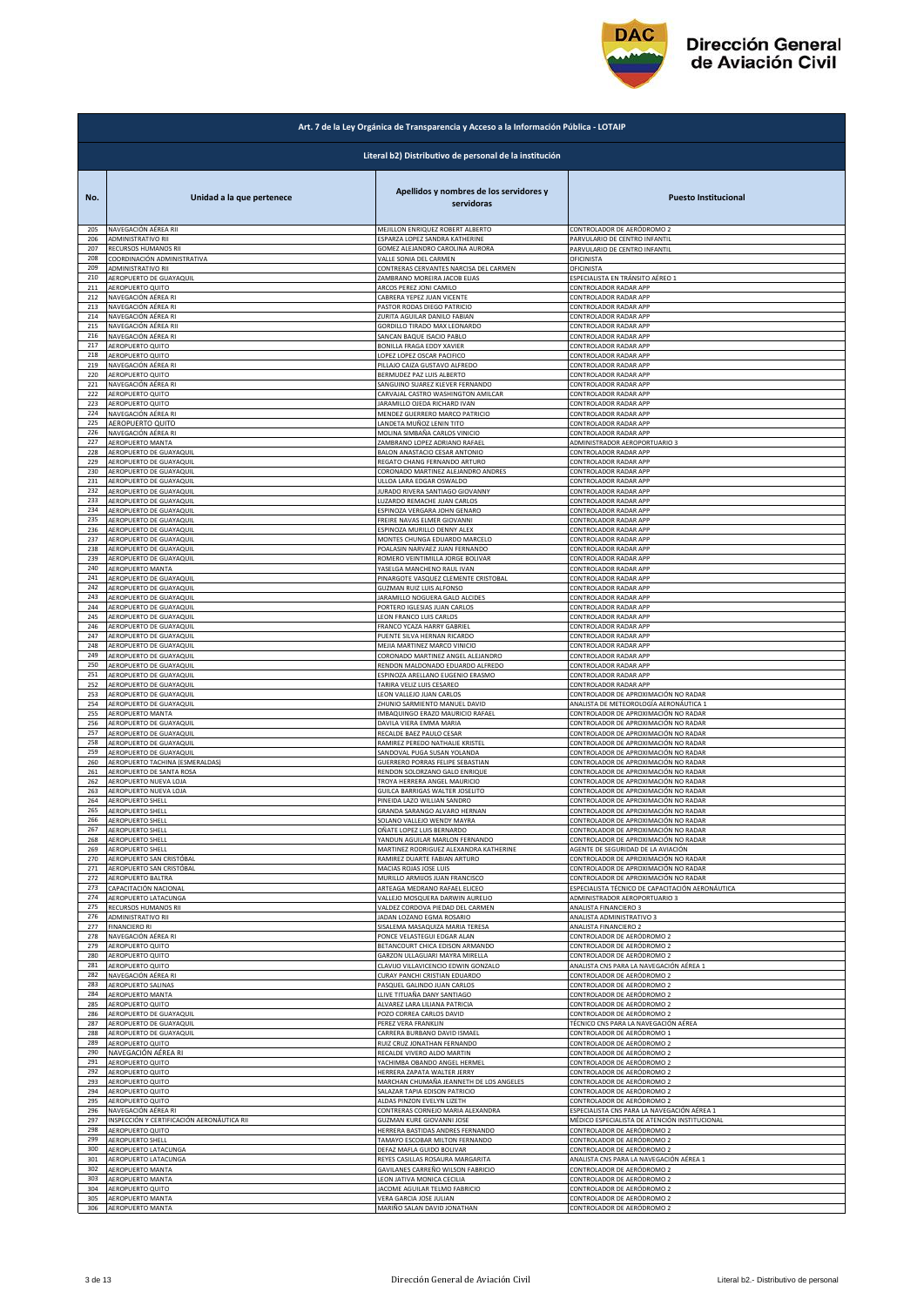

|            | Art. 7 de la Ley Orgánica de Transparencia y Acceso a la Información Pública - LOTAIP |                                                       |                                                  |  |
|------------|---------------------------------------------------------------------------------------|-------------------------------------------------------|--------------------------------------------------|--|
|            | Literal b2) Distributivo de personal de la institución                                |                                                       |                                                  |  |
| No.        | Unidad a la que pertenece                                                             | Apellidos y nombres de los servidores y<br>servidoras | <b>Puesto Institucional</b>                      |  |
| 205        | NAVEGACIÓN AÉREA RII                                                                  | MEJILLON ENRIQUEZ ROBERT ALBERTO                      | CONTROLADOR DE AERÓDROMO 2                       |  |
| 206        | ADMINISTRATIVO RII                                                                    | ESPARZA LOPEZ SANDRA KATHERINE                        | PARVULARIO DE CENTRO INFANTIL                    |  |
| 207        | RECURSOS HUMANOS RII                                                                  | GOMEZ ALEJANDRO CAROLINA AURORA                       | PARVULARIO DE CENTRO INFANTIL                    |  |
| 208        | COORDINACIÓN ADMINISTRATIVA                                                           | VALLE SONIA DEL CARMEN                                | OFICINISTA                                       |  |
| 209        | ADMINISTRATIVO RII                                                                    | CONTRERAS CERVANTES NARCISA DEL CARMEN                | OFICINISTA                                       |  |
| 210        | AEROPUERTO DE GUAYAQUIL                                                               | ZAMBRANO MOREIRA JACOB ELIAS                          | ESPECIALISTA EN TRÁNSITO AÉREO 1                 |  |
| 211        | AEROPUERTO QUITO                                                                      | ARCOS PEREZ JONI CAMILO                               | CONTROLADOR RADAR APP                            |  |
| 212        | NAVEGACIÓN AÉREA RI                                                                   | CABRERA YEPEZ JUAN VICENTE                            | CONTROLADOR RADAR APP                            |  |
| 213        | NAVEGACIÓN AÉREA RI                                                                   | PASTOR RODAS DIEGO PATRICIO                           | CONTROLADOR RADAR APP                            |  |
| 214        | NAVEGACIÓN AÉREA RI                                                                   | ZURITA AGUILAR DANILO FABIAN                          | CONTROLADOR RADAR APP                            |  |
| 215        | NAVEGACIÓN AÉREA RII                                                                  | GORDILLO TIRADO MAX LEONARDO                          | CONTROLADOR RADAR APP                            |  |
| 216        | NAVEGACIÓN AÉREA RI                                                                   | SANCAN BAQUE ISACIO PABLO                             | CONTROLADOR RADAR APP                            |  |
| 217        | AEROPUERTO QUITO                                                                      | BONILLA FRAGA EDDY XAVIER                             | CONTROLADOR RADAR APP                            |  |
| 218        | AEROPUERTO QUITO                                                                      | LOPEZ LOPEZ OSCAR PACIFICO                            | CONTROLADOR RADAR APP                            |  |
| 219        | NAVEGACIÓN AÉREA RI                                                                   | PILLAJO CAIZA GUSTAVO ALFREDO                         | CONTROLADOR RADAR APP                            |  |
| 220        | AEROPUERTO QUITO                                                                      | BERMUDEZ PAZ LUIS ALBERTO                             | CONTROLADOR RADAR APP                            |  |
| 221        | NAVEGACIÓN AÉREA RI                                                                   | SANGUINO SUAREZ KLEVER FERNANDO                       | CONTROLADOR RADAR APP                            |  |
| 222        | AEROPUERTO QUITO                                                                      | CARVAJAL CASTRO WASHINGTON AMILCAR                    | CONTROLADOR RADAR APP                            |  |
| 223        | AEROPUERTO QUITO                                                                      | JARAMILLO OJEDA RICHARD IVAN                          | CONTROLADOR RADAR APP                            |  |
| 224        | NAVEGACIÓN AÉREA RI                                                                   | MENDEZ GUERRERO MARCO PATRICIO                        | CONTROLADOR RADAR APP                            |  |
| 225        | AEROPUERTO QUITO                                                                      | LANDETA MUÑOZ LENIN TITO                              | CONTROLADOR RADAR APP                            |  |
| 226        | NAVEGACIÓN AÉREA RI                                                                   | MOLINA SIMBAÑA CARLOS VINICIO                         | CONTROLADOR RADAR APP                            |  |
| 227        | AEROPUERTO MANTA                                                                      | ZAMBRANO LOPEZ ADRIANO RAFAEL                         | ADMINISTRADOR AEROPORTUARIO 3                    |  |
| 228        | AEROPUERTO DE GUAYAQUIL                                                               | BALON ANASTACIO CESAR ANTONIO                         | CONTROLADOR RADAR APP                            |  |
| 229        | AEROPUERTO DE GUAYAQUIL                                                               | REGATO CHANG FERNANDO ARTURO                          | CONTROLADOR RADAR APP                            |  |
| 230        | AEROPUERTO DE GUAYAQUIL                                                               | CORONADO MARTINEZ ALEJANDRO ANDRES                    | CONTROLADOR RADAR APP                            |  |
| 231        | AEROPUERTO DE GUAYAQUIL                                                               | ULLOA LARA EDGAR OSWALDO                              | CONTROLADOR RADAR APP                            |  |
| 232        | AEROPUERTO DE GUAYAQUIL                                                               | <b>JURADO RIVERA SANTIAGO GIOVANNY</b>                | CONTROLADOR RADAR APP                            |  |
| 233        | AEROPUERTO DE GUAYAQUIL                                                               | LUZARDO REMACHE JUAN CARLOS                           | CONTROLADOR RADAR APP                            |  |
| 234        | AEROPUERTO DE GUAYAQUIL                                                               | ESPINOZA VERGARA JOHN GENARO                          | CONTROLADOR RADAR APP                            |  |
| 235        | AEROPUERTO DE GUAYAQUIL                                                               | FREIRE NAVAS ELMER GIOVANNI                           | CONTROLADOR RADAR APP                            |  |
| 236        | AEROPUERTO DE GUAYAQUIL                                                               | ESPINOZA MURILLO DENNY ALEX                           | CONTROLADOR RADAR APP                            |  |
| 237        | AEROPUERTO DE GUAYAQUIL                                                               | MONTES CHUNGA EDUARDO MARCELO                         | ONTROLADOR RADAR APP                             |  |
| 238        | AEROPUERTO DE GUAYAQUIL                                                               | POALASIN NARVAEZ JUAN FERNANDO                        | CONTROLADOR RADAR APP                            |  |
| 239        | AEROPUERTO DE GUAYAQUIL                                                               | ROMERO VEINTIMILLA JORGE BOLIVAR                      | CONTROLADOR RADAR APP                            |  |
| 240        | AEROPUERTO MANTA                                                                      | YASELGA MANCHENO RAUL IVAN                            | CONTROLADOR RADAR APP                            |  |
| 241        | AEROPUERTO DE GUAYAQUIL                                                               | PINARGOTE VASQUEZ CLEMENTE CRISTOBAL                  | CONTROLADOR RADAR APP                            |  |
| 242        | AEROPUERTO DE GUAYAQUIL                                                               | <b>GUZMAN RUIZ LUIS ALFONSO</b>                       | CONTROLADOR RADAR APP                            |  |
| 243        | AEROPUERTO DE GUAYAQUIL                                                               | JARAMILLO NOGUERA GALO ALCIDES                        | CONTROLADOR RADAR APP                            |  |
| 244        | AEROPUERTO DE GUAYAQUIL                                                               | PORTERO IGLESIAS JUAN CARLOS                          | CONTROLADOR RADAR APP                            |  |
| 245        | AEROPUERTO DE GUAYAQUIL                                                               | LEON FRANCO LUIS CARLOS                               | CONTROLADOR RADAR APP                            |  |
| 246<br>247 | AEROPUERTO DE GUAYAQUIL                                                               | FRANCO YCAZA HARRY GABRIEL                            | CONTROLADOR RADAR APP                            |  |
| 248        | AEROPUERTO DE GUAYAQUIL                                                               | PUENTE SILVA HERNAN RICARDO                           | CONTROLADOR RADAR APP                            |  |
|            | AEROPUERTO DE GUAYAQUIL                                                               | MEJIA MARTINEZ MARCO VINICIO                          | CONTROLADOR RADAR APP                            |  |
| 249        | AEROPUERTO DE GUAYAQUIL                                                               | CORONADO MARTINEZ ANGEL ALEJANDRO                     | CONTROLADOR RADAR APP                            |  |
| 250        | AEROPUERTO DE GUAYAQUIL                                                               | RENDON MALDONADO EDUARDO ALFREDO                      | CONTROLADOR RADAR APP                            |  |
| 251<br>252 | AEROPUERTO DE GUAYAQUIL                                                               | ESPINOZA ARELLANO EUGENIO ERASMO                      | CONTROLADOR RADAR APP                            |  |
| 253        | AEROPUERTO DE GUAYAQUIL                                                               | TARIRA VELIZ LUIS CESAREO                             | CONTROLADOR RADAR APP                            |  |
|            | AEROPUERTO DE GUAYAQUIL                                                               | LEON VALLEJO JUAN CARLOS                              | CONTROLADOR DE APROXIMACIÓN NO RADAR             |  |
| 254        | AEROPUERTO DE GUAYAQUIL                                                               | ZHUNIO SARMIENTO MANUEL DAVID                         | ANALISTA DE METEOROLOGÍA AERONÁUTICA 1           |  |
| 255        | <b>AEROPUERTO MANTA</b>                                                               | IMBAQUINGO ERAZO MAURICIO RAFAEL                      | CONTROLADOR DE APROXIMACIÓN NO RADAR             |  |
| 256        | AEROPUERTO DE GUAYAQUIL                                                               | DAVILA VIERA EMMA MARIA                               | CONTROLADOR DE APROXIMACIÓN NO RADAR             |  |
| 257        | AEROPUERTO DE GUAYAQUIL                                                               | RECALDE BAEZ PAULO CESAR                              | CONTROLADOR DE APROXIMACIÓN NO RADAR             |  |
| 258        | AEROPUERTO DE GUAYAQUIL                                                               | RAMIREZ PEREDO NATHALIE KRISTEL                       | CONTROLADOR DE APROXIMACIÓN NO RADAR             |  |
| 259        | AEROPUERTO DE GUAYAQUIL                                                               | SANDOVAL PUGA SUSAN YOLANDA                           | CONTROLADOR DE APROXIMACIÓN NO RADAR             |  |
| 260        | AEROPUERTO TACHINA (ESMERALDAS)                                                       | GUERRERO PORRAS FELIPE SEBASTIAN                      | CONTROLADOR DE APROXIMACIÓN NO RADAR             |  |
| 261        | AEROPUERTO DE SANTA ROSA                                                              | RENDON SOLORZANO GALO ENRIQUE                         | CONTROLADOR DE APROXIMACIÓN NO RADAR             |  |
| 262        | AEROPUERTO NUEVA LOJA                                                                 | TROYA HERRERA ANGEL MAURICIO                          | CONTROLADOR DE APROXIMACIÓN NO RADAR             |  |
| 263        | AEROPUERTO NUEVA LOJA                                                                 | GUILCA BARRIGAS WALTER JOSELITO                       | CONTROLADOR DE APROXIMACIÓN NO RADAR             |  |
| 264        | AEROPUERTO SHELL                                                                      | PINEIDA LAZO WILLIAN SANDRO                           | CONTROLADOR DE APROXIMACIÓN NO RADAR             |  |
| 265        | <b>AEROPUERTO SHELL</b>                                                               | GRANDA SARANGO ALVARO HERNAN                          | CONTROLADOR DE APROXIMACIÓN NO RADAR             |  |
| 266        | <b>AEROPUERTO SHELL</b>                                                               | SOLANO VALLEJO WENDY MAYRA                            | CONTROLADOR DE APROXIMACIÓN NO RADAR             |  |
| 267        | AEROPUERTO SHELL                                                                      | OÑATE LOPEZ LUIS BERNARDO                             | CONTROLADOR DE APROXIMACIÓN NO RADAR             |  |
| 268        | <b>AEROPUERTO SHELL</b>                                                               | YANDUN AGUILAR MARLON FERNANDO                        | CONTROLADOR DE APROXIMACIÓN NO RADAR             |  |
| 269        | AEROPUERTO SHELL                                                                      | MARTINEZ RODRIGUEZ ALEXANDRA KATHERINE                | AGENTE DE SEGURIDAD DE LA AVIACIÓN               |  |
| 270        | AEROPUERTO SAN CRISTÓBAL                                                              | RAMIREZ DUARTE FABIAN ARTURO                          | CONTROLADOR DE APROXIMACIÓN NO RADAR             |  |
| 271        | AEROPUERTO SAN CRISTÓBAL                                                              | MACIAS ROJAS JOSE LUIS                                | CONTROLADOR DE APROXIMACIÓN NO RADAR             |  |
| 272        | AEROPUERTO BALTRA                                                                     | MURILLO ARMIJOS JUAN FRANCISCO                        | CONTROLADOR DE APROXIMACIÓN NO RADAR             |  |
| 273        | CAPACITACIÓN NACIONAL                                                                 | ARTEAGA MEDRANO RAFAEL ELICEO                         | ESPECIALISTA TÉCNICO DE CAPACITACIÓN AERONÁUTICA |  |
| 274        | AEROPUERTO LATACUNGA                                                                  | VALLEJO MOSQUERA DARWIN AURELIO                       | ADMINISTRADOR AEROPORTUARIO 3                    |  |
| 275        | RECURSOS HUMANOS RII                                                                  | VALDEZ CORDOVA PIEDAD DEL CARMEN                      | ANALISTA FINANCIERO 3                            |  |
| 276        | ADMINISTRATIVO RII                                                                    | JADAN LOZANO EGMA ROSARIO                             | ANALISTA ADMINISTRATIVO 3                        |  |
| 277        | <b>FINANCIERO RI</b>                                                                  | SISALEMA MASAQUIZA MARIA TERESA                       | ANALISTA FINANCIERO 2                            |  |
| 278        | NAVEGACIÓN AÉREA RI                                                                   | PONCE VELASTEGUI EDGAR ALAN                           | CONTROLADOR DE AERÓDROMO 2                       |  |
| 279        | AEROPUERTO QUITO                                                                      | BETANCOURT CHICA EDISON ARMANDO                       | CONTROLADOR DE AERÓDROMO 2                       |  |
| 280        | AEROPUERTO QUITO                                                                      | GARZON ULLAGUARI MAYRA MIRELLA                        | CONTROLADOR DE AERÓDROMO 2                       |  |
| 281        | AEROPUERTO QUITO                                                                      | CLAVIJO VILLAVICENCIO EDWIN GONZALO                   | ANALISTA CNS PARA LA NAVEGACIÓN AÉREA 1          |  |
| 282        | NAVEGACIÓN AÉREA RI                                                                   | CURAY PANCHI CRISTIAN EDUARDO                         | CONTROLADOR DE AERÓDROMO 2                       |  |
| 283        | AEROPUERTO SALINAS                                                                    | PASQUEL GALINDO JUAN CARLOS                           | CONTROLADOR DE AERÓDROMO 2                       |  |
| 284        | AEROPUERTO MANTA                                                                      | LLIVE TITUAÑA DANY SANTIAGO                           | CONTROLADOR DE AERÓDROMO 2                       |  |
| 285        | AEROPUERTO QUITO                                                                      | ALVAREZ LARA LILIANA PATRICIA                         | CONTROLADOR DE AERÓDROMO 2                       |  |
| 286        | AEROPUERTO DE GUAYAQUIL                                                               | POZO CORREA CARLOS DAVID                              | CONTROLADOR DE AERÓDROMO 2                       |  |
| 287<br>288 | AEROPUERTO DE GUAYAQUIL                                                               | PEREZ VERA FRANKLIN                                   | TÉCNICO CNS PARA LA NAVEGACIÓN AÉREA             |  |
| 289        | AEROPUERTO DE GUAYAQUIL                                                               | CARRERA BURBANO DAVID ISMAEL                          | CONTROLADOR DE AERÓDROMO 1                       |  |
|            | AEROPUERTO QUITO                                                                      | RUIZ CRUZ JONATHAN FERNANDO                           | CONTROLADOR DE AERÓDROMO 2                       |  |
| 290        | NAVEGACIÓN AÉREA RI                                                                   | RECALDE VIVERO ALDO MARTIN                            | CONTROLADOR DE AERÓDROMO 2                       |  |
| 291        | AEROPUERTO QUITO                                                                      | YACHIMBA OBANDO ANGEL HERMEL                          | CONTROLADOR DE AERÓDROMO 2                       |  |
| 292        | AEROPUERTO QUITO                                                                      | HERRERA ZAPATA WALTER JERRY                           | CONTROLADOR DE AERÓDROMO 2                       |  |
| 293        | AEROPUERTO QUITO                                                                      | MARCHAN CHUMAÑA JEANNETH DE LOS ANGELES               | CONTROLADOR DE AERÓDROMO 2                       |  |
| 294        | AEROPUERTO QUITO                                                                      | SALAZAR TAPIA EDISON PATRICIO                         | CONTROLADOR DE AERÓDROMO 2                       |  |
| 295        | AEROPUERTO QUITO                                                                      | ALDAS PINZON EVELYN LIZETH                            | CONTROLADOR DE AERÓDROMO 2                       |  |
| 296        | NAVEGACIÓN AÉREA RI                                                                   | CONTRERAS CORNEJO MARIA ALEXANDRA                     | ESPECIALISTA CNS PARA LA NAVEGACIÓN AÉREA 1      |  |
| 297        | INSPECCIÓN Y CERTIFICACIÓN AERONÁUTICA RII                                            | GUZMAN KURE GIOVANNI JOSE                             | MÉDICO ESPECIALISTA DE ATENCIÓN INSTITUCIONAL    |  |
| 298        | AEROPUERTO QUITO                                                                      | HERRERA BASTIDAS ANDRES FERNANDO                      | CONTROLADOR DE AERÓDROMO 2                       |  |
| 299        | AEROPUERTO SHELL                                                                      | TAMAYO ESCOBAR MILTON FERNANDO                        | CONTROLADOR DE AERÓDROMO 2                       |  |
| 300        | AEROPUERTO LATACUNGA                                                                  | DEFAZ MAFLA GUIDO BOLIVAR                             | CONTROLADOR DE AERÓDROMO 2                       |  |
| 301        | AEROPUERTO LATACUNGA                                                                  | REYES CASILLAS ROSAURA MARGARITA                      | ANALISTA CNS PARA LA NAVEGACIÓN AÉREA 1          |  |
| 302        | AEROPUERTO MANTA                                                                      | GAVILANES CARREÑO WILSON FABRICIO                     | CONTROLADOR DE AERÓDROMO 2                       |  |
| 303        | AEROPUERTO MANTA                                                                      | LEON JATIVA MONICA CECILIA                            | CONTROLADOR DE AERÓDROMO 2                       |  |
| 304        | AEROPUERTO QUITO                                                                      | JACOME AGUILAR TELMO FABRICIO                         | CONTROLADOR DE AERÓDROMO 2                       |  |
| 305        | AEROPUERTO MANTA                                                                      | VERA GARCIA JOSE JULIAN                               | CONTROLADOR DE AERÓDROMO 2                       |  |
| 306        | AEROPUERTO MANTA                                                                      | MARIÑO SALAN DAVID JONATHAN                           | CONTROLADOR DE AERÓDROMO 2                       |  |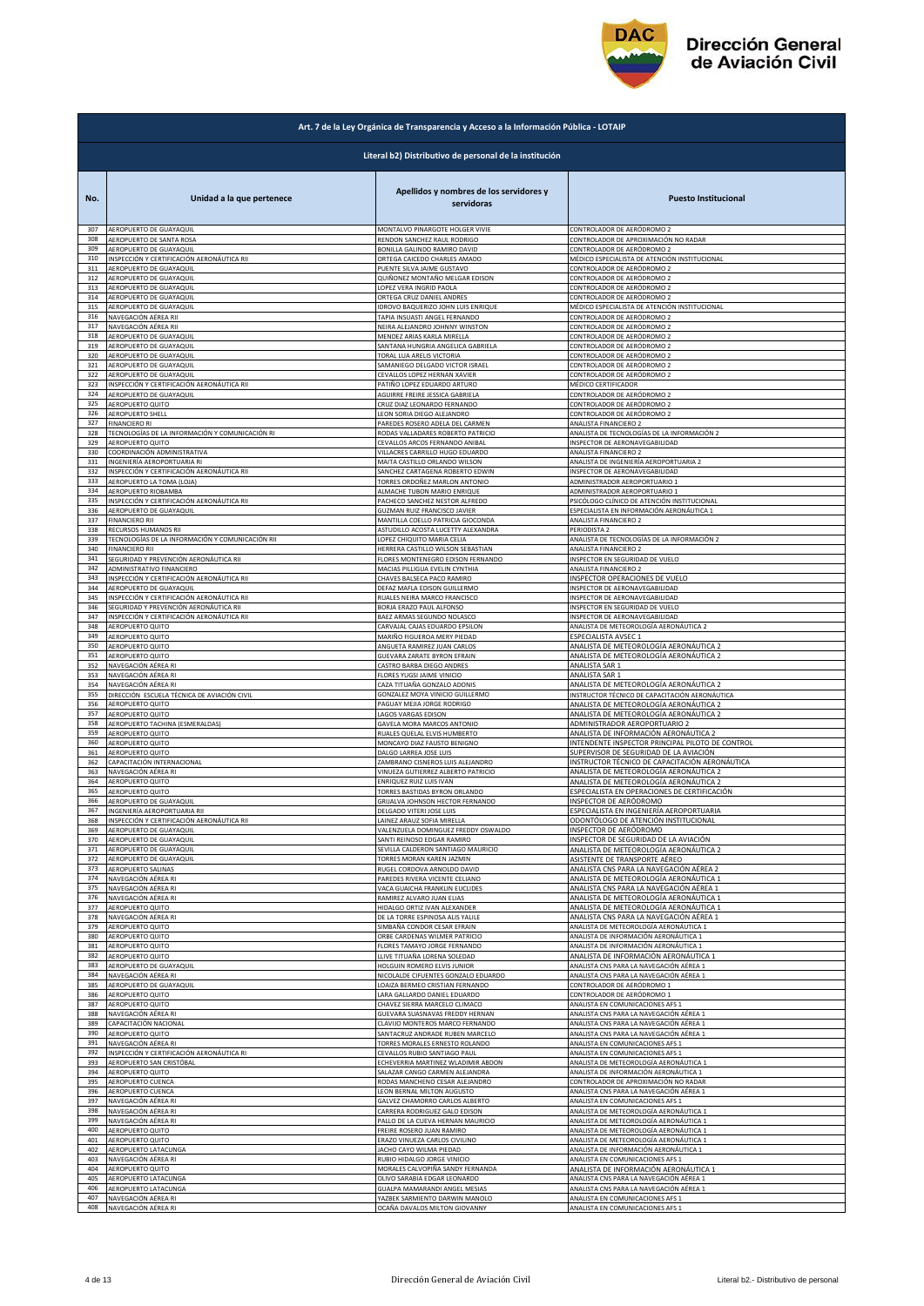

|            | Art. 7 de la Ley Orgánica de Transparencia y Acceso a la Información Pública - LOTAIP |                                                               |                                                                                 |  |
|------------|---------------------------------------------------------------------------------------|---------------------------------------------------------------|---------------------------------------------------------------------------------|--|
|            | Literal b2) Distributivo de personal de la institución                                |                                                               |                                                                                 |  |
| No.        | Unidad a la que pertenece                                                             | Apellidos y nombres de los servidores y<br>servidoras         | <b>Puesto Institucional</b>                                                     |  |
| 307        | AEROPUERTO DE GUAYAQUIL                                                               | MONTALVO PINARGOTE HOLGER VIVIE                               | CONTROLADOR DE AERÓDROMO 2                                                      |  |
| 308        | AEROPUERTO DE SANTA ROSA                                                              | RENDON SANCHEZ RAUL RODRIGO                                   | CONTROLADOR DE APROXIMACIÓN NO RADAR                                            |  |
| 309        | AEROPUERTO DE GUAYAQUIL                                                               | BONILLA GALINDO RAMIRO DAVID                                  | CONTROLADOR DE AERÓDROMO 2                                                      |  |
| 310        | INSPECCIÓN Y CERTIFICACIÓN AERONÁUTICA RII                                            | ORTEGA CAICEDO CHARLES AMADO                                  | MÉDICO ESPECIALISTA DE ATENCIÓN INSTITUCIONAL                                   |  |
| 311        | AEROPUERTO DE GUAYAQUIL                                                               | PUENTE SILVA JAIME GUSTAVO                                    | CONTROLADOR DE AERÓDROMO 2                                                      |  |
| 312        | AEROPUERTO DE GUAYAQUIL                                                               | QUIÑONEZ MONTAÑO MELGAR EDISON                                | CONTROLADOR DE AERÓDROMO 2                                                      |  |
| 313<br>314 | AEROPUERTO DE GUAYAQUIL                                                               | LOPEZ VERA INGRID PAOLA<br>ORTEGA CRUZ DANIEL ANDRES          | CONTROLADOR DE AERÓDROMO 2                                                      |  |
| 315        | AEROPUERTO DE GUAYAQUIL<br>AEROPUERTO DE GUAYAQUIL                                    | IDROVO BAQUERIZO JOHN LUIS ENRIQUE                            | CONTROLADOR DE AERÓDROMO 2<br>MÉDICO ESPECIALISTA DE ATENCIÓN INSTITUCIONAL     |  |
| 316        | NAVEGACIÓN AÉREA RII                                                                  | TAPIA INSUASTI ANGEL FERNANDO                                 | CONTROLADOR DE AERÓDROMO 2                                                      |  |
| 317        | NAVEGACIÓN AÉREA RII                                                                  | NEIRA ALEJANDRO JOHNNY WINSTON                                | CONTROLADOR DE AERÓDROMO 2                                                      |  |
| 318        | AEROPUERTO DE GUAYAQUIL                                                               | MENDEZ ARIAS KARLA MIRELLA                                    | CONTROLADOR DE AERÓDROMO 2                                                      |  |
| 319        | AEROPUERTO DE GUAYAQUIL                                                               | SANTANA HUNGRIA ANGELICA GABRIELA                             | CONTROLADOR DE AERÓDROMO 2                                                      |  |
| 320<br>321 | AEROPUERTO DE GUAYAQUIL                                                               | TORAL LUA ARELIS VICTORIA                                     | CONTROLADOR DE AERÓDROMO 2                                                      |  |
| 322        | AEROPUERTO DE GUAYAQUIL                                                               | SAMANIEGO DELGADO VICTOR ISRAEL                               | CONTROLADOR DE AERÓDROMO 2                                                      |  |
|            | AEROPUERTO DE GUAYAQUIL                                                               | CEVALLOS LOPEZ HERNAN XAVIER                                  | CONTROLADOR DE AERÓDROMO 2                                                      |  |
| 323        | INSPECCIÓN Y CERTIFICACIÓN AERONÁUTICA RII                                            | PATIÑO LOPEZ EDUARDO ARTURO                                   | MÉDICO CERTIFICADOR                                                             |  |
| 324        | AEROPUERTO DE GUAYAQUIL                                                               | AGUIRRE FREIRE JESSICA GABRIELA                               | CONTROLADOR DE AERÓDROMO 2                                                      |  |
| 325        | AEROPUERTO QUITO                                                                      | CRUZ DIAZ LEONARDO FERNANDO                                   | CONTROLADOR DE AERÓDROMO 2                                                      |  |
| 326        | AEROPUERTO SHELL                                                                      | LEON SORIA DIEGO ALEJANDRO                                    | CONTROLADOR DE AERÓDROMO 2                                                      |  |
| 327        | <b>FINANCIERO RI</b>                                                                  | PAREDES ROSERO ADELA DEL CARMEN                               | ANALISTA FINANCIERO 2                                                           |  |
| 328        | TECNOLOGÍAS DE LA INFORMACIÓN Y COMUNICACIÓN RI                                       | RODAS VALLADARES ROBERTO PATRICIO                             | ANALISTA DE TECNOLOGÍAS DE LA INFORMACIÓN 2                                     |  |
| 329        | AEROPUERTO QUITO                                                                      | CEVALLOS ARCOS FERNANDO ANIBAL                                | INSPECTOR DE AERONAVEGABILIDAD                                                  |  |
| 330        | COORDINACIÓN ADMINISTRATIVA                                                           | VILLACRES CARRILLO HUGO EDUARDO                               | ANALISTA FINANCIERO 2                                                           |  |
| 331        | INGENIERÍA AEROPORTUARIA RI                                                           | MAITA CASTILLO ORLANDO WILSON                                 | ANALISTA DE INGENIERÍA AEROPORTUARIA 2                                          |  |
| 332        | INSPECCIÓN Y CERTIFICACIÓN AERONÁUTICA RII                                            | SANCHEZ CARTAGENA ROBERTO EDWIN                               | INSPECTOR DE AERONAVEGABILIDAD                                                  |  |
| 333        | AEROPUERTO LA TOMA (LOJA)                                                             | TORRES ORDOÑEZ MARLON ANTONIO                                 | ADMINISTRADOR AEROPORTUARIO 1                                                   |  |
| 334        | AEROPUERTO RIOBAMBA                                                                   | ALMACHE TUBON MARIO ENRIQUE                                   | ADMINISTRADOR AEROPORTUARIO 1                                                   |  |
| 335        | INSPECCIÓN Y CERTIFICACIÓN AERONÁUTICA RII                                            | PACHECO SANCHEZ NESTOR ALFREDO                                | PSICÓLOGO CLÍNICO DE ATENCIÓN INSTITUCIONAL                                     |  |
| 336        | AEROPUERTO DE GUAYAQUIL                                                               | <b>GUZMAN RUIZ FRANCISCO JAVIER</b>                           | ESPECIALISTA EN INFORMACIÓN AERONÁUTICA 1                                       |  |
| 337        | <b>FINANCIERO RII</b>                                                                 | MANTILLA COELLO PATRICIA GIOCONDA                             | ANALISTA FINANCIERO 2                                                           |  |
| 338        | RECURSOS HUMANOS RII                                                                  | ASTUDILLO ACOSTA LUCETTY ALEXANDRA                            | PERIODISTA 2                                                                    |  |
| 339        | TECNOLOGÍAS DE LA INFORMACIÓN Y COMUNICACIÓN RII                                      | LOPEZ CHIQUITO MARIA CELIA                                    | ANALISTA DE TECNOLOGÍAS DE LA INFORMACIÓN 2                                     |  |
| 340        | <b>FINANCIERO RII</b>                                                                 | HERRERA CASTILLO WILSON SEBASTIAN                             | ANALISTA FINANCIERO 2                                                           |  |
| 341        | SEGURIDAD Y PREVENCIÓN AERONÁUTICA RII                                                | FLORES MONTENEGRO EDISON FERNANDO                             | INSPECTOR EN SEGURIDAD DE VUELO                                                 |  |
| 342        | ADMINISTRATIVO FINANCIERO                                                             | MACIAS PILLIGUA EVELIN CYNTHIA                                | ANALISTA FINANCIERO 2                                                           |  |
| 343        | INSPECCIÓN Y CERTIFICACIÓN AERONÁUTICA RII                                            | CHAVES BALSECA PACO RAMIRO                                    | INSPECTOR OPERACIONES DE VUELO                                                  |  |
| 344        | AEROPUERTO DE GUAYAQUIL                                                               | DEFAZ MAFLA EDISON GUILLERMO                                  | INSPECTOR DE AERONAVEGABILIDAD                                                  |  |
| 345        | INSPECCIÓN Y CERTIFICACIÓN AERONÁUTICA RII                                            | RUALES NEIRA MARCO FRANCISCO                                  | INSPECTOR DE AERONAVEGABILIDAD                                                  |  |
| 346        | SEGURIDAD Y PREVENCIÓN AERONÁUTICA RII                                                | BORJA ERAZO PAUL ALFONSO                                      | <b>NSPECTOR EN SEGURIDAD DE VUELO</b>                                           |  |
| 347        | INSPECCIÓN Y CERTIFICACIÓN AERONÁUTICA RII                                            | BAEZ ARMAS SEGUNDO NOLASCO                                    | INSPECTOR DE AERONAVEGABILIDAD                                                  |  |
| 348        | AEROPUERTO QUITO                                                                      | CARVAJAL CAJAS EDUARDO EPSILON                                | ANALISTA DE METEOROLOGÍA AERONÁUTICA 2                                          |  |
| 349        | AEROPUERTO QUITO                                                                      | MARIÑO FIGUEROA MERY PIEDAD                                   | ESPECIALISTA AVSEC 1                                                            |  |
| 350        | AEROPUERTO QUITO                                                                      | ANGUETA RAMIREZ JUAN CARLOS                                   | ANALISTA DE METEOROLOGÍA AERONÁUTICA 2                                          |  |
| 351        | AEROPUERTO QUITO                                                                      | GUEVARA ZARATE BYRON EFRAIN                                   | ANALISTA DE METEOROLOGÍA AERONÁUTICA 2                                          |  |
| 352        | NAVEGACIÓN AÉREA RI                                                                   | CASTRO BARBA DIEGO ANDRES                                     | ANALISTA SAR 1                                                                  |  |
| 353        | NAVEGACIÓN AÉREA RI                                                                   | FLORES YUGSI JAIME VINICIO                                    | ANALISTA SAR 1                                                                  |  |
| 354        | NAVEGACIÓN AÉREA RI                                                                   | CAZA TITUAÑA GONZALO ADONIS                                   | ANALISTA DE METEOROLOGÍA AERONÁUTICA 2                                          |  |
| 355        | DIRECCIÓN ESCUELA TÉCNICA DE AVIACIÓN CIVIL                                           | GONZALEZ MOYA VINICIO GUILLERMO                               | INSTRUCTOR TÉCNICO DE CAPACITACIÓN AERONÁUTICA                                  |  |
| 356        | AEROPUERTO QUITO                                                                      | PAGUAY MEJIA JORGE RODRIGO                                    | ANALISTA DE METEOROLOGÍA AERONÁUTICA 2                                          |  |
| 357        | AEROPUERTO QUITO                                                                      | <b>LAGOS VARGAS EDISON</b>                                    | ANALISTA DE METEOROLOGÍA AERONÁUTICA 2                                          |  |
| 358        | AEROPUERTO TACHINA (ESMERALDAS)                                                       | GAVELA MORA MARCOS ANTONIO                                    | ADMINISTRADOR AEROPORTUARIO 2                                                   |  |
| 359        | AEROPUERTO QUITO                                                                      | RUALES QUELAL ELVIS HUMBERTO                                  | ANALISTA DE INFORMACIÓN AERONÁUTICA 2                                           |  |
| 360        | AEROPUERTO QUITO                                                                      |                                                               | INTENDENTE INSPECTOR PRINCIPAL PILOTO DE CONTROL                                |  |
| 361        | AEROPUERTO QUITO                                                                      | MONCAYO DIAZ FAUSTO BENIGNO<br>DALGO LARREA JOSE LUIS         | SUPERVISOR DE SEGURIDAD DE LA AVIACIÓN                                          |  |
| 362        | CAPACITACIÓN INTERNACIONAL                                                            | ZAMBRANO CISNEROS LUIS ALEJANDRO                              | INSTRUCTOR TÉCNICO DE CAPACITACIÓN AERONÁUTICA                                  |  |
| 363        | NAVEGACIÓN AÉREA RI                                                                   | VINUEZA GUTIERREZ ALBERTO PATRICIO                            | ANALISTA DE METEOROLOGÍA AERONÁUTICA 2                                          |  |
| 364        | AEROPUERTO QUITO                                                                      | ENRIQUEZ RUIZ LUIS IVAN                                       | ANALISTA DE METEOROLOGÍA AERONÁUTICA 2                                          |  |
| 365        | AEROPUERTO QUITO                                                                      | TORRES BASTIDAS BYRON ORLANDO                                 | ESPECIALISTA EN OPERACIONES DE CERTIFICACIÓN                                    |  |
| 366        | AEROPUERTO DE GUAYAQUIL                                                               | GRIJALVA JOHNSON HECTOR FERNANDO                              | INSPECTOR DE AERÓDROMO                                                          |  |
| 367        | NGENIERÍA AFROPORTUARIA RI                                                            | <b>DELGADO VITERI JOSE LLUS</b>                               | ESPECIALISTA EN INGENIERÍA AEROPORTILARIA                                       |  |
| 368        | INSPECCIÓN Y CERTIFICACIÓN AERONÁUTICA RII                                            | LAINEZ ARAUZ SOFIA MIRELLA                                    | ODONTÓLOGO DE ATENCIÓN INSTITUCIONAL                                            |  |
| 369        | AEROPUERTO DE GUAYAQUII                                                               | VALENZUELA DOMINGUEZ FREDDY OSWALDO                           |                                                                                 |  |
| 370        | AEROPUERTO DE GUAYAQUIL                                                               | SANTI REINOSO EDGAR RAMIRO                                    | INSPECTOR DE AERÓDROMO<br>INSPECTOR DE SEGURIDAD DE LA AVIACIÓN                 |  |
| 371        | AEROPUERTO DE GUAYAQUIL                                                               | SEVILLA CALDERON SANTIAGO MAURICIO                            | ANALISTA DE METEOROLOGÍA AERONÁUTICA 2                                          |  |
| 372        | AEROPUERTO DE GUAYAQUIL                                                               | TORRES MORAN KAREN JAZMIN                                     | ASISTENTE DE TRANSPORTE AÉREO                                                   |  |
| 373        | AEROPUERTO SALINAS                                                                    | RUGEL CORDOVA ARNOLDO DAVID                                   | ANALISTA CNS PARA LA NAVEGACIÓN AÉREA 2                                         |  |
| 374        | NAVEGACIÓN AÉREA RI                                                                   | PAREDES RIVERA VICENTE CELIANO                                | ANALISTA DE METEOROLOGÍA AERONÁUTICA 1                                          |  |
| 375        | NAVEGACIÓN AÉREA RI                                                                   | VACA GUAICHA FRANKLIN EUCLIDES                                | ANALISTA CNS PARA LA NAVEGACIÓN AÉREA 1                                         |  |
| 376        | NAVEGACIÓN AÉREA RI                                                                   | RAMIREZ ALVARO JUAN ELIAS                                     | ANALISTA DE METEOROLOGÍA AERONÁUTICA 1                                          |  |
| 377        | AEROPUERTO QUITO                                                                      | HIDALGO ORTIZ IVAN ALEXANDER                                  | ANALISTA DE METEOROLOGÍA AERONÁUTICA 1                                          |  |
| 378        | NAVEGACIÓN AÉREA RI                                                                   | DE LA TORRE ESPINOSA ALIS YALILE                              | ANALISTA CNS PARA LA NAVEGACIÓN AÉREA 1                                         |  |
| 379<br>380 | AEROPUERTO QUITO                                                                      | SIMBAÑA CONDOR CESAR EFRAIN                                   | ANALISTA DE METEOROLOGÍA AERONÁUTICA 1<br>ANALISTA DE INFORMACIÓN AERONÁUTICA 1 |  |
| 381        | AEROPUERTO QUITO<br>AEROPUERTO QUITO                                                  | ORBE CARDENAS WILMER PATRICIO<br>FLORES TAMAYO JORGE FERNANDO | ANALISTA DE INFORMACIÓN AERONÁUTICA 1                                           |  |
| 382        | AEROPUERTO QUITO                                                                      | LLIVE TITUAÑA LORENA SOLEDAD                                  | ANALISTA DE INFORMACIÓN AERONÁUTICA 1                                           |  |
| 383        | AEROPUERTO DE GUAYAQUIL                                                               | HOLGUIN ROMERO ELVIS JUNIOR                                   | ANALISTA CNS PARA LA NAVEGACIÓN AÉREA 1                                         |  |
| 384        | NAVEGACIÓN AÉREA RI                                                                   | NICOLALDE CIFUENTES GONZALO EDUARDO                           | ANALISTA CNS PARA LA NAVEGACIÓN AÉREA 1                                         |  |
| 385        | AEROPUERTO DE GUAYAQUIL                                                               | LOAIZA BERMEO CRISTIAN FERNANDO                               | CONTROLADOR DE AERÓDROMO 1                                                      |  |
| 386        | AEROPUERTO QUITO                                                                      | LARA GALLARDO DANIEL EDUARDO                                  | CONTROLADOR DE AERÓDROMO 1                                                      |  |
| 387        | AEROPUERTO QUITO                                                                      | CHAVEZ SIERRA MARCELO CLIMACO                                 | ANALISTA EN COMUNICACIONES AFS 1                                                |  |
| 388        | NAVEGACIÓN AÉREA RI                                                                   | GUEVARA SUASNAVAS FREDDY HERNAN                               | ANALISTA CNS PARA LA NAVEGACIÓN AÉREA 1                                         |  |
| 389        | CAPACITACIÓN NACIONAL                                                                 | CLAVIJO MONTEROS MARCO FERNANDO                               | ANALISTA CNS PARA LA NAVEGACIÓN AÉREA 1                                         |  |
| 390        | AEROPUERTO QUITO                                                                      | SANTACRUZ ANDRADE RUBEN MARCELO                               | ANALISTA CNS PARA LA NAVEGACIÓN AÉREA 1                                         |  |
| 391        | NAVEGACIÓN AÉREA RI                                                                   | TORRES MORALES ERNESTO ROLANDO                                | ANALISTA EN COMUNICACIONES AFS 1                                                |  |
| 392        | INSPECCIÓN Y CERTIFICACIÓN AERONÁUTICA RI                                             | CEVALLOS RUBIO SANTIAGO PAUL                                  | ANALISTA EN COMUNICACIONES AFS 1                                                |  |
| 393        | AEROPUERTO SAN CRISTÓBAL                                                              | ECHEVERRIA MARTINEZ WLADIMIR ABDON                            | ANALISTA DE METEOROLOGÍA AERONÁUTICA 1                                          |  |
| 394        | AEROPUERTO QUITO                                                                      | SALAZAR CANGO CARMEN ALEJANDRA                                | ANALISTA DE INFORMACIÓN AERONÁUTICA 1                                           |  |
| 395        | AEROPUERTO CUENCA                                                                     | RODAS MANCHENO CESAR ALEJANDRO                                | CONTROLADOR DE APROXIMACIÓN NO RADAR                                            |  |
| 396        | AEROPUERTO CUENCA                                                                     | LEON BERNAL MILTON AUGUSTO                                    | ANALISTA CNS PARA LA NAVEGACIÓN AÉREA 1                                         |  |
| 397        | NAVEGACIÓN AÉREA RI                                                                   | GALVEZ CHAMORRO CARLOS ALBERTO                                | ANALISTA EN COMUNICACIONES AFS 1                                                |  |
| 398        | NAVEGACIÓN AÉREA RI                                                                   | CARRERA RODRIGUEZ GALO EDISON                                 | ANALISTA DE METEOROLOGÍA AERONÁUTICA 1                                          |  |
| 399        | NAVEGACIÓN AÉREA RI                                                                   | PALLO DE LA CUEVA HERNAN MAURICIO                             | ANALISTA DE METEOROLOGÍA AERONÁUTICA 1                                          |  |
| 400        | AEROPUERTO QUITO                                                                      | FREIRE ROSERO JUAN RAMIRO                                     | ANALISTA DE METEOROLOGÍA AERONÁUTICA 1                                          |  |
| 401        | AEROPUERTO QUITO                                                                      | ERAZO VINUEZA CARLOS CIVILINO                                 | ANALISTA DE METEOROLOGÍA AERONÁUTICA 1                                          |  |
| 402        | AEROPUERTO LATACUNGA                                                                  | JACHO CAYO WILMA PIEDAD                                       | ANALISTA DE INFORMACIÓN AERONÁUTICA 1                                           |  |
| 403        | NAVEGACIÓN AÉREA RI                                                                   | RUBIO HIDALGO JORGE VINICIO                                   | ANALISTA EN COMUNICACIONES AFS 1                                                |  |
| 404        | AEROPUERTO QUITO                                                                      | MORALES CALVOPIÑA SANDY FERNANDA                              | ANALISTA DE INFORMACIÓN AERONÁUTICA 1                                           |  |
| 405        | AEROPUERTO LATACUNGA                                                                  | OLIVO SARABIA EDGAR LEONARDO                                  | ANALISTA CNS PARA LA NAVEGACIÓN AÉREA 1                                         |  |
| 406        | AEROPUERTO LATACUNGA                                                                  | GUALPA MAMARANDI ANGEL MESIAS                                 | ANALISTA CNS PARA LA NAVEGACIÓN AÉREA 1                                         |  |
| 407        | NAVEGACIÓN AÉREA RI                                                                   | YAZBEK SARMIENTO DARWIN MANOLO                                | ANALISTA EN COMUNICACIONES AFS 1                                                |  |
| 408        | NAVEGACIÓN AÉREA RI                                                                   | OCAÑA DAVALOS MILTON GIOVANNY                                 | ANALISTA EN COMUNICACIONES AFS 1                                                |  |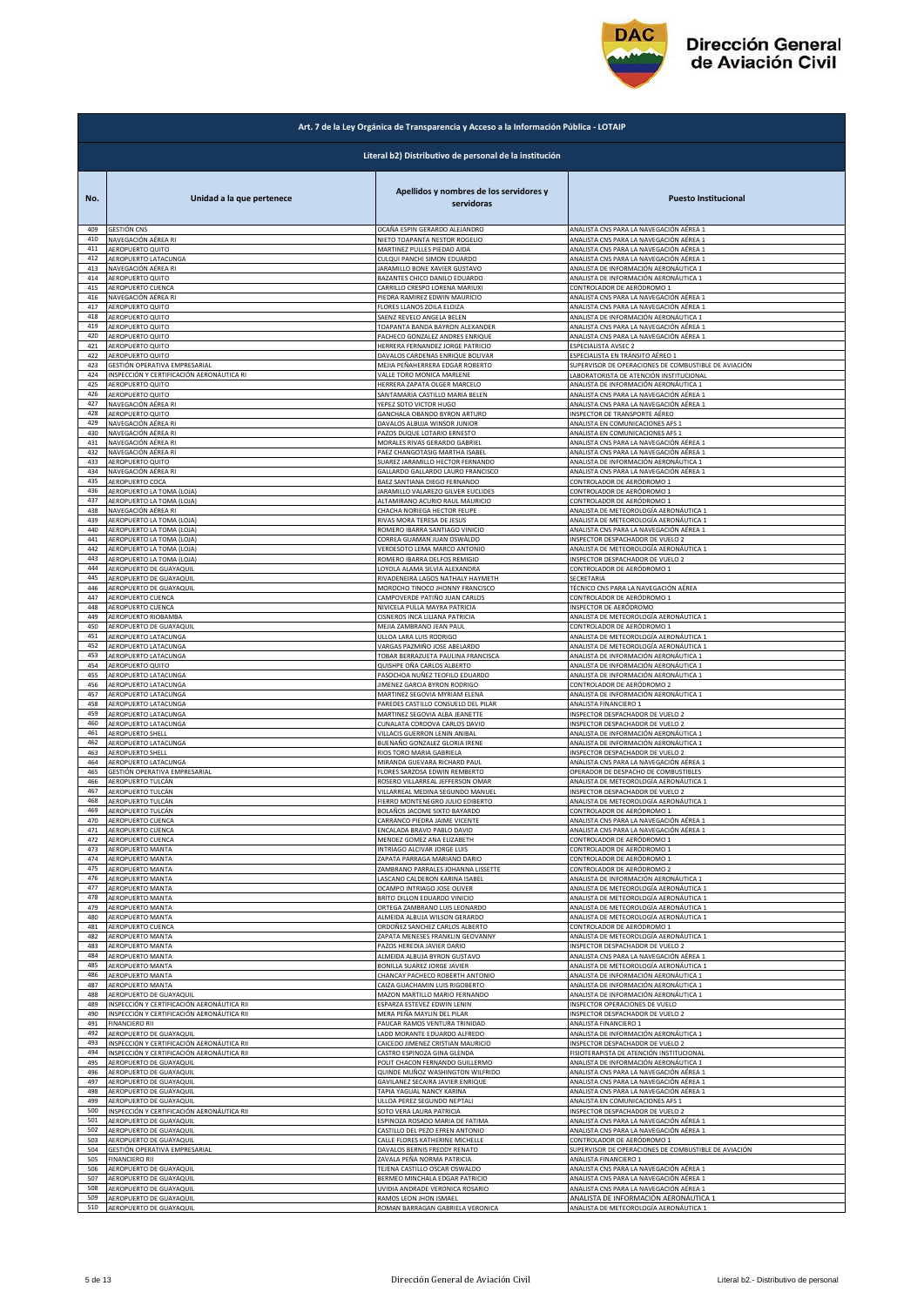

|            | Art. 7 de la Ley Orgánica de Transparencia y Acceso a la Información Pública - LOTAIP |                                                                    |                                                                                |  |
|------------|---------------------------------------------------------------------------------------|--------------------------------------------------------------------|--------------------------------------------------------------------------------|--|
|            | Literal b2) Distributivo de personal de la institución                                |                                                                    |                                                                                |  |
| No.        | Unidad a la que pertenece                                                             | Apellidos y nombres de los servidores y<br>servidoras              | <b>Puesto Institucional</b>                                                    |  |
| 409        | GESTIÓN CNS                                                                           | OCAÑA ESPIN GERARDO ALEJANDRO                                      | ANALISTA CNS PARA LA NAVEGACIÓN AÉREA 1                                        |  |
| 410        | NAVEGACIÓN AÉREA RI                                                                   | NIETO TOAPANTA NESTOR ROGELIO                                      | ANALISTA CNS PARA LA NAVEGACIÓN AÉREA 1                                        |  |
| 411        | AEROPUERTO QUITO                                                                      | MARTINEZ PULLES PIEDAD AIDA                                        | ANALISTA CNS PARA LA NAVEGACIÓN AÉREA 1                                        |  |
| 412        | AEROPUERTO LATACUNGA                                                                  | CULQUI PANCHI SIMON EDUARDO                                        | ANALISTA CNS PARA LA NAVEGACIÓN AÉREA 1                                        |  |
| 413        | NAVEGACIÓN AÉREA RI                                                                   | JARAMILLO BONE XAVIER GUSTAVO                                      | ANALISTA DE INFORMACIÓN AERONÁUTICA 1                                          |  |
| 414        | <b>AEROPUERTO QUITO</b>                                                               | BAZANTES CHICO DANILO EDUARDO                                      | ANALISTA DE INFORMACIÓN AERONÁUTICA 1                                          |  |
| 415<br>416 | AEROPUERTO CUENCA                                                                     | CARRILLO CRESPO LORENA MARIUXI                                     | CONTROLADOR DE AERÓDROMO 1                                                     |  |
| 417        | NAVEGACIÓN AÉREA RI                                                                   | PIEDRA RAMIREZ EDWIN MAURICIO                                      | ANALISTA CNS PARA LA NAVEGACIÓN AÉREA 1                                        |  |
|            | AEROPUERTO QUITO                                                                      | FLORES LLANOS ZOILA ELOIZA                                         | ANALISTA CNS PARA LA NAVEGACIÓN AÉREA 1                                        |  |
| 418        | AEROPUERTO QUITO                                                                      | SAENZ REVELO ANGELA BELEN                                          | ANALISTA DE INFORMACIÓN AERONÁUTICA 1                                          |  |
| 419        | AEROPUERTO QUITO                                                                      | TOAPANTA BANDA BAYRON ALEXANDER                                    | ANALISTA CNS PARA LA NAVEGACIÓN AÉREA 1                                        |  |
| 420        | AEROPUERTO QUITO                                                                      | PACHECO GONZALEZ ANDRES ENRIQUE                                    | ANALISTA CNS PARA LA NAVEGACIÓN AÉREA 1                                        |  |
| 421        | AEROPUERTO QUITO                                                                      | HERRERA FERNANDEZ JORGE PATRICIO                                   | ESPECIALISTA AVSEC 2                                                           |  |
| 422        | AEROPUERTO QUITO                                                                      | DAVALOS CARDENAS ENRIQUE BOLIVAR                                   | ESPECIALISTA EN TRÁNSITO AÉREO 1                                               |  |
| 423        | GESTIÓN OPERATIVA EMPRESARIAL                                                         | MEJIA PEÑAHERRERA EDGAR ROBERTO                                    | SUPERVISOR DE OPERACIONES DE COMBUSTIBLE DE AVIACIÓN                           |  |
| 424        | INSPECCIÓN Y CERTIFICACIÓN AERONÁUTICA RI                                             | VALLE TORO MONICA MARLENE                                          | LABORATORISTA DE ATENCIÓN INSTITUCIONAL                                        |  |
| 425        | AEROPUERTO QUITO                                                                      | HERRERA ZAPATA OLGER MARCELO                                       | ANALISTA DE INFORMACIÓN AERONÁUTICA 1                                          |  |
| 426        | AEROPUERTO QUITO                                                                      | SANTAMARIA CASTILLO MARIA BELEN                                    | ANALISTA CNS PARA LA NAVEGACIÓN AÉREA 1                                        |  |
| 427        | NAVEGACIÓN AÉREA RI                                                                   | YEPEZ SOTO VICTOR HUGO                                             | ANALISTA CNS PARA LA NAVEGACIÓN AÉREA 1                                        |  |
| 428        | AEROPUERTO QUITO                                                                      | GANCHALA OBANDO BYRON ARTURO                                       | INSPECTOR DE TRANSPORTE AÉREO                                                  |  |
| 429        | NAVEGACIÓN AÉREA RI                                                                   | DAVALOS ALBUJA WINSOR JUNIOR                                       | ANALISTA EN COMUNICACIONES AFS 1                                               |  |
| 430        | NAVEGACIÓN AÉREA RI                                                                   | PAZOS DUQUE LOTARIO ERNESTO                                        | ANALISTA EN COMUNICACIONES AFS 1                                               |  |
| 431        | NAVEGACIÓN AÉREA RI                                                                   | MORALES RIVAS GERARDO GABRIEL                                      | ANALISTA CNS PARA LA NAVEGACIÓN AÉREA 1                                        |  |
| 432        | NAVEGACIÓN AÉREA RI                                                                   | PAEZ CHANGOTASIG MARTHA ISABEL                                     | ANALISTA CNS PARA LA NAVEGACIÓN AÉREA 1                                        |  |
| 433        | AEROPUERTO QUITO                                                                      | SUAREZ JARAMILLO HECTOR FERNANDO                                   | ANALISTA DE INFORMACIÓN AERONÁUTICA 1                                          |  |
| 434        | NAVEGACIÓN AÉREA RI                                                                   | GALLARDO GALLARDO LAURO FRANCISCO                                  | ANALISTA CNS PARA LA NAVEGACIÓN AÉREA 1                                        |  |
| 435        | AEROPUERTO COCA                                                                       | BAEZ SANTIANA DIEGO FERNANDO                                       | CONTROLADOR DE AERÓDROMO 1                                                     |  |
| 436        | AEROPUERTO LA TOMA (LOJA)                                                             | JARAMILLO VALAREZO GILVER EUCLIDES                                 | CONTROLADOR DE AERÓDROMO 1                                                     |  |
| 437        | AEROPUERTO LA TOMA (LOJA)                                                             | ALTAMIRANO ACURIO RAUL MAURICIO                                    | CONTROLADOR DE AERÓDROMO 1                                                     |  |
| 438        | NAVEGACIÓN AÉREA RI                                                                   | CHACHA NORIEGA HECTOR FELIPE                                       | ANALISTA DE METEOROLOGÍA AERONÁUTICA 1                                         |  |
| 439        | AEROPUERTO LA TOMA (LOJA)                                                             | RIVAS MORA TERESA DE JESUS                                         | ANALISTA DE METEOROLOGÍA AERONÁUTICA 1                                         |  |
| 440        | AEROPUERTO LA TOMA (LOJA)                                                             | ROMERO IBARRA SANTIAGO VINICIO                                     | ANALISTA CNS PARA LA NAVEGACIÓN AÉREA 1                                        |  |
| 441        | AEROPUERTO LA TOMA (LOJA)                                                             | CORREA GUAMAN JUAN OSWALDO                                         | INSPECTOR DESPACHADOR DE VUELO 2                                               |  |
| 442        | AEROPUERTO LA TOMA (LOJA)                                                             | VERDESOTO LEMA MARCO ANTONIO                                       | ANALISTA DE METEOROLOGÍA AERONÁUTICA 1                                         |  |
| 443        | AEROPUERTO LA TOMA (LOJA)                                                             | ROMERO IBARRA DELFOS REMIGIO                                       | INSPECTOR DESPACHADOR DE VUELO 2                                               |  |
| 444        | AEROPUERTO DE GUAYAQUIL                                                               | LOYOLA ALAMA SILVIA ALEXANDRA                                      | CONTROLADOR DE AERÓDROMO 1                                                     |  |
| 445        | AEROPUERTO DE GUAYAQUIL                                                               | RIVADENEIRA LAGOS NATHALY HAYMETH                                  | SECRETARIA                                                                     |  |
| 446        | AEROPUERTO DE GUAYAQUIL                                                               | MOROCHO TINOCO JHONNY FRANCISCO                                    | TÉCNICO CNS PARA LA NAVEGACIÓN AÉREA                                           |  |
| 447        | AEROPUERTO CUENCA                                                                     | CAMPOVERDE PATIÑO JUAN CARLOS                                      | CONTROLADOR DE AERÓDROMO 1                                                     |  |
| 448        | AEROPUERTO CUENCA                                                                     | NIVICELA PULLA MAYRA PATRICIA                                      | INSPECTOR DE AERÓDROMO                                                         |  |
| 449        | AEROPUERTO RIOBAMBA                                                                   | CISNEROS INCA LILIANA PATRICIA                                     | ANALISTA DE METEOROLOGÍA AERONÁUTICA 1                                         |  |
| 450        | AEROPUERTO DE GUAYAQUIL                                                               | MEJIA ZAMBRANO JEAN PAUL                                           | CONTROLADOR DE AERÓDROMO 1                                                     |  |
| 451        | AEROPUERTO LATACUNGA                                                                  | ULLOA LARA LUIS RODRIGO                                            | ANALISTA DE METEOROLOGÍA AERONÁUTICA 1                                         |  |
| 452        | AEROPUERTO LATACUNGA                                                                  | VARGAS PAZMIÑO JOSE ABELARDO                                       | ANALISTA DE METEOROLOGÍA AERONÁUTICA 1                                         |  |
| 453        | AEROPUERTO LATACUNGA                                                                  | TOBAR BERRAZUETA PAULINA FRANCISCA                                 | ANALISTA DE INFORMACIÓN AERONÁUTICA 1                                          |  |
| 454        | <b>AEROPUERTO QUITO</b>                                                               | QUISHPE OÑA CARLOS ALBERTO                                         | ANALISTA DE INFORMACIÓN AERONÁUTICA 1                                          |  |
| 455        | AEROPUERTO LATACUNGA                                                                  | PASOCHOA NUÑEZ TEOFILO EDUARDO                                     | ANALISTA DE INFORMACIÓN AERONÁUTICA 1                                          |  |
| 456        | AEROPUERTO LATACUNGA                                                                  | JIMENEZ GARCIA BYRON RODRIGO                                       | CONTROLADOR DE AERÓDROMO 2                                                     |  |
| 457        | AEROPUERTO LATACUNGA                                                                  | MARTINEZ SEGOVIA MYRIAM ELENA                                      | ANALISTA DE INFORMACIÓN AERONÁUTICA 1                                          |  |
| 458        | AEROPUERTO LATACUNGA                                                                  | PAREDES CASTILLO CONSUELO DEL PILAR                                | ANALISTA FINANCIERO 1                                                          |  |
| 459        | AEROPUERTO LATACUNGA                                                                  | MARTINEZ SEGOVIA ALBA JEANETTE                                     | INSPECTOR DESPACHADOR DE VUELO 2                                               |  |
| 460<br>461 | AEROPUERTO LATACUNGA                                                                  | CUNALATA CORDOVA CARLOS DAVID<br>VILLACIS GUERRON LENIN ANIBAL     | INSPECTOR DESPACHADOR DE VUELO 2                                               |  |
| 462        | AEROPUERTO SHELL<br>AEROPUERTO LATACUNGA                                              | BUENAÑO GONZALEZ GLORIA IRENE                                      | ANALISTA DE INFORMACIÓN AERONÁUTICA 1<br>ANALISTA DE INFORMACIÓN AERONÁUTICA 1 |  |
| 463        | <b>AEROPUERTO SHELL</b>                                                               | RIOS TORO MARIA GABRIELA                                           | INSPECTOR DESPACHADOR DE VUELO 2                                               |  |
| 464        | AEROPUERTO LATACUNGA                                                                  | MIRANDA GUEVARA RICHARD PAUL                                       | ANALISTA CNS PARA LA NAVEGACIÓN AÉREA 1                                        |  |
| 465        | GESTIÓN OPERATIVA EMPRESARIAL                                                         | FLORES SARZOSA EDWIN REMBERTO                                      | OPERADOR DE DESPACHO DE COMBUSTIBLES                                           |  |
| 466        | AEROPUERTO TULCÁN                                                                     | ROSERO VILLARREAL JEFFERSON OMAR                                   | ANALISTA DE METEOROLOGÍA AERONÁUTICA 1                                         |  |
| 467        | AEROPUERTO TULCÁN                                                                     | VILLARREAL MEDINA SEGUNDO MANUEL                                   | INSPECTOR DESPACHADOR DE VUELO 2                                               |  |
| 468        | AEROPUERTO TULCÁN                                                                     | FIERRO MONTENEGRO JULIO EDIBERTO                                   | ANALISTA DE METEOROLOGÍA AERONÁUTICA 1                                         |  |
| 469        | AEROPUERTO TULCAN                                                                     | BOLANOS JACOME SIXTO BAYARDO                                       | CONTROLADOR DE AERODROMO 1                                                     |  |
| 470        | <b>AEROPUERTO CUENCA</b>                                                              | CARRANCO PIEDRA JAIME VICENTE                                      | ANALISTA CNS PARA LA NAVEGACIÓN AÉREA 1                                        |  |
| 471        | AEROPUERTO CUENCA                                                                     | ENCALADA BRAVO PABLO DAVID                                         | ANALISTA CNS PARA LA NAVEGACIÓN AÉREA 1                                        |  |
| 472        | AEROPUERTO CUENCA                                                                     | MENDEZ GOMEZ ANA ELIZABETH                                         | CONTROLADOR DE AERÓDROMO 1                                                     |  |
| 473        | AEROPUERTO MANTA                                                                      | INTRIAGO ALCIVAR JORGE LUIS                                        | CONTROLADOR DE AERÓDROMO 1                                                     |  |
| 474        | AEROPUERTO MANTA                                                                      | ZAPATA PARRAGA MARIANO DARIO                                       | CONTROLADOR DE AERÓDROMO 1                                                     |  |
| 475        | AEROPUERTO MANTA                                                                      | ZAMBRANO PARRALES JOHANNA LISSETTE                                 | CONTROLADOR DE AERÓDROMO 2                                                     |  |
| 476        | AEROPUERTO MANTA                                                                      | LASCANO CALDERON KARINA ISABEI                                     | ANALISTA DE INFORMACIÓN AERONÁUTICA 1                                          |  |
| 477        | AEROPUERTO MANTA                                                                      | OCAMPO INTRIAGO JOSE OLIVER                                        | ANALISTA DE METEOROLOGÍA AERONÁUTICA 1                                         |  |
| 478        | AEROPUERTO MANTA                                                                      | BRITO DILLON EDUARDO VINICIO                                       | ANALISTA DE METEOROLOGÍA AERONÁUTICA 1                                         |  |
| 479        | AEROPUERTO MANTA                                                                      | ORTEGA ZAMBRANO LUIS LEONARDO                                      | ANALISTA DE METEOROLOGÍA AERONÁUTICA 1                                         |  |
| 480        | AEROPUERTO MANTA                                                                      | ALMEIDA ALBUJA WILSON GERARDO                                      | ANALISTA DE METEOROLOGÍA AERONÁUTICA 1                                         |  |
| 481        | AEROPUERTO CUENCA                                                                     |                                                                    | CONTROLADOR DE AERÓDROMO 1                                                     |  |
| 482        | AEROPUERTO MANTA                                                                      | ORDOÑEZ SANCHEZ CARLOS ALBERTO<br>ZAPATA MENESES FRANKLIN GEOVANNY | ANALISTA DE METEOROLOGÍA AERONÁUTICA 1                                         |  |
| 483        | AEROPUERTO MANTA                                                                      | PAZOS HEREDIA JAVIER DARIO                                         | INSPECTOR DESPACHADOR DE VUELO 2                                               |  |
| 484        | AEROPUERTO MANTA                                                                      | ALMEIDA ALBUJA BYRON GUSTAVO                                       | ANALISTA CNS PARA LA NAVEGACIÓN AÉREA 1                                        |  |
| 485        | AEROPUERTO MANTA                                                                      | BONILLA SUAREZ JORGE JAVIER                                        | ANALISTA DE METEOROLOGÍA AERONÁUTICA 1                                         |  |
| 486        | AEROPUERTO MANTA                                                                      | CHANCAY PACHECO ROBERTH ANTONIO                                    | ANALISTA DE INFORMACIÓN AERONÁUTICA 1                                          |  |
| 487        | AEROPUERTO MANTA                                                                      | CAIZA GUACHAMIN LUIS RIGOBERTO                                     | ANALISTA DE INFORMACIÓN AERONÁUTICA 1                                          |  |
| 488        | AEROPUERTO DE GUAYAQUIL                                                               | MAZON MARTILLO MARIO FERNANDO                                      | ANALISTA DE INFORMACIÓN AERONÁUTICA 1                                          |  |
| 489        | INSPECCIÓN Y CERTIFICACIÓN AERONÁUTICA RII                                            | ESPARZA ESTEVEZ EDWIN LENIN                                        | INSPECTOR OPERACIONES DE VUELO                                                 |  |
| 490        | INSPECCIÓN Y CERTIFICACIÓN AERONÁUTICA RII                                            | MERA PEÑA MAYLIN DEL PILAR                                         | INSPECTOR DESPACHADOR DE VUELO 2                                               |  |
| 491        | <b>FINANCIERO RII</b>                                                                 | PAUCAR RAMOS VENTURA TRINIDAD                                      | ANALISTA FINANCIERO 1                                                          |  |
| 492        | AEROPUERTO DE GUAYAQUIL                                                               | LADD MORANTE EDUARDO ALFREDO                                       | ANALISTA DE INFORMACIÓN AERONÁUTICA 1                                          |  |
| 493        | NSPECCIÓN Y CERTIFICACIÓN AERONÁUTICA RII                                             | CAICEDO JIMENEZ CRISTIAN MAURICIO                                  | INSPECTOR DESPACHADOR DE VUELO 2                                               |  |
| 494        | INSPECCIÓN Y CERTIFICACIÓN AERONÁUTICA RII                                            | CASTRO ESPINOZA GINA GLENDA                                        | FISIOTERAPISTA DE ATENCIÓN INSTITUCIONAL                                       |  |
| 495        | AEROPUERTO DE GUAYAQUIL                                                               | POLIT CHACON FERNANDO GUILLERMO                                    | ANALISTA DE INFORMACIÓN AERONÁUTICA 1                                          |  |
| 496        | AEROPUERTO DE GUAYAQUIL                                                               | QUINDE MUÑOZ WASHINGTON WILFRIDO                                   | ANALISTA CNS PARA LA NAVEGACIÓN AÉREA 1                                        |  |
| 497        | AEROPUERTO DE GUAYAQUIL                                                               | GAVILANEZ SECAIRA JAVIER ENRIQUE                                   | ANALISTA CNS PARA LA NAVEGACIÓN AÉREA 1                                        |  |
| 498        | AEROPUERTO DE GUAYAQUIL                                                               | TAPIA YAGUAL NANCY KARINA                                          | ANALISTA CNS PARA LA NAVEGACIÓN AÉREA 1                                        |  |
| 499        | AEROPUERTO DE GUAYAQUIL                                                               | ULLOA PEREZ SEGUNDO NEPTALI                                        | ANALISTA EN COMUNICACIONES AFS 1                                               |  |
| 500        | INSPECCIÓN Y CERTIFICACIÓN AERONÁUTICA RII                                            | SOTO VERA LAURA PATRICIA                                           | INSPECTOR DESPACHADOR DE VUELO 2                                               |  |
| 501        | AEROPUERTO DE GUAYAQUIL                                                               | ESPINOZA ROSADO MARIA DE FATIMA                                    | ANALISTA CNS PARA LA NAVEGACIÓN AÉREA 1                                        |  |
| 502        | AEROPUERTO DE GUAYAQUIL                                                               | CASTILLO DEL PEZO EFREN ANTONIO                                    | ANALISTA CNS PARA LA NAVEGACIÓN AÉREA 1                                        |  |
| 503        | AEROPUERTO DE GUAYAQUIL                                                               | CALLE FLORES KATHERINE MICHELLE                                    | CONTROLADOR DE AERÓDROMO 1                                                     |  |
| 504        | GESTIÓN OPERATIVA EMPRESARIAL                                                         | DAVALOS BERNIS FREDDY RENATO                                       | SUPERVISOR DE OPERACIONES DE COMBUSTIBLE DE AVIACIÓN                           |  |
| 505        | FINANCIERO RII                                                                        | ZAVALA PEÑA NORMA PATRICIA                                         | ANALISTA FINANCIERO 1                                                          |  |
| 506        | AEROPUERTO DE GUAYAQUIL                                                               | TEJENA CASTILLO OSCAR OSWALDO                                      | ANALISTA CNS PARA LA NAVEGACIÓN AÉREA 1                                        |  |
| 507        | AEROPUERTO DE GUAYAQUIL                                                               | BERMEO MINCHALA EDGAR PATRICIO                                     | ANALISTA CNS PARA LA NAVEGACIÓN AÉREA 1                                        |  |
| 508        | AEROPUERTO DE GUAYAQUIL                                                               | UVIDIA ANDRADE VERONICA ROSARIO                                    | ANALISTA CNS PARA LA NAVEGACIÓN AÉREA 1                                        |  |
| 509        | AEROPUERTO DE GUAYAQUIL                                                               | RAMOS LEON JHON ISMAEL                                             | ANALISTA DE INFORMACIÓN AERONÁUTICA 1                                          |  |
| 510        | AEROPUERTO DE GUAYAQUIL                                                               | ROMAN BARRAGAN GABRIELA VERONICA                                   | ANALISTA DE METEOROLOGÍA AERONÁUTICA 1                                         |  |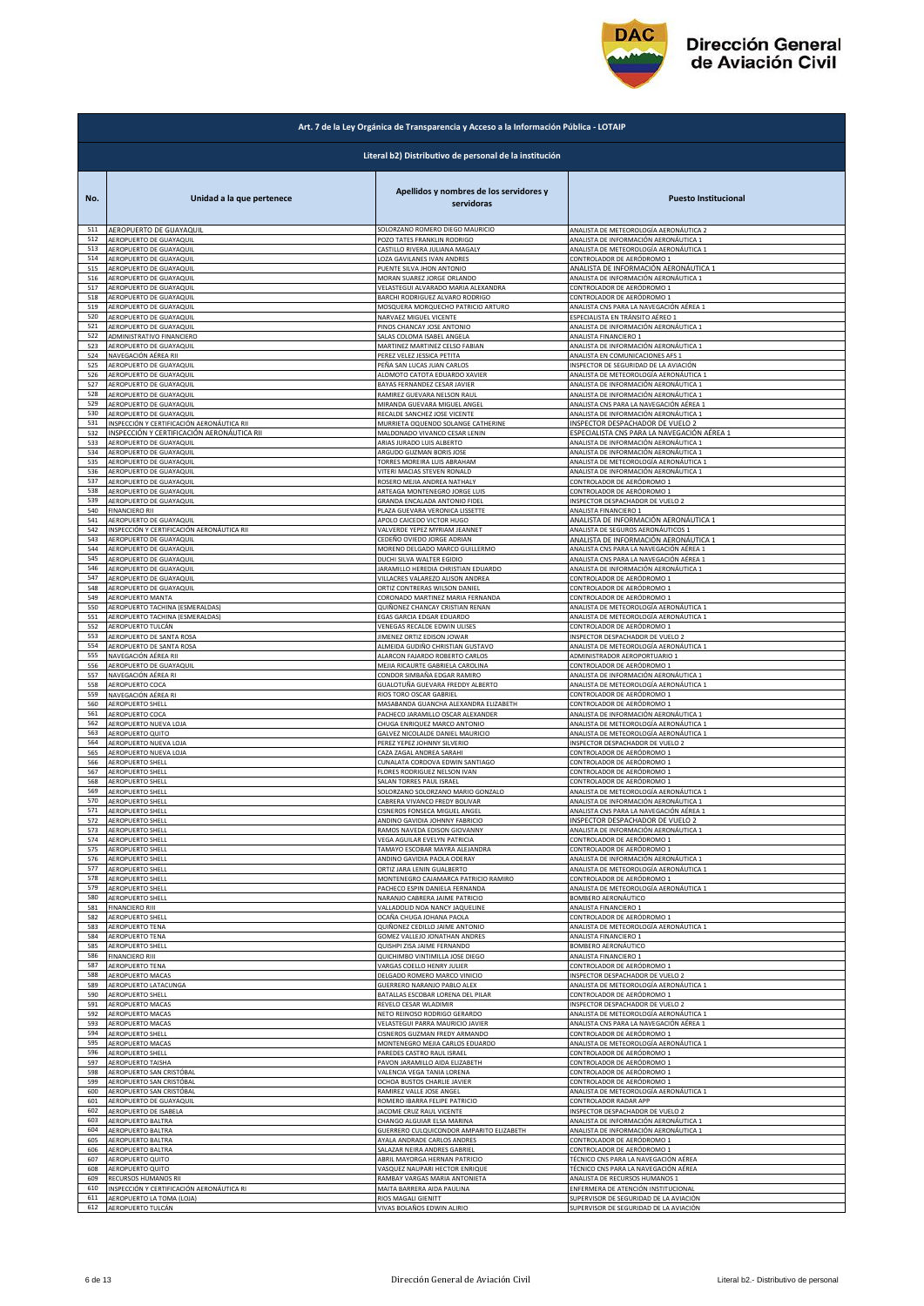

| Literal b2) Distributivo de personal de la institución<br>Apellidos y nombres de los servidores y<br>Unidad a la que pertenece<br><b>Puesto Institucional</b><br>No.<br>servidoras<br>AEROPUERTO DE GUAYAQUIL<br>511<br>SOLORZANO ROMERO DIEGO MAURICIO<br>ANALISTA DE METEOROLOGÍA AERONÁUTICA 2<br>512<br>AEROPUERTO DE GUAYAQUIL<br>POZO TATES FRANKLIN RODRIGO<br>ANALISTA DE INFORMACIÓN AERONÁUTICA 1<br>513<br>AEROPUERTO DE GUAYAQUIL<br>CASTILLO RIVERA JULIANA MAGALY<br>ANALISTA DE METEOROLOGÍA AERONÁUTICA 1<br>514<br>AEROPUERTO DE GUAYAQUIL<br>LOZA GAVILANES IVAN ANDRES<br>CONTROLADOR DE AERÓDROMO 1<br>515<br>AEROPUERTO DE GUAYAQUIL<br>PUENTE SILVA JHON ANTONIO<br>ANALISTA DE INFORMACIÓN AERONÁUTICA 1<br>516<br>AEROPUERTO DE GUAYAQUIL<br>MORAN SUAREZ JORGE ORLANDO<br>ANALISTA DE INFORMACIÓN AERONÁUTICA 1<br>517<br>AEROPUERTO DE GUAYAQUIL<br>VELASTEGUI ALVARADO MARIA ALEXANDRA<br>CONTROLADOR DE AERÓDROMO 1<br>518<br>BARCHI RODRIGUEZ ALVARO RODRIGO<br>AEROPUERTO DE GUAYAQUIL<br>CONTROLADOR DE AERÓDROMO 1<br>519<br>AEROPUERTO DE GUAYAQUIL<br>MOSQUERA MORQUECHO PATRICIO ARTURO<br>ANALISTA CNS PARA LA NAVEGACIÓN AÉREA 1<br>520<br>AEROPUERTO DE GUAYAQUIL<br>NARVAEZ MIGUEL VICENTE<br>ESPECIALISTA EN TRÁNSITO AÉREO 1<br>521<br>AEROPUERTO DE GUAYAQUIL<br>PINOS CHANCAY JOSE ANTONIO<br>ANALISTA DE INFORMACIÓN AERONÁUTICA 1<br>522<br>ADMINISTRATIVO FINANCIERO<br>SALAS COLOMA ISABEL ANGELA<br>ANALISTA FINANCIERO 1<br>523<br>AEROPUERTO DE GUAYAQUIL<br>MARTINEZ MARTINEZ CELSO FABIAN<br>ANALISTA DE INFORMACIÓN AERONÁUTICA 1<br>524<br>NAVEGACIÓN AÉREA RII<br>PEREZ VELEZ JESSICA PETITA<br>ANALISTA EN COMUNICACIONES AFS 1<br>525<br>AEROPUERTO DE GUAYAQUIL<br>PEÑA SAN LUCAS JUAN CARLOS<br>INSPECTOR DE SEGURIDAD DE LA AVIACIÓN<br>ANALISTA DE METEOROLOGÍA AERONÁUTICA 1<br>526<br>AEROPUERTO DE GUAYAQUIL<br>ALOMOTO CATOTA EDUARDO XAVIER<br>527<br>AEROPUERTO DE GUAYAQUIL<br>BAYAS FERNANDEZ CESAR JAVIER<br>ANALISTA DE INFORMACIÓN AERONÁUTICA 1<br>ANALISTA DE INFORMACIÓN AERONÁUTICA 1<br>528<br>AEROPUERTO DE GUAYAQUIL<br>RAMIREZ GUEVARA NELSON RAUL<br>529<br>AEROPUERTO DE GUAYAQUIL<br>MIRANDA GUEVARA MIGUEL ANGEL<br>ANALISTA CNS PARA LA NAVEGACIÓN AÉREA 1<br>530<br>RECALDE SANCHEZ JOSE VICENTE<br>ANALISTA DE INFORMACIÓN AERONÁUTICA 1<br>AEROPUERTO DE GUAYAQUIL<br>INSPECCIÓN Y CERTIFICACIÓN AERONÁUTICA RI<br>531<br>MURRIETA OQUENDO SOLANGE CATHERINE<br>INSPECTOR DESPACHADOR DE VUELO 2<br>INSPECCIÓN Y CERTIFICACIÓN AERONÁUTICA RII<br>532<br>MALDONADO VIVANCO CESAR LENIN<br>ESPECIALISTA CNS PARA LA NAVEGACIÓN AÉREA 1<br>533<br>AEROPUERTO DE GUAYAQUIL<br>ARIAS JURADO LUIS ALBERTO<br>ANALISTA DE INFORMACIÓN AERONÁUTICA 1<br>534<br>AEROPUERTO DE GUAYAQUIL<br>ARGUDO GUZMAN BORIS JOSE<br>ANALISTA DE INFORMACIÓN AERONÁUTICA 1<br>535<br>AEROPUERTO DE GUAYAQUIL<br>TORRES MOREIRA LUIS ABRAHAM<br>ANALISTA DE METEOROLOGÍA AERONÁUTICA 1<br>536<br>AEROPUERTO DE GUAYAQUIL<br>VITERI MACIAS STEVEN RONALD<br>ANALISTA DE INFORMACIÓN AERONÁUTICA 1<br>537<br>AEROPUERTO DE GUAYAQUIL<br>ROSERO MEJIA ANDREA NATHALY<br>CONTROLADOR DE AERÓDROMO 1<br>538<br>AEROPUERTO DE GUAYAQUIL<br>ARTEAGA MONTENEGRO JORGE LUIS<br>CONTROLADOR DE AERÓDROMO 1<br>539<br>AEROPUERTO DE GUAYAQUIL<br>GRANDA ENCALADA ANTONIO FIDEL<br>INSPECTOR DESPACHADOR DE VUELO 2<br>540<br><b>FINANCIERO RII</b><br>PLAZA GUEVARA VERONICA LISSETTE<br>ANALISTA FINANCIERO 1<br>ANALISTA DE INFORMACIÓN AERONÁUTICA 1<br>541<br>AEROPUERTO DE GUAYAQUIL<br>APOLO CAICEDO VICTOR HUGO<br>542<br>INSPECCIÓN Y CERTIFICACIÓN AERONÁUTICA RII<br>ANALISTA DE SEGUROS AERONÁUTICOS 1<br>VALVERDE YEPEZ MYRIAM JEANNET<br>543<br>AEROPUERTO DE GUAYAQUIL<br>CEDEÑO OVIEDO JORGE ADRIAN<br>ANALISTA DE INFORMACIÓN AERONÁUTICA 1<br>544<br>MORENO DELGADO MARCO GUILLERMO<br>ANALISTA CNS PARA LA NAVEGACIÓN AÉREA 1<br>AEROPUERTO DE GUAYAQUIL<br>545<br>AEROPUERTO DE GUAYAQUIL<br>DUCHI SILVA WALTER EGIDIO<br>ANALISTA CNS PARA LA NAVEGACIÓN AÉREA 1<br>546<br>AEROPUERTO DE GUAYAQUIL<br>JARAMILLO HEREDIA CHRISTIAN EDUARDO<br>ANALISTA DE INFORMACIÓN AERONÁUTICA 1<br>547<br>AEROPUERTO DE GUAYAQUIL<br>VILLACRES VALAREZO ALISON ANDREA<br>CONTROLADOR DE AERÓDROMO 1<br>548<br>AEROPUERTO DE GUAYAQUIL<br>ORTIZ CONTRERAS WILSON DANIEL<br>CONTROLADOR DE AERÓDROMO 1<br>549<br>AEROPUERTO MANTA<br>CORONADO MARTINEZ MARIA FERNANDA<br>CONTROLADOR DE AERÓDROMO 1<br>550<br>AEROPUERTO TACHINA (ESMERALDAS)<br>QUIÑONEZ CHANCAY CRISTIAN RENAN<br>ANALISTA DE METEOROLOGÍA AERONÁUTICA 1<br>AEROPUERTO TACHINA (ESMERALDAS)<br>ANALISTA DE METEOROLOGÍA AERONÁUTICA 1<br>551<br>EGAS GARCIA EDGAR EDUARDO<br>552<br>AEROPUERTO TULCÁN<br>VENEGAS RECALDE EDWIN ULISES<br>CONTROLADOR DE AERÓDROMO 1<br>553<br>AEROPUERTO DE SANTA ROSA<br><b>IIMENEZ ORTIZ EDISON JOWAR</b><br>INSPECTOR DESPACHADOR DE VUELO 2<br>554<br>AEROPUERTO DE SANTA ROSA<br>ALMEIDA GUDIÑO CHRISTIAN GUSTAVO<br>ANALISTA DE METEOROLOGÍA AERONÁUTICA 1<br>555<br>NAVEGACIÓN AÉREA RII<br>ALARCON FAJARDO ROBERTO CARLOS<br>ADMINISTRADOR AEROPORTUARIO 1<br>556<br>AEROPUERTO DE GUAYAQUIL<br>MEJIA RICAURTE GABRIELA CAROLINA<br>CONTROLADOR DE AERÓDROMO 1<br>557<br>NAVEGACIÓN AÉREA RI<br>CONDOR SIMBAÑA EDGAR RAMIRO<br>ANALISTA DE INFORMACIÓN AERONÁUTICA 1<br>558<br>AEROPUERTO COCA<br>GUALOTUÑA GUEVARA FREDDY ALBERTO<br>ANALISTA DE METEOROLOGÍA AERONÁUTICA 1<br>VAVEGACIÓN AÉREA RI<br>559<br>RIOS TORO OSCAR GABRIEL<br>CONTROLADOR DE AERÓDROMO 1<br>560<br>AEROPUERTO SHELL<br>MASABANDA GUANCHA ALEXANDRA ELIZABETH<br>CONTROLADOR DE AERÓDROMO 1<br>561<br>PACHECO JARAMILLO OSCAR ALEXANDER<br>AEROPUERTO COCA<br>ANALISTA DE INFORMACIÓN AERONÁUTICA 1<br>562<br>AEROPUERTO NUEVA LOJA<br>CHUGA ENRIQUEZ MARCO ANTONIO<br>ANALISTA DE METEOROLOGÍA AERONÁUTICA 1<br>563<br>GALVEZ NICOLALDE DANIEL MAURICIO<br>AEROPUERTO QUITO<br>ANALISTA DE METEOROLOGÍA AERONÁUTICA 1<br>564<br>AEROPUERTO NUEVA LOJA<br>PEREZ YEPEZ JOHNNY SILVERIO<br>INSPECTOR DESPACHADOR DE VUELO 2<br>565<br>AEROPUERTO NUEVA LOJA<br>CAZA ZAGAL ANDREA SARAHI<br>CONTROLADOR DE AERÓDROMO 1<br>566<br>AEROPUERTO SHELL<br>CUNALATA CORDOVA EDWIN SANTIAGO<br>CONTROLADOR DE AERÓDROMO 1<br>567<br>AEROPUERTO SHELL<br>FLORES RODRIGUEZ NELSON IVAN<br>CONTROLADOR DE AERÓDROMO 1<br>AEROPUERTO SHELL<br>568<br>SALAN TORRES PAUL ISRAEL<br>CONTROLADOR DE AERÓDROMO 1<br>569<br>SOLORZANO SOLORZANO MARIO GONZALO<br>ANALISTA DE METEOROLOGÍA AERONÁUTICA 1<br>AEROPUERTO SHELL<br>570<br>AEROPUERTO SHELL<br>CABRERA VIVANCO FREDY BOLIVAR<br>ANALISTA DE INFORMACIÓN AERONÁUTICA 1<br>571<br>ALKOPULKTO SHLLI<br>ISNEKUS FUNSELA MIGUEL ANGE.<br>ANALISTA UNS PAKA LA NAVEGALION AEKEA<br>572<br>AEROPUERTO SHELL<br>ANDINO GAVIDIA JOHNNY FABRICIO<br>INSPECTOR DESPACHADOR DE VUELO 2<br>573<br>AEROPUERTO SHELL<br>RAMOS NAVEDA EDISON GIOVANNY<br>ANALISTA DE INFORMACIÓN AERONÁUTICA 1<br>AEROPUERTO SHELL<br>VEGA AGUILAR EVELYN PATRICIA<br>CONTROLADOR DE AERÓDROMO 1<br>574<br>575<br>AEROPUERTO SHELL<br>TAMAYO ESCOBAR MAYRA ALEJANDRA<br>CONTROLADOR DE AERÓDROMO 1<br>576<br>AEROPUERTO SHELL<br>ANDINO GAVIDIA PAOLA ODERAY<br>ANALISTA DE INFORMACIÓN AERONÁUTICA 1<br>577<br>AEROPUERTO SHELL<br>ORTIZ JARA LENIN GUALBERTO<br>ANALISTA DE METEOROLOGÍA AERONÁUTICA 1<br>578<br><b>AEROPUERTO SHELL</b><br>MONTENEGRO CAJAMARCA PATRICIO RAMIRO<br>CONTROLADOR DE AERÓDROMO 1<br>579<br>PACHECO ESPIN DANIELA FERNANDA<br>ANALISTA DE METEOROLOGÍA AERONÁUTICA 1<br>AEROPUERTO SHELL<br>580<br>AEROPUERTO SHELL<br>NARANJO CABRERA JAIME PATRICIO<br>BOMBERO AERONÁUTICO<br>581<br><b>FINANCIERO RIII</b><br>VALLADOLID NOA NANCY JAQUELINE<br>ANALISTA FINANCIERO 1<br>CONTROLADOR DE AERÓDROMO 1<br>582<br>AEROPUERTO SHELL<br>OCAÑA CHUGA JOHANA PAOLA<br>583<br>AEROPUERTO TENA<br>QUIÑONEZ CEDILLO JAIME ANTONIO<br>ANALISTA DE METEOROLOGÍA AERONÁUTICA 1<br>584<br><b>AEROPUERTO TENA</b><br>GOMEZ VALLEJO JONATHAN ANDRES<br><b>ANALISTA FINANCIERO 1</b><br>585<br>AEROPUERTO SHELL<br>QUISHPI ZISA JAIME FERNANDO<br>BOMBERO AERONÁUTICO<br>586<br>QUICHIMBO VINTIMILLA JOSE DIEGO<br>ANALISTA FINANCIERO 1<br>FINANCIERO RIII<br>587<br>VARGAS COELLO HENRY JULIER<br>CONTROLADOR DE AERÓDROMO 1<br>AEROPUERTO TENA<br>588<br><b>AEROPUERTO MACAS</b><br>DELGADO ROMERO MARCO VINICIO<br>INSPECTOR DESPACHADOR DE VUELO 2<br>589<br>AEROPUERTO LATACUNGA<br>GUERRERO NARANJO PABLO ALEX<br>ANALISTA DE METEOROLOGÍA AERONÁUTICA 1<br>590<br>AEROPUERTO SHELL<br>BATALLAS ESCOBAR LORENA DEL PILAR<br>CONTROLADOR DE AERÓDROMO 1<br>591<br>AEROPUERTO MACAS<br>REVELO CESAR WLADIMIR<br>INSPECTOR DESPACHADOR DE VUELO 2<br>592<br>AEROPUERTO MACAS<br>ANALISTA DE METEOROLOGÍA AERONÁUTICA 1<br>NETO REINOSO RODRIGO GERARDO<br>593<br>ANALISTA CNS PARA LA NAVEGACIÓN AÉREA 1<br>AEROPUERTO MACAS<br>VELASTEGUI PARRA MAURICIO JAVIER<br>594<br>AEROPUERTO SHELL<br>CISNEROS GUZMAN FREDY ARMANDO<br>CONTROLADOR DE AERÓDROMO 1<br>595<br>AEROPUERTO MACAS<br>MONTENEGRO MEJIA CARLOS EDUARDO<br>ANALISTA DE METEOROLOGÍA AERONÁUTICA 1<br>596<br>AEROPUERTO SHELL<br>PAREDES CASTRO RAUL ISRAEL<br>CONTROLADOR DE AERÓDROMO 1<br>597<br><b>AEROPUERTO TAISHA</b><br>PAVON JARAMILLO AIDA ELIZABETH<br>CONTROLADOR DE AERÓDROMO 1<br>598<br>AEROPUERTO SAN CRISTÓBAL<br>VALENCIA VEGA TANIA LORENA<br>CONTROLADOR DE AERÓDROMO 1<br>AEROPUERTO SAN CRISTÓBAL<br>OCHOA BUSTOS CHARLIE JAVIER<br>CONTROLADOR DE AERÓDROMO 1<br>599<br>600<br>AEROPUERTO SAN CRISTÓBAL<br>RAMIREZ VALLE JOSE ANGEL<br>ANALISTA DE METEOROLOGÍA AERONÁUTICA 1<br>601<br>AEROPUERTO DE GUAYAQUIL<br>ROMERO IBARRA FELIPE PATRICIO<br>CONTROLADOR RADAR APP<br>AEROPUERTO DE ISABELA<br>JACOME CRUZ RAUL VICENTE<br>INSPECTOR DESPACHADOR DE VUELO 2<br>602<br>603<br>AEROPUERTO BALTRA<br>CHANGO ALGUIAR ELSA MARINA<br>ANALISTA DE INFORMACIÓN AERONÁUTICA 1<br>604<br>AEROPUERTO BALTRA<br>GUERRERO CULQUICONDOR AMPARITO ELIZABETH<br>ANALISTA DE INFORMACIÓN AERONÁUTICA 1<br>AYALA ANDRADE CARLOS ANDRES<br>605<br>AEROPUERTO BALTRA<br>CONTROLADOR DE AERÓDROMO 1<br>606<br>SALAZAR NEIRA ANDRES GABRIEL<br><b>AEROPUERTO BALTRA</b><br>CONTROLADOR DE AERÓDROMO 1<br>607<br>AEROPUERTO QUITO<br>ABRIL MAYORGA HERNAN PATRICIO<br>TÉCNICO CNS PARA LA NAVEGACIÓN AÉREA<br>608<br>VASQUEZ NAUPARI HECTOR ENRIQUE<br>TÉCNICO CNS PARA LA NAVEGACIÓN AÉREA<br>AEROPUERTO QUITO<br>609<br>RECURSOS HUMANOS RII<br>RAMBAY VARGAS MARIA ANTONIETA<br>ANALISTA DE RECURSOS HUMANOS 1<br>610<br>MAITA BARRERA AIDA PAULINA<br>INSPECCIÓN Y CERTIFICACIÓN AERONÁUTICA RI<br>ENFERMERA DE ATENCIÓN INSTITUCIONAI<br>611<br>AEROPUERTO LA TOMA (LOJA)<br>RIOS MAGALI GIENITT<br>SUPERVISOR DE SEGURIDAD DE LA AVIACIÓN<br>612<br>AEROPUERTO TULCÁN<br>VIVAS BOLAÑOS EDWIN ALIRIO<br>SUPERVISOR DE SEGURIDAD DE LA AVIACIÓN | Art. 7 de la Ley Orgánica de Transparencia y Acceso a la Información Pública - LOTAIP |  |  |  |
|-------------------------------------------------------------------------------------------------------------------------------------------------------------------------------------------------------------------------------------------------------------------------------------------------------------------------------------------------------------------------------------------------------------------------------------------------------------------------------------------------------------------------------------------------------------------------------------------------------------------------------------------------------------------------------------------------------------------------------------------------------------------------------------------------------------------------------------------------------------------------------------------------------------------------------------------------------------------------------------------------------------------------------------------------------------------------------------------------------------------------------------------------------------------------------------------------------------------------------------------------------------------------------------------------------------------------------------------------------------------------------------------------------------------------------------------------------------------------------------------------------------------------------------------------------------------------------------------------------------------------------------------------------------------------------------------------------------------------------------------------------------------------------------------------------------------------------------------------------------------------------------------------------------------------------------------------------------------------------------------------------------------------------------------------------------------------------------------------------------------------------------------------------------------------------------------------------------------------------------------------------------------------------------------------------------------------------------------------------------------------------------------------------------------------------------------------------------------------------------------------------------------------------------------------------------------------------------------------------------------------------------------------------------------------------------------------------------------------------------------------------------------------------------------------------------------------------------------------------------------------------------------------------------------------------------------------------------------------------------------------------------------------------------------------------------------------------------------------------------------------------------------------------------------------------------------------------------------------------------------------------------------------------------------------------------------------------------------------------------------------------------------------------------------------------------------------------------------------------------------------------------------------------------------------------------------------------------------------------------------------------------------------------------------------------------------------------------------------------------------------------------------------------------------------------------------------------------------------------------------------------------------------------------------------------------------------------------------------------------------------------------------------------------------------------------------------------------------------------------------------------------------------------------------------------------------------------------------------------------------------------------------------------------------------------------------------------------------------------------------------------------------------------------------------------------------------------------------------------------------------------------------------------------------------------------------------------------------------------------------------------------------------------------------------------------------------------------------------------------------------------------------------------------------------------------------------------------------------------------------------------------------------------------------------------------------------------------------------------------------------------------------------------------------------------------------------------------------------------------------------------------------------------------------------------------------------------------------------------------------------------------------------------------------------------------------------------------------------------------------------------------------------------------------------------------------------------------------------------------------------------------------------------------------------------------------------------------------------------------------------------------------------------------------------------------------------------------------------------------------------------------------------------------------------------------------------------------------------------------------------------------------------------------------------------------------------------------------------------------------------------------------------------------------------------------------------------------------------------------------------------------------------------------------------------------------------------------------------------------------------------------------------------------------------------------------------------------------------------------------------------------------------------------------------------------------------------------------------------------------------------------------------------------------------------------------------------------------------------------------------------------------------------------------------------------------------------------------------------------------------------------------------------------------------------------------------------------------------------------------------------------------------------------------------------------------------------------------------------------------------------------------------------------------------------------------------------------------------------------------------------------------------------------------------------------------------------------------------------------------------------------------------------------------------------------------------------------------------------------------------------------------------------------------------------------------------------------------------------------------------------------------------------------------------------------------------------------------------------------------------------------------------------------------------------------------------------------------------------------------------------------------------------------------------------------------------------------------------------------------------------------------------------------------------------------------------------------------------------------------------------------------------------------------------------------------------------------------------------------------------------------------------------------------------------------------------------------------------------------------------------------------------------------------------------------------------------------------------------------------------------------------------------------------------------------------------------------------------------------------------------------------------------------------------------------------------------------------------------------------------------------------------------------------------------------------------------------------------------------------------------------------------------------------------------------------------------------------------------------------------------------------------------------------------------------------------------------------------------------------------------------------------------------------------------------------------------------------------------------------------------------------------------------------------------------------------------------------------------------------------------------------------------------------------------------------------------------------------------------------------------------------------------------------------------------------------------------------------------------------------------------------------------------------------------------------------------------------------------------------------------------------------------------------------------------------------------------------------------------------------------------------------------------------------------------------------------------------------------------------------------------------------------------------------------------------------------------------------------------------------------------------------------------------------------------------------------------------------------------------------------------------------------------------------------------------------------------------------------------------------------------------------------------------------------------------------------------------------------------------------------------------------------------------------------------------------------------------------------------------------------------------------------------------------------------------------------------------------------------------------------------------------------------------------------------------------------------------------------------------------------------------------------------------------------------------------------------------------------------------------------------------------------|---------------------------------------------------------------------------------------|--|--|--|
|                                                                                                                                                                                                                                                                                                                                                                                                                                                                                                                                                                                                                                                                                                                                                                                                                                                                                                                                                                                                                                                                                                                                                                                                                                                                                                                                                                                                                                                                                                                                                                                                                                                                                                                                                                                                                                                                                                                                                                                                                                                                                                                                                                                                                                                                                                                                                                                                                                                                                                                                                                                                                                                                                                                                                                                                                                                                                                                                                                                                                                                                                                                                                                                                                                                                                                                                                                                                                                                                                                                                                                                                                                                                                                                                                                                                                                                                                                                                                                                                                                                                                                                                                                                                                                                                                                                                                                                                                                                                                                                                                                                                                                                                                                                                                                                                                                                                                                                                                                                                                                                                                                                                                                                                                                                                                                                                                                                                                                                                                                                                                                                                                                                                                                                                                                                                                                                                                                                                                                                                                                                                                                                                                                                                                                                                                                                                                                                                                                                                                                                                                                                                                                                                                                                                                                                                                                                                                                                                                                                                                                                                                                                                                                                                                                                                                                                                                                                                                                                                                                                                                                                                                                                                                                                                                                                                                                                                                                                                                                                                                                                                                                                                                                                                                                                                                                                                                                                                                                                                                                                                                                                                                                                                                                                                                                                                                                                                                                                                                                                                                                                                                                                                                                                                                                                                                                                                                                                                                                                                                                                                                                                                                                                                                                                                                                                                                                                                                                                                                                                                                                                                                                                                                                                                                                                                                                                                                                                                                                                                                                                                                                                                                                                                                                                                                                                                                                                                                                       |                                                                                       |  |  |  |
|                                                                                                                                                                                                                                                                                                                                                                                                                                                                                                                                                                                                                                                                                                                                                                                                                                                                                                                                                                                                                                                                                                                                                                                                                                                                                                                                                                                                                                                                                                                                                                                                                                                                                                                                                                                                                                                                                                                                                                                                                                                                                                                                                                                                                                                                                                                                                                                                                                                                                                                                                                                                                                                                                                                                                                                                                                                                                                                                                                                                                                                                                                                                                                                                                                                                                                                                                                                                                                                                                                                                                                                                                                                                                                                                                                                                                                                                                                                                                                                                                                                                                                                                                                                                                                                                                                                                                                                                                                                                                                                                                                                                                                                                                                                                                                                                                                                                                                                                                                                                                                                                                                                                                                                                                                                                                                                                                                                                                                                                                                                                                                                                                                                                                                                                                                                                                                                                                                                                                                                                                                                                                                                                                                                                                                                                                                                                                                                                                                                                                                                                                                                                                                                                                                                                                                                                                                                                                                                                                                                                                                                                                                                                                                                                                                                                                                                                                                                                                                                                                                                                                                                                                                                                                                                                                                                                                                                                                                                                                                                                                                                                                                                                                                                                                                                                                                                                                                                                                                                                                                                                                                                                                                                                                                                                                                                                                                                                                                                                                                                                                                                                                                                                                                                                                                                                                                                                                                                                                                                                                                                                                                                                                                                                                                                                                                                                                                                                                                                                                                                                                                                                                                                                                                                                                                                                                                                                                                                                                                                                                                                                                                                                                                                                                                                                                                                                                                                                                                       |                                                                                       |  |  |  |
|                                                                                                                                                                                                                                                                                                                                                                                                                                                                                                                                                                                                                                                                                                                                                                                                                                                                                                                                                                                                                                                                                                                                                                                                                                                                                                                                                                                                                                                                                                                                                                                                                                                                                                                                                                                                                                                                                                                                                                                                                                                                                                                                                                                                                                                                                                                                                                                                                                                                                                                                                                                                                                                                                                                                                                                                                                                                                                                                                                                                                                                                                                                                                                                                                                                                                                                                                                                                                                                                                                                                                                                                                                                                                                                                                                                                                                                                                                                                                                                                                                                                                                                                                                                                                                                                                                                                                                                                                                                                                                                                                                                                                                                                                                                                                                                                                                                                                                                                                                                                                                                                                                                                                                                                                                                                                                                                                                                                                                                                                                                                                                                                                                                                                                                                                                                                                                                                                                                                                                                                                                                                                                                                                                                                                                                                                                                                                                                                                                                                                                                                                                                                                                                                                                                                                                                                                                                                                                                                                                                                                                                                                                                                                                                                                                                                                                                                                                                                                                                                                                                                                                                                                                                                                                                                                                                                                                                                                                                                                                                                                                                                                                                                                                                                                                                                                                                                                                                                                                                                                                                                                                                                                                                                                                                                                                                                                                                                                                                                                                                                                                                                                                                                                                                                                                                                                                                                                                                                                                                                                                                                                                                                                                                                                                                                                                                                                                                                                                                                                                                                                                                                                                                                                                                                                                                                                                                                                                                                                                                                                                                                                                                                                                                                                                                                                                                                                                                                                                       |                                                                                       |  |  |  |
|                                                                                                                                                                                                                                                                                                                                                                                                                                                                                                                                                                                                                                                                                                                                                                                                                                                                                                                                                                                                                                                                                                                                                                                                                                                                                                                                                                                                                                                                                                                                                                                                                                                                                                                                                                                                                                                                                                                                                                                                                                                                                                                                                                                                                                                                                                                                                                                                                                                                                                                                                                                                                                                                                                                                                                                                                                                                                                                                                                                                                                                                                                                                                                                                                                                                                                                                                                                                                                                                                                                                                                                                                                                                                                                                                                                                                                                                                                                                                                                                                                                                                                                                                                                                                                                                                                                                                                                                                                                                                                                                                                                                                                                                                                                                                                                                                                                                                                                                                                                                                                                                                                                                                                                                                                                                                                                                                                                                                                                                                                                                                                                                                                                                                                                                                                                                                                                                                                                                                                                                                                                                                                                                                                                                                                                                                                                                                                                                                                                                                                                                                                                                                                                                                                                                                                                                                                                                                                                                                                                                                                                                                                                                                                                                                                                                                                                                                                                                                                                                                                                                                                                                                                                                                                                                                                                                                                                                                                                                                                                                                                                                                                                                                                                                                                                                                                                                                                                                                                                                                                                                                                                                                                                                                                                                                                                                                                                                                                                                                                                                                                                                                                                                                                                                                                                                                                                                                                                                                                                                                                                                                                                                                                                                                                                                                                                                                                                                                                                                                                                                                                                                                                                                                                                                                                                                                                                                                                                                                                                                                                                                                                                                                                                                                                                                                                                                                                                                                                       |                                                                                       |  |  |  |
|                                                                                                                                                                                                                                                                                                                                                                                                                                                                                                                                                                                                                                                                                                                                                                                                                                                                                                                                                                                                                                                                                                                                                                                                                                                                                                                                                                                                                                                                                                                                                                                                                                                                                                                                                                                                                                                                                                                                                                                                                                                                                                                                                                                                                                                                                                                                                                                                                                                                                                                                                                                                                                                                                                                                                                                                                                                                                                                                                                                                                                                                                                                                                                                                                                                                                                                                                                                                                                                                                                                                                                                                                                                                                                                                                                                                                                                                                                                                                                                                                                                                                                                                                                                                                                                                                                                                                                                                                                                                                                                                                                                                                                                                                                                                                                                                                                                                                                                                                                                                                                                                                                                                                                                                                                                                                                                                                                                                                                                                                                                                                                                                                                                                                                                                                                                                                                                                                                                                                                                                                                                                                                                                                                                                                                                                                                                                                                                                                                                                                                                                                                                                                                                                                                                                                                                                                                                                                                                                                                                                                                                                                                                                                                                                                                                                                                                                                                                                                                                                                                                                                                                                                                                                                                                                                                                                                                                                                                                                                                                                                                                                                                                                                                                                                                                                                                                                                                                                                                                                                                                                                                                                                                                                                                                                                                                                                                                                                                                                                                                                                                                                                                                                                                                                                                                                                                                                                                                                                                                                                                                                                                                                                                                                                                                                                                                                                                                                                                                                                                                                                                                                                                                                                                                                                                                                                                                                                                                                                                                                                                                                                                                                                                                                                                                                                                                                                                                                                                       |                                                                                       |  |  |  |
|                                                                                                                                                                                                                                                                                                                                                                                                                                                                                                                                                                                                                                                                                                                                                                                                                                                                                                                                                                                                                                                                                                                                                                                                                                                                                                                                                                                                                                                                                                                                                                                                                                                                                                                                                                                                                                                                                                                                                                                                                                                                                                                                                                                                                                                                                                                                                                                                                                                                                                                                                                                                                                                                                                                                                                                                                                                                                                                                                                                                                                                                                                                                                                                                                                                                                                                                                                                                                                                                                                                                                                                                                                                                                                                                                                                                                                                                                                                                                                                                                                                                                                                                                                                                                                                                                                                                                                                                                                                                                                                                                                                                                                                                                                                                                                                                                                                                                                                                                                                                                                                                                                                                                                                                                                                                                                                                                                                                                                                                                                                                                                                                                                                                                                                                                                                                                                                                                                                                                                                                                                                                                                                                                                                                                                                                                                                                                                                                                                                                                                                                                                                                                                                                                                                                                                                                                                                                                                                                                                                                                                                                                                                                                                                                                                                                                                                                                                                                                                                                                                                                                                                                                                                                                                                                                                                                                                                                                                                                                                                                                                                                                                                                                                                                                                                                                                                                                                                                                                                                                                                                                                                                                                                                                                                                                                                                                                                                                                                                                                                                                                                                                                                                                                                                                                                                                                                                                                                                                                                                                                                                                                                                                                                                                                                                                                                                                                                                                                                                                                                                                                                                                                                                                                                                                                                                                                                                                                                                                                                                                                                                                                                                                                                                                                                                                                                                                                                                                                       |                                                                                       |  |  |  |
|                                                                                                                                                                                                                                                                                                                                                                                                                                                                                                                                                                                                                                                                                                                                                                                                                                                                                                                                                                                                                                                                                                                                                                                                                                                                                                                                                                                                                                                                                                                                                                                                                                                                                                                                                                                                                                                                                                                                                                                                                                                                                                                                                                                                                                                                                                                                                                                                                                                                                                                                                                                                                                                                                                                                                                                                                                                                                                                                                                                                                                                                                                                                                                                                                                                                                                                                                                                                                                                                                                                                                                                                                                                                                                                                                                                                                                                                                                                                                                                                                                                                                                                                                                                                                                                                                                                                                                                                                                                                                                                                                                                                                                                                                                                                                                                                                                                                                                                                                                                                                                                                                                                                                                                                                                                                                                                                                                                                                                                                                                                                                                                                                                                                                                                                                                                                                                                                                                                                                                                                                                                                                                                                                                                                                                                                                                                                                                                                                                                                                                                                                                                                                                                                                                                                                                                                                                                                                                                                                                                                                                                                                                                                                                                                                                                                                                                                                                                                                                                                                                                                                                                                                                                                                                                                                                                                                                                                                                                                                                                                                                                                                                                                                                                                                                                                                                                                                                                                                                                                                                                                                                                                                                                                                                                                                                                                                                                                                                                                                                                                                                                                                                                                                                                                                                                                                                                                                                                                                                                                                                                                                                                                                                                                                                                                                                                                                                                                                                                                                                                                                                                                                                                                                                                                                                                                                                                                                                                                                                                                                                                                                                                                                                                                                                                                                                                                                                                                                                       |                                                                                       |  |  |  |
|                                                                                                                                                                                                                                                                                                                                                                                                                                                                                                                                                                                                                                                                                                                                                                                                                                                                                                                                                                                                                                                                                                                                                                                                                                                                                                                                                                                                                                                                                                                                                                                                                                                                                                                                                                                                                                                                                                                                                                                                                                                                                                                                                                                                                                                                                                                                                                                                                                                                                                                                                                                                                                                                                                                                                                                                                                                                                                                                                                                                                                                                                                                                                                                                                                                                                                                                                                                                                                                                                                                                                                                                                                                                                                                                                                                                                                                                                                                                                                                                                                                                                                                                                                                                                                                                                                                                                                                                                                                                                                                                                                                                                                                                                                                                                                                                                                                                                                                                                                                                                                                                                                                                                                                                                                                                                                                                                                                                                                                                                                                                                                                                                                                                                                                                                                                                                                                                                                                                                                                                                                                                                                                                                                                                                                                                                                                                                                                                                                                                                                                                                                                                                                                                                                                                                                                                                                                                                                                                                                                                                                                                                                                                                                                                                                                                                                                                                                                                                                                                                                                                                                                                                                                                                                                                                                                                                                                                                                                                                                                                                                                                                                                                                                                                                                                                                                                                                                                                                                                                                                                                                                                                                                                                                                                                                                                                                                                                                                                                                                                                                                                                                                                                                                                                                                                                                                                                                                                                                                                                                                                                                                                                                                                                                                                                                                                                                                                                                                                                                                                                                                                                                                                                                                                                                                                                                                                                                                                                                                                                                                                                                                                                                                                                                                                                                                                                                                                                                                       |                                                                                       |  |  |  |
|                                                                                                                                                                                                                                                                                                                                                                                                                                                                                                                                                                                                                                                                                                                                                                                                                                                                                                                                                                                                                                                                                                                                                                                                                                                                                                                                                                                                                                                                                                                                                                                                                                                                                                                                                                                                                                                                                                                                                                                                                                                                                                                                                                                                                                                                                                                                                                                                                                                                                                                                                                                                                                                                                                                                                                                                                                                                                                                                                                                                                                                                                                                                                                                                                                                                                                                                                                                                                                                                                                                                                                                                                                                                                                                                                                                                                                                                                                                                                                                                                                                                                                                                                                                                                                                                                                                                                                                                                                                                                                                                                                                                                                                                                                                                                                                                                                                                                                                                                                                                                                                                                                                                                                                                                                                                                                                                                                                                                                                                                                                                                                                                                                                                                                                                                                                                                                                                                                                                                                                                                                                                                                                                                                                                                                                                                                                                                                                                                                                                                                                                                                                                                                                                                                                                                                                                                                                                                                                                                                                                                                                                                                                                                                                                                                                                                                                                                                                                                                                                                                                                                                                                                                                                                                                                                                                                                                                                                                                                                                                                                                                                                                                                                                                                                                                                                                                                                                                                                                                                                                                                                                                                                                                                                                                                                                                                                                                                                                                                                                                                                                                                                                                                                                                                                                                                                                                                                                                                                                                                                                                                                                                                                                                                                                                                                                                                                                                                                                                                                                                                                                                                                                                                                                                                                                                                                                                                                                                                                                                                                                                                                                                                                                                                                                                                                                                                                                                                                                       |                                                                                       |  |  |  |
|                                                                                                                                                                                                                                                                                                                                                                                                                                                                                                                                                                                                                                                                                                                                                                                                                                                                                                                                                                                                                                                                                                                                                                                                                                                                                                                                                                                                                                                                                                                                                                                                                                                                                                                                                                                                                                                                                                                                                                                                                                                                                                                                                                                                                                                                                                                                                                                                                                                                                                                                                                                                                                                                                                                                                                                                                                                                                                                                                                                                                                                                                                                                                                                                                                                                                                                                                                                                                                                                                                                                                                                                                                                                                                                                                                                                                                                                                                                                                                                                                                                                                                                                                                                                                                                                                                                                                                                                                                                                                                                                                                                                                                                                                                                                                                                                                                                                                                                                                                                                                                                                                                                                                                                                                                                                                                                                                                                                                                                                                                                                                                                                                                                                                                                                                                                                                                                                                                                                                                                                                                                                                                                                                                                                                                                                                                                                                                                                                                                                                                                                                                                                                                                                                                                                                                                                                                                                                                                                                                                                                                                                                                                                                                                                                                                                                                                                                                                                                                                                                                                                                                                                                                                                                                                                                                                                                                                                                                                                                                                                                                                                                                                                                                                                                                                                                                                                                                                                                                                                                                                                                                                                                                                                                                                                                                                                                                                                                                                                                                                                                                                                                                                                                                                                                                                                                                                                                                                                                                                                                                                                                                                                                                                                                                                                                                                                                                                                                                                                                                                                                                                                                                                                                                                                                                                                                                                                                                                                                                                                                                                                                                                                                                                                                                                                                                                                                                                                                                       |                                                                                       |  |  |  |
|                                                                                                                                                                                                                                                                                                                                                                                                                                                                                                                                                                                                                                                                                                                                                                                                                                                                                                                                                                                                                                                                                                                                                                                                                                                                                                                                                                                                                                                                                                                                                                                                                                                                                                                                                                                                                                                                                                                                                                                                                                                                                                                                                                                                                                                                                                                                                                                                                                                                                                                                                                                                                                                                                                                                                                                                                                                                                                                                                                                                                                                                                                                                                                                                                                                                                                                                                                                                                                                                                                                                                                                                                                                                                                                                                                                                                                                                                                                                                                                                                                                                                                                                                                                                                                                                                                                                                                                                                                                                                                                                                                                                                                                                                                                                                                                                                                                                                                                                                                                                                                                                                                                                                                                                                                                                                                                                                                                                                                                                                                                                                                                                                                                                                                                                                                                                                                                                                                                                                                                                                                                                                                                                                                                                                                                                                                                                                                                                                                                                                                                                                                                                                                                                                                                                                                                                                                                                                                                                                                                                                                                                                                                                                                                                                                                                                                                                                                                                                                                                                                                                                                                                                                                                                                                                                                                                                                                                                                                                                                                                                                                                                                                                                                                                                                                                                                                                                                                                                                                                                                                                                                                                                                                                                                                                                                                                                                                                                                                                                                                                                                                                                                                                                                                                                                                                                                                                                                                                                                                                                                                                                                                                                                                                                                                                                                                                                                                                                                                                                                                                                                                                                                                                                                                                                                                                                                                                                                                                                                                                                                                                                                                                                                                                                                                                                                                                                                                                                                       |                                                                                       |  |  |  |
|                                                                                                                                                                                                                                                                                                                                                                                                                                                                                                                                                                                                                                                                                                                                                                                                                                                                                                                                                                                                                                                                                                                                                                                                                                                                                                                                                                                                                                                                                                                                                                                                                                                                                                                                                                                                                                                                                                                                                                                                                                                                                                                                                                                                                                                                                                                                                                                                                                                                                                                                                                                                                                                                                                                                                                                                                                                                                                                                                                                                                                                                                                                                                                                                                                                                                                                                                                                                                                                                                                                                                                                                                                                                                                                                                                                                                                                                                                                                                                                                                                                                                                                                                                                                                                                                                                                                                                                                                                                                                                                                                                                                                                                                                                                                                                                                                                                                                                                                                                                                                                                                                                                                                                                                                                                                                                                                                                                                                                                                                                                                                                                                                                                                                                                                                                                                                                                                                                                                                                                                                                                                                                                                                                                                                                                                                                                                                                                                                                                                                                                                                                                                                                                                                                                                                                                                                                                                                                                                                                                                                                                                                                                                                                                                                                                                                                                                                                                                                                                                                                                                                                                                                                                                                                                                                                                                                                                                                                                                                                                                                                                                                                                                                                                                                                                                                                                                                                                                                                                                                                                                                                                                                                                                                                                                                                                                                                                                                                                                                                                                                                                                                                                                                                                                                                                                                                                                                                                                                                                                                                                                                                                                                                                                                                                                                                                                                                                                                                                                                                                                                                                                                                                                                                                                                                                                                                                                                                                                                                                                                                                                                                                                                                                                                                                                                                                                                                                                                                       |                                                                                       |  |  |  |
|                                                                                                                                                                                                                                                                                                                                                                                                                                                                                                                                                                                                                                                                                                                                                                                                                                                                                                                                                                                                                                                                                                                                                                                                                                                                                                                                                                                                                                                                                                                                                                                                                                                                                                                                                                                                                                                                                                                                                                                                                                                                                                                                                                                                                                                                                                                                                                                                                                                                                                                                                                                                                                                                                                                                                                                                                                                                                                                                                                                                                                                                                                                                                                                                                                                                                                                                                                                                                                                                                                                                                                                                                                                                                                                                                                                                                                                                                                                                                                                                                                                                                                                                                                                                                                                                                                                                                                                                                                                                                                                                                                                                                                                                                                                                                                                                                                                                                                                                                                                                                                                                                                                                                                                                                                                                                                                                                                                                                                                                                                                                                                                                                                                                                                                                                                                                                                                                                                                                                                                                                                                                                                                                                                                                                                                                                                                                                                                                                                                                                                                                                                                                                                                                                                                                                                                                                                                                                                                                                                                                                                                                                                                                                                                                                                                                                                                                                                                                                                                                                                                                                                                                                                                                                                                                                                                                                                                                                                                                                                                                                                                                                                                                                                                                                                                                                                                                                                                                                                                                                                                                                                                                                                                                                                                                                                                                                                                                                                                                                                                                                                                                                                                                                                                                                                                                                                                                                                                                                                                                                                                                                                                                                                                                                                                                                                                                                                                                                                                                                                                                                                                                                                                                                                                                                                                                                                                                                                                                                                                                                                                                                                                                                                                                                                                                                                                                                                                                                                       |                                                                                       |  |  |  |
|                                                                                                                                                                                                                                                                                                                                                                                                                                                                                                                                                                                                                                                                                                                                                                                                                                                                                                                                                                                                                                                                                                                                                                                                                                                                                                                                                                                                                                                                                                                                                                                                                                                                                                                                                                                                                                                                                                                                                                                                                                                                                                                                                                                                                                                                                                                                                                                                                                                                                                                                                                                                                                                                                                                                                                                                                                                                                                                                                                                                                                                                                                                                                                                                                                                                                                                                                                                                                                                                                                                                                                                                                                                                                                                                                                                                                                                                                                                                                                                                                                                                                                                                                                                                                                                                                                                                                                                                                                                                                                                                                                                                                                                                                                                                                                                                                                                                                                                                                                                                                                                                                                                                                                                                                                                                                                                                                                                                                                                                                                                                                                                                                                                                                                                                                                                                                                                                                                                                                                                                                                                                                                                                                                                                                                                                                                                                                                                                                                                                                                                                                                                                                                                                                                                                                                                                                                                                                                                                                                                                                                                                                                                                                                                                                                                                                                                                                                                                                                                                                                                                                                                                                                                                                                                                                                                                                                                                                                                                                                                                                                                                                                                                                                                                                                                                                                                                                                                                                                                                                                                                                                                                                                                                                                                                                                                                                                                                                                                                                                                                                                                                                                                                                                                                                                                                                                                                                                                                                                                                                                                                                                                                                                                                                                                                                                                                                                                                                                                                                                                                                                                                                                                                                                                                                                                                                                                                                                                                                                                                                                                                                                                                                                                                                                                                                                                                                                                                                                       |                                                                                       |  |  |  |
|                                                                                                                                                                                                                                                                                                                                                                                                                                                                                                                                                                                                                                                                                                                                                                                                                                                                                                                                                                                                                                                                                                                                                                                                                                                                                                                                                                                                                                                                                                                                                                                                                                                                                                                                                                                                                                                                                                                                                                                                                                                                                                                                                                                                                                                                                                                                                                                                                                                                                                                                                                                                                                                                                                                                                                                                                                                                                                                                                                                                                                                                                                                                                                                                                                                                                                                                                                                                                                                                                                                                                                                                                                                                                                                                                                                                                                                                                                                                                                                                                                                                                                                                                                                                                                                                                                                                                                                                                                                                                                                                                                                                                                                                                                                                                                                                                                                                                                                                                                                                                                                                                                                                                                                                                                                                                                                                                                                                                                                                                                                                                                                                                                                                                                                                                                                                                                                                                                                                                                                                                                                                                                                                                                                                                                                                                                                                                                                                                                                                                                                                                                                                                                                                                                                                                                                                                                                                                                                                                                                                                                                                                                                                                                                                                                                                                                                                                                                                                                                                                                                                                                                                                                                                                                                                                                                                                                                                                                                                                                                                                                                                                                                                                                                                                                                                                                                                                                                                                                                                                                                                                                                                                                                                                                                                                                                                                                                                                                                                                                                                                                                                                                                                                                                                                                                                                                                                                                                                                                                                                                                                                                                                                                                                                                                                                                                                                                                                                                                                                                                                                                                                                                                                                                                                                                                                                                                                                                                                                                                                                                                                                                                                                                                                                                                                                                                                                                                                                                       |                                                                                       |  |  |  |
|                                                                                                                                                                                                                                                                                                                                                                                                                                                                                                                                                                                                                                                                                                                                                                                                                                                                                                                                                                                                                                                                                                                                                                                                                                                                                                                                                                                                                                                                                                                                                                                                                                                                                                                                                                                                                                                                                                                                                                                                                                                                                                                                                                                                                                                                                                                                                                                                                                                                                                                                                                                                                                                                                                                                                                                                                                                                                                                                                                                                                                                                                                                                                                                                                                                                                                                                                                                                                                                                                                                                                                                                                                                                                                                                                                                                                                                                                                                                                                                                                                                                                                                                                                                                                                                                                                                                                                                                                                                                                                                                                                                                                                                                                                                                                                                                                                                                                                                                                                                                                                                                                                                                                                                                                                                                                                                                                                                                                                                                                                                                                                                                                                                                                                                                                                                                                                                                                                                                                                                                                                                                                                                                                                                                                                                                                                                                                                                                                                                                                                                                                                                                                                                                                                                                                                                                                                                                                                                                                                                                                                                                                                                                                                                                                                                                                                                                                                                                                                                                                                                                                                                                                                                                                                                                                                                                                                                                                                                                                                                                                                                                                                                                                                                                                                                                                                                                                                                                                                                                                                                                                                                                                                                                                                                                                                                                                                                                                                                                                                                                                                                                                                                                                                                                                                                                                                                                                                                                                                                                                                                                                                                                                                                                                                                                                                                                                                                                                                                                                                                                                                                                                                                                                                                                                                                                                                                                                                                                                                                                                                                                                                                                                                                                                                                                                                                                                                                                                                       |                                                                                       |  |  |  |
|                                                                                                                                                                                                                                                                                                                                                                                                                                                                                                                                                                                                                                                                                                                                                                                                                                                                                                                                                                                                                                                                                                                                                                                                                                                                                                                                                                                                                                                                                                                                                                                                                                                                                                                                                                                                                                                                                                                                                                                                                                                                                                                                                                                                                                                                                                                                                                                                                                                                                                                                                                                                                                                                                                                                                                                                                                                                                                                                                                                                                                                                                                                                                                                                                                                                                                                                                                                                                                                                                                                                                                                                                                                                                                                                                                                                                                                                                                                                                                                                                                                                                                                                                                                                                                                                                                                                                                                                                                                                                                                                                                                                                                                                                                                                                                                                                                                                                                                                                                                                                                                                                                                                                                                                                                                                                                                                                                                                                                                                                                                                                                                                                                                                                                                                                                                                                                                                                                                                                                                                                                                                                                                                                                                                                                                                                                                                                                                                                                                                                                                                                                                                                                                                                                                                                                                                                                                                                                                                                                                                                                                                                                                                                                                                                                                                                                                                                                                                                                                                                                                                                                                                                                                                                                                                                                                                                                                                                                                                                                                                                                                                                                                                                                                                                                                                                                                                                                                                                                                                                                                                                                                                                                                                                                                                                                                                                                                                                                                                                                                                                                                                                                                                                                                                                                                                                                                                                                                                                                                                                                                                                                                                                                                                                                                                                                                                                                                                                                                                                                                                                                                                                                                                                                                                                                                                                                                                                                                                                                                                                                                                                                                                                                                                                                                                                                                                                                                                                                       |                                                                                       |  |  |  |
|                                                                                                                                                                                                                                                                                                                                                                                                                                                                                                                                                                                                                                                                                                                                                                                                                                                                                                                                                                                                                                                                                                                                                                                                                                                                                                                                                                                                                                                                                                                                                                                                                                                                                                                                                                                                                                                                                                                                                                                                                                                                                                                                                                                                                                                                                                                                                                                                                                                                                                                                                                                                                                                                                                                                                                                                                                                                                                                                                                                                                                                                                                                                                                                                                                                                                                                                                                                                                                                                                                                                                                                                                                                                                                                                                                                                                                                                                                                                                                                                                                                                                                                                                                                                                                                                                                                                                                                                                                                                                                                                                                                                                                                                                                                                                                                                                                                                                                                                                                                                                                                                                                                                                                                                                                                                                                                                                                                                                                                                                                                                                                                                                                                                                                                                                                                                                                                                                                                                                                                                                                                                                                                                                                                                                                                                                                                                                                                                                                                                                                                                                                                                                                                                                                                                                                                                                                                                                                                                                                                                                                                                                                                                                                                                                                                                                                                                                                                                                                                                                                                                                                                                                                                                                                                                                                                                                                                                                                                                                                                                                                                                                                                                                                                                                                                                                                                                                                                                                                                                                                                                                                                                                                                                                                                                                                                                                                                                                                                                                                                                                                                                                                                                                                                                                                                                                                                                                                                                                                                                                                                                                                                                                                                                                                                                                                                                                                                                                                                                                                                                                                                                                                                                                                                                                                                                                                                                                                                                                                                                                                                                                                                                                                                                                                                                                                                                                                                                                                       |                                                                                       |  |  |  |
|                                                                                                                                                                                                                                                                                                                                                                                                                                                                                                                                                                                                                                                                                                                                                                                                                                                                                                                                                                                                                                                                                                                                                                                                                                                                                                                                                                                                                                                                                                                                                                                                                                                                                                                                                                                                                                                                                                                                                                                                                                                                                                                                                                                                                                                                                                                                                                                                                                                                                                                                                                                                                                                                                                                                                                                                                                                                                                                                                                                                                                                                                                                                                                                                                                                                                                                                                                                                                                                                                                                                                                                                                                                                                                                                                                                                                                                                                                                                                                                                                                                                                                                                                                                                                                                                                                                                                                                                                                                                                                                                                                                                                                                                                                                                                                                                                                                                                                                                                                                                                                                                                                                                                                                                                                                                                                                                                                                                                                                                                                                                                                                                                                                                                                                                                                                                                                                                                                                                                                                                                                                                                                                                                                                                                                                                                                                                                                                                                                                                                                                                                                                                                                                                                                                                                                                                                                                                                                                                                                                                                                                                                                                                                                                                                                                                                                                                                                                                                                                                                                                                                                                                                                                                                                                                                                                                                                                                                                                                                                                                                                                                                                                                                                                                                                                                                                                                                                                                                                                                                                                                                                                                                                                                                                                                                                                                                                                                                                                                                                                                                                                                                                                                                                                                                                                                                                                                                                                                                                                                                                                                                                                                                                                                                                                                                                                                                                                                                                                                                                                                                                                                                                                                                                                                                                                                                                                                                                                                                                                                                                                                                                                                                                                                                                                                                                                                                                                                                                       |                                                                                       |  |  |  |
|                                                                                                                                                                                                                                                                                                                                                                                                                                                                                                                                                                                                                                                                                                                                                                                                                                                                                                                                                                                                                                                                                                                                                                                                                                                                                                                                                                                                                                                                                                                                                                                                                                                                                                                                                                                                                                                                                                                                                                                                                                                                                                                                                                                                                                                                                                                                                                                                                                                                                                                                                                                                                                                                                                                                                                                                                                                                                                                                                                                                                                                                                                                                                                                                                                                                                                                                                                                                                                                                                                                                                                                                                                                                                                                                                                                                                                                                                                                                                                                                                                                                                                                                                                                                                                                                                                                                                                                                                                                                                                                                                                                                                                                                                                                                                                                                                                                                                                                                                                                                                                                                                                                                                                                                                                                                                                                                                                                                                                                                                                                                                                                                                                                                                                                                                                                                                                                                                                                                                                                                                                                                                                                                                                                                                                                                                                                                                                                                                                                                                                                                                                                                                                                                                                                                                                                                                                                                                                                                                                                                                                                                                                                                                                                                                                                                                                                                                                                                                                                                                                                                                                                                                                                                                                                                                                                                                                                                                                                                                                                                                                                                                                                                                                                                                                                                                                                                                                                                                                                                                                                                                                                                                                                                                                                                                                                                                                                                                                                                                                                                                                                                                                                                                                                                                                                                                                                                                                                                                                                                                                                                                                                                                                                                                                                                                                                                                                                                                                                                                                                                                                                                                                                                                                                                                                                                                                                                                                                                                                                                                                                                                                                                                                                                                                                                                                                                                                                                                                       |                                                                                       |  |  |  |
|                                                                                                                                                                                                                                                                                                                                                                                                                                                                                                                                                                                                                                                                                                                                                                                                                                                                                                                                                                                                                                                                                                                                                                                                                                                                                                                                                                                                                                                                                                                                                                                                                                                                                                                                                                                                                                                                                                                                                                                                                                                                                                                                                                                                                                                                                                                                                                                                                                                                                                                                                                                                                                                                                                                                                                                                                                                                                                                                                                                                                                                                                                                                                                                                                                                                                                                                                                                                                                                                                                                                                                                                                                                                                                                                                                                                                                                                                                                                                                                                                                                                                                                                                                                                                                                                                                                                                                                                                                                                                                                                                                                                                                                                                                                                                                                                                                                                                                                                                                                                                                                                                                                                                                                                                                                                                                                                                                                                                                                                                                                                                                                                                                                                                                                                                                                                                                                                                                                                                                                                                                                                                                                                                                                                                                                                                                                                                                                                                                                                                                                                                                                                                                                                                                                                                                                                                                                                                                                                                                                                                                                                                                                                                                                                                                                                                                                                                                                                                                                                                                                                                                                                                                                                                                                                                                                                                                                                                                                                                                                                                                                                                                                                                                                                                                                                                                                                                                                                                                                                                                                                                                                                                                                                                                                                                                                                                                                                                                                                                                                                                                                                                                                                                                                                                                                                                                                                                                                                                                                                                                                                                                                                                                                                                                                                                                                                                                                                                                                                                                                                                                                                                                                                                                                                                                                                                                                                                                                                                                                                                                                                                                                                                                                                                                                                                                                                                                                                                                       |                                                                                       |  |  |  |
|                                                                                                                                                                                                                                                                                                                                                                                                                                                                                                                                                                                                                                                                                                                                                                                                                                                                                                                                                                                                                                                                                                                                                                                                                                                                                                                                                                                                                                                                                                                                                                                                                                                                                                                                                                                                                                                                                                                                                                                                                                                                                                                                                                                                                                                                                                                                                                                                                                                                                                                                                                                                                                                                                                                                                                                                                                                                                                                                                                                                                                                                                                                                                                                                                                                                                                                                                                                                                                                                                                                                                                                                                                                                                                                                                                                                                                                                                                                                                                                                                                                                                                                                                                                                                                                                                                                                                                                                                                                                                                                                                                                                                                                                                                                                                                                                                                                                                                                                                                                                                                                                                                                                                                                                                                                                                                                                                                                                                                                                                                                                                                                                                                                                                                                                                                                                                                                                                                                                                                                                                                                                                                                                                                                                                                                                                                                                                                                                                                                                                                                                                                                                                                                                                                                                                                                                                                                                                                                                                                                                                                                                                                                                                                                                                                                                                                                                                                                                                                                                                                                                                                                                                                                                                                                                                                                                                                                                                                                                                                                                                                                                                                                                                                                                                                                                                                                                                                                                                                                                                                                                                                                                                                                                                                                                                                                                                                                                                                                                                                                                                                                                                                                                                                                                                                                                                                                                                                                                                                                                                                                                                                                                                                                                                                                                                                                                                                                                                                                                                                                                                                                                                                                                                                                                                                                                                                                                                                                                                                                                                                                                                                                                                                                                                                                                                                                                                                                                                                       |                                                                                       |  |  |  |
|                                                                                                                                                                                                                                                                                                                                                                                                                                                                                                                                                                                                                                                                                                                                                                                                                                                                                                                                                                                                                                                                                                                                                                                                                                                                                                                                                                                                                                                                                                                                                                                                                                                                                                                                                                                                                                                                                                                                                                                                                                                                                                                                                                                                                                                                                                                                                                                                                                                                                                                                                                                                                                                                                                                                                                                                                                                                                                                                                                                                                                                                                                                                                                                                                                                                                                                                                                                                                                                                                                                                                                                                                                                                                                                                                                                                                                                                                                                                                                                                                                                                                                                                                                                                                                                                                                                                                                                                                                                                                                                                                                                                                                                                                                                                                                                                                                                                                                                                                                                                                                                                                                                                                                                                                                                                                                                                                                                                                                                                                                                                                                                                                                                                                                                                                                                                                                                                                                                                                                                                                                                                                                                                                                                                                                                                                                                                                                                                                                                                                                                                                                                                                                                                                                                                                                                                                                                                                                                                                                                                                                                                                                                                                                                                                                                                                                                                                                                                                                                                                                                                                                                                                                                                                                                                                                                                                                                                                                                                                                                                                                                                                                                                                                                                                                                                                                                                                                                                                                                                                                                                                                                                                                                                                                                                                                                                                                                                                                                                                                                                                                                                                                                                                                                                                                                                                                                                                                                                                                                                                                                                                                                                                                                                                                                                                                                                                                                                                                                                                                                                                                                                                                                                                                                                                                                                                                                                                                                                                                                                                                                                                                                                                                                                                                                                                                                                                                                                                                       |                                                                                       |  |  |  |
|                                                                                                                                                                                                                                                                                                                                                                                                                                                                                                                                                                                                                                                                                                                                                                                                                                                                                                                                                                                                                                                                                                                                                                                                                                                                                                                                                                                                                                                                                                                                                                                                                                                                                                                                                                                                                                                                                                                                                                                                                                                                                                                                                                                                                                                                                                                                                                                                                                                                                                                                                                                                                                                                                                                                                                                                                                                                                                                                                                                                                                                                                                                                                                                                                                                                                                                                                                                                                                                                                                                                                                                                                                                                                                                                                                                                                                                                                                                                                                                                                                                                                                                                                                                                                                                                                                                                                                                                                                                                                                                                                                                                                                                                                                                                                                                                                                                                                                                                                                                                                                                                                                                                                                                                                                                                                                                                                                                                                                                                                                                                                                                                                                                                                                                                                                                                                                                                                                                                                                                                                                                                                                                                                                                                                                                                                                                                                                                                                                                                                                                                                                                                                                                                                                                                                                                                                                                                                                                                                                                                                                                                                                                                                                                                                                                                                                                                                                                                                                                                                                                                                                                                                                                                                                                                                                                                                                                                                                                                                                                                                                                                                                                                                                                                                                                                                                                                                                                                                                                                                                                                                                                                                                                                                                                                                                                                                                                                                                                                                                                                                                                                                                                                                                                                                                                                                                                                                                                                                                                                                                                                                                                                                                                                                                                                                                                                                                                                                                                                                                                                                                                                                                                                                                                                                                                                                                                                                                                                                                                                                                                                                                                                                                                                                                                                                                                                                                                                                                       |                                                                                       |  |  |  |
|                                                                                                                                                                                                                                                                                                                                                                                                                                                                                                                                                                                                                                                                                                                                                                                                                                                                                                                                                                                                                                                                                                                                                                                                                                                                                                                                                                                                                                                                                                                                                                                                                                                                                                                                                                                                                                                                                                                                                                                                                                                                                                                                                                                                                                                                                                                                                                                                                                                                                                                                                                                                                                                                                                                                                                                                                                                                                                                                                                                                                                                                                                                                                                                                                                                                                                                                                                                                                                                                                                                                                                                                                                                                                                                                                                                                                                                                                                                                                                                                                                                                                                                                                                                                                                                                                                                                                                                                                                                                                                                                                                                                                                                                                                                                                                                                                                                                                                                                                                                                                                                                                                                                                                                                                                                                                                                                                                                                                                                                                                                                                                                                                                                                                                                                                                                                                                                                                                                                                                                                                                                                                                                                                                                                                                                                                                                                                                                                                                                                                                                                                                                                                                                                                                                                                                                                                                                                                                                                                                                                                                                                                                                                                                                                                                                                                                                                                                                                                                                                                                                                                                                                                                                                                                                                                                                                                                                                                                                                                                                                                                                                                                                                                                                                                                                                                                                                                                                                                                                                                                                                                                                                                                                                                                                                                                                                                                                                                                                                                                                                                                                                                                                                                                                                                                                                                                                                                                                                                                                                                                                                                                                                                                                                                                                                                                                                                                                                                                                                                                                                                                                                                                                                                                                                                                                                                                                                                                                                                                                                                                                                                                                                                                                                                                                                                                                                                                                                                                       |                                                                                       |  |  |  |
|                                                                                                                                                                                                                                                                                                                                                                                                                                                                                                                                                                                                                                                                                                                                                                                                                                                                                                                                                                                                                                                                                                                                                                                                                                                                                                                                                                                                                                                                                                                                                                                                                                                                                                                                                                                                                                                                                                                                                                                                                                                                                                                                                                                                                                                                                                                                                                                                                                                                                                                                                                                                                                                                                                                                                                                                                                                                                                                                                                                                                                                                                                                                                                                                                                                                                                                                                                                                                                                                                                                                                                                                                                                                                                                                                                                                                                                                                                                                                                                                                                                                                                                                                                                                                                                                                                                                                                                                                                                                                                                                                                                                                                                                                                                                                                                                                                                                                                                                                                                                                                                                                                                                                                                                                                                                                                                                                                                                                                                                                                                                                                                                                                                                                                                                                                                                                                                                                                                                                                                                                                                                                                                                                                                                                                                                                                                                                                                                                                                                                                                                                                                                                                                                                                                                                                                                                                                                                                                                                                                                                                                                                                                                                                                                                                                                                                                                                                                                                                                                                                                                                                                                                                                                                                                                                                                                                                                                                                                                                                                                                                                                                                                                                                                                                                                                                                                                                                                                                                                                                                                                                                                                                                                                                                                                                                                                                                                                                                                                                                                                                                                                                                                                                                                                                                                                                                                                                                                                                                                                                                                                                                                                                                                                                                                                                                                                                                                                                                                                                                                                                                                                                                                                                                                                                                                                                                                                                                                                                                                                                                                                                                                                                                                                                                                                                                                                                                                                                                       |                                                                                       |  |  |  |
|                                                                                                                                                                                                                                                                                                                                                                                                                                                                                                                                                                                                                                                                                                                                                                                                                                                                                                                                                                                                                                                                                                                                                                                                                                                                                                                                                                                                                                                                                                                                                                                                                                                                                                                                                                                                                                                                                                                                                                                                                                                                                                                                                                                                                                                                                                                                                                                                                                                                                                                                                                                                                                                                                                                                                                                                                                                                                                                                                                                                                                                                                                                                                                                                                                                                                                                                                                                                                                                                                                                                                                                                                                                                                                                                                                                                                                                                                                                                                                                                                                                                                                                                                                                                                                                                                                                                                                                                                                                                                                                                                                                                                                                                                                                                                                                                                                                                                                                                                                                                                                                                                                                                                                                                                                                                                                                                                                                                                                                                                                                                                                                                                                                                                                                                                                                                                                                                                                                                                                                                                                                                                                                                                                                                                                                                                                                                                                                                                                                                                                                                                                                                                                                                                                                                                                                                                                                                                                                                                                                                                                                                                                                                                                                                                                                                                                                                                                                                                                                                                                                                                                                                                                                                                                                                                                                                                                                                                                                                                                                                                                                                                                                                                                                                                                                                                                                                                                                                                                                                                                                                                                                                                                                                                                                                                                                                                                                                                                                                                                                                                                                                                                                                                                                                                                                                                                                                                                                                                                                                                                                                                                                                                                                                                                                                                                                                                                                                                                                                                                                                                                                                                                                                                                                                                                                                                                                                                                                                                                                                                                                                                                                                                                                                                                                                                                                                                                                                                                       |                                                                                       |  |  |  |
|                                                                                                                                                                                                                                                                                                                                                                                                                                                                                                                                                                                                                                                                                                                                                                                                                                                                                                                                                                                                                                                                                                                                                                                                                                                                                                                                                                                                                                                                                                                                                                                                                                                                                                                                                                                                                                                                                                                                                                                                                                                                                                                                                                                                                                                                                                                                                                                                                                                                                                                                                                                                                                                                                                                                                                                                                                                                                                                                                                                                                                                                                                                                                                                                                                                                                                                                                                                                                                                                                                                                                                                                                                                                                                                                                                                                                                                                                                                                                                                                                                                                                                                                                                                                                                                                                                                                                                                                                                                                                                                                                                                                                                                                                                                                                                                                                                                                                                                                                                                                                                                                                                                                                                                                                                                                                                                                                                                                                                                                                                                                                                                                                                                                                                                                                                                                                                                                                                                                                                                                                                                                                                                                                                                                                                                                                                                                                                                                                                                                                                                                                                                                                                                                                                                                                                                                                                                                                                                                                                                                                                                                                                                                                                                                                                                                                                                                                                                                                                                                                                                                                                                                                                                                                                                                                                                                                                                                                                                                                                                                                                                                                                                                                                                                                                                                                                                                                                                                                                                                                                                                                                                                                                                                                                                                                                                                                                                                                                                                                                                                                                                                                                                                                                                                                                                                                                                                                                                                                                                                                                                                                                                                                                                                                                                                                                                                                                                                                                                                                                                                                                                                                                                                                                                                                                                                                                                                                                                                                                                                                                                                                                                                                                                                                                                                                                                                                                                                                                       |                                                                                       |  |  |  |
|                                                                                                                                                                                                                                                                                                                                                                                                                                                                                                                                                                                                                                                                                                                                                                                                                                                                                                                                                                                                                                                                                                                                                                                                                                                                                                                                                                                                                                                                                                                                                                                                                                                                                                                                                                                                                                                                                                                                                                                                                                                                                                                                                                                                                                                                                                                                                                                                                                                                                                                                                                                                                                                                                                                                                                                                                                                                                                                                                                                                                                                                                                                                                                                                                                                                                                                                                                                                                                                                                                                                                                                                                                                                                                                                                                                                                                                                                                                                                                                                                                                                                                                                                                                                                                                                                                                                                                                                                                                                                                                                                                                                                                                                                                                                                                                                                                                                                                                                                                                                                                                                                                                                                                                                                                                                                                                                                                                                                                                                                                                                                                                                                                                                                                                                                                                                                                                                                                                                                                                                                                                                                                                                                                                                                                                                                                                                                                                                                                                                                                                                                                                                                                                                                                                                                                                                                                                                                                                                                                                                                                                                                                                                                                                                                                                                                                                                                                                                                                                                                                                                                                                                                                                                                                                                                                                                                                                                                                                                                                                                                                                                                                                                                                                                                                                                                                                                                                                                                                                                                                                                                                                                                                                                                                                                                                                                                                                                                                                                                                                                                                                                                                                                                                                                                                                                                                                                                                                                                                                                                                                                                                                                                                                                                                                                                                                                                                                                                                                                                                                                                                                                                                                                                                                                                                                                                                                                                                                                                                                                                                                                                                                                                                                                                                                                                                                                                                                                                                       |                                                                                       |  |  |  |
|                                                                                                                                                                                                                                                                                                                                                                                                                                                                                                                                                                                                                                                                                                                                                                                                                                                                                                                                                                                                                                                                                                                                                                                                                                                                                                                                                                                                                                                                                                                                                                                                                                                                                                                                                                                                                                                                                                                                                                                                                                                                                                                                                                                                                                                                                                                                                                                                                                                                                                                                                                                                                                                                                                                                                                                                                                                                                                                                                                                                                                                                                                                                                                                                                                                                                                                                                                                                                                                                                                                                                                                                                                                                                                                                                                                                                                                                                                                                                                                                                                                                                                                                                                                                                                                                                                                                                                                                                                                                                                                                                                                                                                                                                                                                                                                                                                                                                                                                                                                                                                                                                                                                                                                                                                                                                                                                                                                                                                                                                                                                                                                                                                                                                                                                                                                                                                                                                                                                                                                                                                                                                                                                                                                                                                                                                                                                                                                                                                                                                                                                                                                                                                                                                                                                                                                                                                                                                                                                                                                                                                                                                                                                                                                                                                                                                                                                                                                                                                                                                                                                                                                                                                                                                                                                                                                                                                                                                                                                                                                                                                                                                                                                                                                                                                                                                                                                                                                                                                                                                                                                                                                                                                                                                                                                                                                                                                                                                                                                                                                                                                                                                                                                                                                                                                                                                                                                                                                                                                                                                                                                                                                                                                                                                                                                                                                                                                                                                                                                                                                                                                                                                                                                                                                                                                                                                                                                                                                                                                                                                                                                                                                                                                                                                                                                                                                                                                                                                                       |                                                                                       |  |  |  |
|                                                                                                                                                                                                                                                                                                                                                                                                                                                                                                                                                                                                                                                                                                                                                                                                                                                                                                                                                                                                                                                                                                                                                                                                                                                                                                                                                                                                                                                                                                                                                                                                                                                                                                                                                                                                                                                                                                                                                                                                                                                                                                                                                                                                                                                                                                                                                                                                                                                                                                                                                                                                                                                                                                                                                                                                                                                                                                                                                                                                                                                                                                                                                                                                                                                                                                                                                                                                                                                                                                                                                                                                                                                                                                                                                                                                                                                                                                                                                                                                                                                                                                                                                                                                                                                                                                                                                                                                                                                                                                                                                                                                                                                                                                                                                                                                                                                                                                                                                                                                                                                                                                                                                                                                                                                                                                                                                                                                                                                                                                                                                                                                                                                                                                                                                                                                                                                                                                                                                                                                                                                                                                                                                                                                                                                                                                                                                                                                                                                                                                                                                                                                                                                                                                                                                                                                                                                                                                                                                                                                                                                                                                                                                                                                                                                                                                                                                                                                                                                                                                                                                                                                                                                                                                                                                                                                                                                                                                                                                                                                                                                                                                                                                                                                                                                                                                                                                                                                                                                                                                                                                                                                                                                                                                                                                                                                                                                                                                                                                                                                                                                                                                                                                                                                                                                                                                                                                                                                                                                                                                                                                                                                                                                                                                                                                                                                                                                                                                                                                                                                                                                                                                                                                                                                                                                                                                                                                                                                                                                                                                                                                                                                                                                                                                                                                                                                                                                                                                       |                                                                                       |  |  |  |
|                                                                                                                                                                                                                                                                                                                                                                                                                                                                                                                                                                                                                                                                                                                                                                                                                                                                                                                                                                                                                                                                                                                                                                                                                                                                                                                                                                                                                                                                                                                                                                                                                                                                                                                                                                                                                                                                                                                                                                                                                                                                                                                                                                                                                                                                                                                                                                                                                                                                                                                                                                                                                                                                                                                                                                                                                                                                                                                                                                                                                                                                                                                                                                                                                                                                                                                                                                                                                                                                                                                                                                                                                                                                                                                                                                                                                                                                                                                                                                                                                                                                                                                                                                                                                                                                                                                                                                                                                                                                                                                                                                                                                                                                                                                                                                                                                                                                                                                                                                                                                                                                                                                                                                                                                                                                                                                                                                                                                                                                                                                                                                                                                                                                                                                                                                                                                                                                                                                                                                                                                                                                                                                                                                                                                                                                                                                                                                                                                                                                                                                                                                                                                                                                                                                                                                                                                                                                                                                                                                                                                                                                                                                                                                                                                                                                                                                                                                                                                                                                                                                                                                                                                                                                                                                                                                                                                                                                                                                                                                                                                                                                                                                                                                                                                                                                                                                                                                                                                                                                                                                                                                                                                                                                                                                                                                                                                                                                                                                                                                                                                                                                                                                                                                                                                                                                                                                                                                                                                                                                                                                                                                                                                                                                                                                                                                                                                                                                                                                                                                                                                                                                                                                                                                                                                                                                                                                                                                                                                                                                                                                                                                                                                                                                                                                                                                                                                                                                                                       |                                                                                       |  |  |  |
|                                                                                                                                                                                                                                                                                                                                                                                                                                                                                                                                                                                                                                                                                                                                                                                                                                                                                                                                                                                                                                                                                                                                                                                                                                                                                                                                                                                                                                                                                                                                                                                                                                                                                                                                                                                                                                                                                                                                                                                                                                                                                                                                                                                                                                                                                                                                                                                                                                                                                                                                                                                                                                                                                                                                                                                                                                                                                                                                                                                                                                                                                                                                                                                                                                                                                                                                                                                                                                                                                                                                                                                                                                                                                                                                                                                                                                                                                                                                                                                                                                                                                                                                                                                                                                                                                                                                                                                                                                                                                                                                                                                                                                                                                                                                                                                                                                                                                                                                                                                                                                                                                                                                                                                                                                                                                                                                                                                                                                                                                                                                                                                                                                                                                                                                                                                                                                                                                                                                                                                                                                                                                                                                                                                                                                                                                                                                                                                                                                                                                                                                                                                                                                                                                                                                                                                                                                                                                                                                                                                                                                                                                                                                                                                                                                                                                                                                                                                                                                                                                                                                                                                                                                                                                                                                                                                                                                                                                                                                                                                                                                                                                                                                                                                                                                                                                                                                                                                                                                                                                                                                                                                                                                                                                                                                                                                                                                                                                                                                                                                                                                                                                                                                                                                                                                                                                                                                                                                                                                                                                                                                                                                                                                                                                                                                                                                                                                                                                                                                                                                                                                                                                                                                                                                                                                                                                                                                                                                                                                                                                                                                                                                                                                                                                                                                                                                                                                                                                                       |                                                                                       |  |  |  |
|                                                                                                                                                                                                                                                                                                                                                                                                                                                                                                                                                                                                                                                                                                                                                                                                                                                                                                                                                                                                                                                                                                                                                                                                                                                                                                                                                                                                                                                                                                                                                                                                                                                                                                                                                                                                                                                                                                                                                                                                                                                                                                                                                                                                                                                                                                                                                                                                                                                                                                                                                                                                                                                                                                                                                                                                                                                                                                                                                                                                                                                                                                                                                                                                                                                                                                                                                                                                                                                                                                                                                                                                                                                                                                                                                                                                                                                                                                                                                                                                                                                                                                                                                                                                                                                                                                                                                                                                                                                                                                                                                                                                                                                                                                                                                                                                                                                                                                                                                                                                                                                                                                                                                                                                                                                                                                                                                                                                                                                                                                                                                                                                                                                                                                                                                                                                                                                                                                                                                                                                                                                                                                                                                                                                                                                                                                                                                                                                                                                                                                                                                                                                                                                                                                                                                                                                                                                                                                                                                                                                                                                                                                                                                                                                                                                                                                                                                                                                                                                                                                                                                                                                                                                                                                                                                                                                                                                                                                                                                                                                                                                                                                                                                                                                                                                                                                                                                                                                                                                                                                                                                                                                                                                                                                                                                                                                                                                                                                                                                                                                                                                                                                                                                                                                                                                                                                                                                                                                                                                                                                                                                                                                                                                                                                                                                                                                                                                                                                                                                                                                                                                                                                                                                                                                                                                                                                                                                                                                                                                                                                                                                                                                                                                                                                                                                                                                                                                                                                       |                                                                                       |  |  |  |
|                                                                                                                                                                                                                                                                                                                                                                                                                                                                                                                                                                                                                                                                                                                                                                                                                                                                                                                                                                                                                                                                                                                                                                                                                                                                                                                                                                                                                                                                                                                                                                                                                                                                                                                                                                                                                                                                                                                                                                                                                                                                                                                                                                                                                                                                                                                                                                                                                                                                                                                                                                                                                                                                                                                                                                                                                                                                                                                                                                                                                                                                                                                                                                                                                                                                                                                                                                                                                                                                                                                                                                                                                                                                                                                                                                                                                                                                                                                                                                                                                                                                                                                                                                                                                                                                                                                                                                                                                                                                                                                                                                                                                                                                                                                                                                                                                                                                                                                                                                                                                                                                                                                                                                                                                                                                                                                                                                                                                                                                                                                                                                                                                                                                                                                                                                                                                                                                                                                                                                                                                                                                                                                                                                                                                                                                                                                                                                                                                                                                                                                                                                                                                                                                                                                                                                                                                                                                                                                                                                                                                                                                                                                                                                                                                                                                                                                                                                                                                                                                                                                                                                                                                                                                                                                                                                                                                                                                                                                                                                                                                                                                                                                                                                                                                                                                                                                                                                                                                                                                                                                                                                                                                                                                                                                                                                                                                                                                                                                                                                                                                                                                                                                                                                                                                                                                                                                                                                                                                                                                                                                                                                                                                                                                                                                                                                                                                                                                                                                                                                                                                                                                                                                                                                                                                                                                                                                                                                                                                                                                                                                                                                                                                                                                                                                                                                                                                                                                                                       |                                                                                       |  |  |  |
|                                                                                                                                                                                                                                                                                                                                                                                                                                                                                                                                                                                                                                                                                                                                                                                                                                                                                                                                                                                                                                                                                                                                                                                                                                                                                                                                                                                                                                                                                                                                                                                                                                                                                                                                                                                                                                                                                                                                                                                                                                                                                                                                                                                                                                                                                                                                                                                                                                                                                                                                                                                                                                                                                                                                                                                                                                                                                                                                                                                                                                                                                                                                                                                                                                                                                                                                                                                                                                                                                                                                                                                                                                                                                                                                                                                                                                                                                                                                                                                                                                                                                                                                                                                                                                                                                                                                                                                                                                                                                                                                                                                                                                                                                                                                                                                                                                                                                                                                                                                                                                                                                                                                                                                                                                                                                                                                                                                                                                                                                                                                                                                                                                                                                                                                                                                                                                                                                                                                                                                                                                                                                                                                                                                                                                                                                                                                                                                                                                                                                                                                                                                                                                                                                                                                                                                                                                                                                                                                                                                                                                                                                                                                                                                                                                                                                                                                                                                                                                                                                                                                                                                                                                                                                                                                                                                                                                                                                                                                                                                                                                                                                                                                                                                                                                                                                                                                                                                                                                                                                                                                                                                                                                                                                                                                                                                                                                                                                                                                                                                                                                                                                                                                                                                                                                                                                                                                                                                                                                                                                                                                                                                                                                                                                                                                                                                                                                                                                                                                                                                                                                                                                                                                                                                                                                                                                                                                                                                                                                                                                                                                                                                                                                                                                                                                                                                                                                                                                                       |                                                                                       |  |  |  |
|                                                                                                                                                                                                                                                                                                                                                                                                                                                                                                                                                                                                                                                                                                                                                                                                                                                                                                                                                                                                                                                                                                                                                                                                                                                                                                                                                                                                                                                                                                                                                                                                                                                                                                                                                                                                                                                                                                                                                                                                                                                                                                                                                                                                                                                                                                                                                                                                                                                                                                                                                                                                                                                                                                                                                                                                                                                                                                                                                                                                                                                                                                                                                                                                                                                                                                                                                                                                                                                                                                                                                                                                                                                                                                                                                                                                                                                                                                                                                                                                                                                                                                                                                                                                                                                                                                                                                                                                                                                                                                                                                                                                                                                                                                                                                                                                                                                                                                                                                                                                                                                                                                                                                                                                                                                                                                                                                                                                                                                                                                                                                                                                                                                                                                                                                                                                                                                                                                                                                                                                                                                                                                                                                                                                                                                                                                                                                                                                                                                                                                                                                                                                                                                                                                                                                                                                                                                                                                                                                                                                                                                                                                                                                                                                                                                                                                                                                                                                                                                                                                                                                                                                                                                                                                                                                                                                                                                                                                                                                                                                                                                                                                                                                                                                                                                                                                                                                                                                                                                                                                                                                                                                                                                                                                                                                                                                                                                                                                                                                                                                                                                                                                                                                                                                                                                                                                                                                                                                                                                                                                                                                                                                                                                                                                                                                                                                                                                                                                                                                                                                                                                                                                                                                                                                                                                                                                                                                                                                                                                                                                                                                                                                                                                                                                                                                                                                                                                                                                       |                                                                                       |  |  |  |
|                                                                                                                                                                                                                                                                                                                                                                                                                                                                                                                                                                                                                                                                                                                                                                                                                                                                                                                                                                                                                                                                                                                                                                                                                                                                                                                                                                                                                                                                                                                                                                                                                                                                                                                                                                                                                                                                                                                                                                                                                                                                                                                                                                                                                                                                                                                                                                                                                                                                                                                                                                                                                                                                                                                                                                                                                                                                                                                                                                                                                                                                                                                                                                                                                                                                                                                                                                                                                                                                                                                                                                                                                                                                                                                                                                                                                                                                                                                                                                                                                                                                                                                                                                                                                                                                                                                                                                                                                                                                                                                                                                                                                                                                                                                                                                                                                                                                                                                                                                                                                                                                                                                                                                                                                                                                                                                                                                                                                                                                                                                                                                                                                                                                                                                                                                                                                                                                                                                                                                                                                                                                                                                                                                                                                                                                                                                                                                                                                                                                                                                                                                                                                                                                                                                                                                                                                                                                                                                                                                                                                                                                                                                                                                                                                                                                                                                                                                                                                                                                                                                                                                                                                                                                                                                                                                                                                                                                                                                                                                                                                                                                                                                                                                                                                                                                                                                                                                                                                                                                                                                                                                                                                                                                                                                                                                                                                                                                                                                                                                                                                                                                                                                                                                                                                                                                                                                                                                                                                                                                                                                                                                                                                                                                                                                                                                                                                                                                                                                                                                                                                                                                                                                                                                                                                                                                                                                                                                                                                                                                                                                                                                                                                                                                                                                                                                                                                                                                                                       |                                                                                       |  |  |  |
|                                                                                                                                                                                                                                                                                                                                                                                                                                                                                                                                                                                                                                                                                                                                                                                                                                                                                                                                                                                                                                                                                                                                                                                                                                                                                                                                                                                                                                                                                                                                                                                                                                                                                                                                                                                                                                                                                                                                                                                                                                                                                                                                                                                                                                                                                                                                                                                                                                                                                                                                                                                                                                                                                                                                                                                                                                                                                                                                                                                                                                                                                                                                                                                                                                                                                                                                                                                                                                                                                                                                                                                                                                                                                                                                                                                                                                                                                                                                                                                                                                                                                                                                                                                                                                                                                                                                                                                                                                                                                                                                                                                                                                                                                                                                                                                                                                                                                                                                                                                                                                                                                                                                                                                                                                                                                                                                                                                                                                                                                                                                                                                                                                                                                                                                                                                                                                                                                                                                                                                                                                                                                                                                                                                                                                                                                                                                                                                                                                                                                                                                                                                                                                                                                                                                                                                                                                                                                                                                                                                                                                                                                                                                                                                                                                                                                                                                                                                                                                                                                                                                                                                                                                                                                                                                                                                                                                                                                                                                                                                                                                                                                                                                                                                                                                                                                                                                                                                                                                                                                                                                                                                                                                                                                                                                                                                                                                                                                                                                                                                                                                                                                                                                                                                                                                                                                                                                                                                                                                                                                                                                                                                                                                                                                                                                                                                                                                                                                                                                                                                                                                                                                                                                                                                                                                                                                                                                                                                                                                                                                                                                                                                                                                                                                                                                                                                                                                                                                                       |                                                                                       |  |  |  |
|                                                                                                                                                                                                                                                                                                                                                                                                                                                                                                                                                                                                                                                                                                                                                                                                                                                                                                                                                                                                                                                                                                                                                                                                                                                                                                                                                                                                                                                                                                                                                                                                                                                                                                                                                                                                                                                                                                                                                                                                                                                                                                                                                                                                                                                                                                                                                                                                                                                                                                                                                                                                                                                                                                                                                                                                                                                                                                                                                                                                                                                                                                                                                                                                                                                                                                                                                                                                                                                                                                                                                                                                                                                                                                                                                                                                                                                                                                                                                                                                                                                                                                                                                                                                                                                                                                                                                                                                                                                                                                                                                                                                                                                                                                                                                                                                                                                                                                                                                                                                                                                                                                                                                                                                                                                                                                                                                                                                                                                                                                                                                                                                                                                                                                                                                                                                                                                                                                                                                                                                                                                                                                                                                                                                                                                                                                                                                                                                                                                                                                                                                                                                                                                                                                                                                                                                                                                                                                                                                                                                                                                                                                                                                                                                                                                                                                                                                                                                                                                                                                                                                                                                                                                                                                                                                                                                                                                                                                                                                                                                                                                                                                                                                                                                                                                                                                                                                                                                                                                                                                                                                                                                                                                                                                                                                                                                                                                                                                                                                                                                                                                                                                                                                                                                                                                                                                                                                                                                                                                                                                                                                                                                                                                                                                                                                                                                                                                                                                                                                                                                                                                                                                                                                                                                                                                                                                                                                                                                                                                                                                                                                                                                                                                                                                                                                                                                                                                                                                       |                                                                                       |  |  |  |
|                                                                                                                                                                                                                                                                                                                                                                                                                                                                                                                                                                                                                                                                                                                                                                                                                                                                                                                                                                                                                                                                                                                                                                                                                                                                                                                                                                                                                                                                                                                                                                                                                                                                                                                                                                                                                                                                                                                                                                                                                                                                                                                                                                                                                                                                                                                                                                                                                                                                                                                                                                                                                                                                                                                                                                                                                                                                                                                                                                                                                                                                                                                                                                                                                                                                                                                                                                                                                                                                                                                                                                                                                                                                                                                                                                                                                                                                                                                                                                                                                                                                                                                                                                                                                                                                                                                                                                                                                                                                                                                                                                                                                                                                                                                                                                                                                                                                                                                                                                                                                                                                                                                                                                                                                                                                                                                                                                                                                                                                                                                                                                                                                                                                                                                                                                                                                                                                                                                                                                                                                                                                                                                                                                                                                                                                                                                                                                                                                                                                                                                                                                                                                                                                                                                                                                                                                                                                                                                                                                                                                                                                                                                                                                                                                                                                                                                                                                                                                                                                                                                                                                                                                                                                                                                                                                                                                                                                                                                                                                                                                                                                                                                                                                                                                                                                                                                                                                                                                                                                                                                                                                                                                                                                                                                                                                                                                                                                                                                                                                                                                                                                                                                                                                                                                                                                                                                                                                                                                                                                                                                                                                                                                                                                                                                                                                                                                                                                                                                                                                                                                                                                                                                                                                                                                                                                                                                                                                                                                                                                                                                                                                                                                                                                                                                                                                                                                                                                                                       |                                                                                       |  |  |  |
|                                                                                                                                                                                                                                                                                                                                                                                                                                                                                                                                                                                                                                                                                                                                                                                                                                                                                                                                                                                                                                                                                                                                                                                                                                                                                                                                                                                                                                                                                                                                                                                                                                                                                                                                                                                                                                                                                                                                                                                                                                                                                                                                                                                                                                                                                                                                                                                                                                                                                                                                                                                                                                                                                                                                                                                                                                                                                                                                                                                                                                                                                                                                                                                                                                                                                                                                                                                                                                                                                                                                                                                                                                                                                                                                                                                                                                                                                                                                                                                                                                                                                                                                                                                                                                                                                                                                                                                                                                                                                                                                                                                                                                                                                                                                                                                                                                                                                                                                                                                                                                                                                                                                                                                                                                                                                                                                                                                                                                                                                                                                                                                                                                                                                                                                                                                                                                                                                                                                                                                                                                                                                                                                                                                                                                                                                                                                                                                                                                                                                                                                                                                                                                                                                                                                                                                                                                                                                                                                                                                                                                                                                                                                                                                                                                                                                                                                                                                                                                                                                                                                                                                                                                                                                                                                                                                                                                                                                                                                                                                                                                                                                                                                                                                                                                                                                                                                                                                                                                                                                                                                                                                                                                                                                                                                                                                                                                                                                                                                                                                                                                                                                                                                                                                                                                                                                                                                                                                                                                                                                                                                                                                                                                                                                                                                                                                                                                                                                                                                                                                                                                                                                                                                                                                                                                                                                                                                                                                                                                                                                                                                                                                                                                                                                                                                                                                                                                                                                                       |                                                                                       |  |  |  |
|                                                                                                                                                                                                                                                                                                                                                                                                                                                                                                                                                                                                                                                                                                                                                                                                                                                                                                                                                                                                                                                                                                                                                                                                                                                                                                                                                                                                                                                                                                                                                                                                                                                                                                                                                                                                                                                                                                                                                                                                                                                                                                                                                                                                                                                                                                                                                                                                                                                                                                                                                                                                                                                                                                                                                                                                                                                                                                                                                                                                                                                                                                                                                                                                                                                                                                                                                                                                                                                                                                                                                                                                                                                                                                                                                                                                                                                                                                                                                                                                                                                                                                                                                                                                                                                                                                                                                                                                                                                                                                                                                                                                                                                                                                                                                                                                                                                                                                                                                                                                                                                                                                                                                                                                                                                                                                                                                                                                                                                                                                                                                                                                                                                                                                                                                                                                                                                                                                                                                                                                                                                                                                                                                                                                                                                                                                                                                                                                                                                                                                                                                                                                                                                                                                                                                                                                                                                                                                                                                                                                                                                                                                                                                                                                                                                                                                                                                                                                                                                                                                                                                                                                                                                                                                                                                                                                                                                                                                                                                                                                                                                                                                                                                                                                                                                                                                                                                                                                                                                                                                                                                                                                                                                                                                                                                                                                                                                                                                                                                                                                                                                                                                                                                                                                                                                                                                                                                                                                                                                                                                                                                                                                                                                                                                                                                                                                                                                                                                                                                                                                                                                                                                                                                                                                                                                                                                                                                                                                                                                                                                                                                                                                                                                                                                                                                                                                                                                                                                       |                                                                                       |  |  |  |
|                                                                                                                                                                                                                                                                                                                                                                                                                                                                                                                                                                                                                                                                                                                                                                                                                                                                                                                                                                                                                                                                                                                                                                                                                                                                                                                                                                                                                                                                                                                                                                                                                                                                                                                                                                                                                                                                                                                                                                                                                                                                                                                                                                                                                                                                                                                                                                                                                                                                                                                                                                                                                                                                                                                                                                                                                                                                                                                                                                                                                                                                                                                                                                                                                                                                                                                                                                                                                                                                                                                                                                                                                                                                                                                                                                                                                                                                                                                                                                                                                                                                                                                                                                                                                                                                                                                                                                                                                                                                                                                                                                                                                                                                                                                                                                                                                                                                                                                                                                                                                                                                                                                                                                                                                                                                                                                                                                                                                                                                                                                                                                                                                                                                                                                                                                                                                                                                                                                                                                                                                                                                                                                                                                                                                                                                                                                                                                                                                                                                                                                                                                                                                                                                                                                                                                                                                                                                                                                                                                                                                                                                                                                                                                                                                                                                                                                                                                                                                                                                                                                                                                                                                                                                                                                                                                                                                                                                                                                                                                                                                                                                                                                                                                                                                                                                                                                                                                                                                                                                                                                                                                                                                                                                                                                                                                                                                                                                                                                                                                                                                                                                                                                                                                                                                                                                                                                                                                                                                                                                                                                                                                                                                                                                                                                                                                                                                                                                                                                                                                                                                                                                                                                                                                                                                                                                                                                                                                                                                                                                                                                                                                                                                                                                                                                                                                                                                                                                                                       |                                                                                       |  |  |  |
|                                                                                                                                                                                                                                                                                                                                                                                                                                                                                                                                                                                                                                                                                                                                                                                                                                                                                                                                                                                                                                                                                                                                                                                                                                                                                                                                                                                                                                                                                                                                                                                                                                                                                                                                                                                                                                                                                                                                                                                                                                                                                                                                                                                                                                                                                                                                                                                                                                                                                                                                                                                                                                                                                                                                                                                                                                                                                                                                                                                                                                                                                                                                                                                                                                                                                                                                                                                                                                                                                                                                                                                                                                                                                                                                                                                                                                                                                                                                                                                                                                                                                                                                                                                                                                                                                                                                                                                                                                                                                                                                                                                                                                                                                                                                                                                                                                                                                                                                                                                                                                                                                                                                                                                                                                                                                                                                                                                                                                                                                                                                                                                                                                                                                                                                                                                                                                                                                                                                                                                                                                                                                                                                                                                                                                                                                                                                                                                                                                                                                                                                                                                                                                                                                                                                                                                                                                                                                                                                                                                                                                                                                                                                                                                                                                                                                                                                                                                                                                                                                                                                                                                                                                                                                                                                                                                                                                                                                                                                                                                                                                                                                                                                                                                                                                                                                                                                                                                                                                                                                                                                                                                                                                                                                                                                                                                                                                                                                                                                                                                                                                                                                                                                                                                                                                                                                                                                                                                                                                                                                                                                                                                                                                                                                                                                                                                                                                                                                                                                                                                                                                                                                                                                                                                                                                                                                                                                                                                                                                                                                                                                                                                                                                                                                                                                                                                                                                                                                                       |                                                                                       |  |  |  |
|                                                                                                                                                                                                                                                                                                                                                                                                                                                                                                                                                                                                                                                                                                                                                                                                                                                                                                                                                                                                                                                                                                                                                                                                                                                                                                                                                                                                                                                                                                                                                                                                                                                                                                                                                                                                                                                                                                                                                                                                                                                                                                                                                                                                                                                                                                                                                                                                                                                                                                                                                                                                                                                                                                                                                                                                                                                                                                                                                                                                                                                                                                                                                                                                                                                                                                                                                                                                                                                                                                                                                                                                                                                                                                                                                                                                                                                                                                                                                                                                                                                                                                                                                                                                                                                                                                                                                                                                                                                                                                                                                                                                                                                                                                                                                                                                                                                                                                                                                                                                                                                                                                                                                                                                                                                                                                                                                                                                                                                                                                                                                                                                                                                                                                                                                                                                                                                                                                                                                                                                                                                                                                                                                                                                                                                                                                                                                                                                                                                                                                                                                                                                                                                                                                                                                                                                                                                                                                                                                                                                                                                                                                                                                                                                                                                                                                                                                                                                                                                                                                                                                                                                                                                                                                                                                                                                                                                                                                                                                                                                                                                                                                                                                                                                                                                                                                                                                                                                                                                                                                                                                                                                                                                                                                                                                                                                                                                                                                                                                                                                                                                                                                                                                                                                                                                                                                                                                                                                                                                                                                                                                                                                                                                                                                                                                                                                                                                                                                                                                                                                                                                                                                                                                                                                                                                                                                                                                                                                                                                                                                                                                                                                                                                                                                                                                                                                                                                                                                       |                                                                                       |  |  |  |
|                                                                                                                                                                                                                                                                                                                                                                                                                                                                                                                                                                                                                                                                                                                                                                                                                                                                                                                                                                                                                                                                                                                                                                                                                                                                                                                                                                                                                                                                                                                                                                                                                                                                                                                                                                                                                                                                                                                                                                                                                                                                                                                                                                                                                                                                                                                                                                                                                                                                                                                                                                                                                                                                                                                                                                                                                                                                                                                                                                                                                                                                                                                                                                                                                                                                                                                                                                                                                                                                                                                                                                                                                                                                                                                                                                                                                                                                                                                                                                                                                                                                                                                                                                                                                                                                                                                                                                                                                                                                                                                                                                                                                                                                                                                                                                                                                                                                                                                                                                                                                                                                                                                                                                                                                                                                                                                                                                                                                                                                                                                                                                                                                                                                                                                                                                                                                                                                                                                                                                                                                                                                                                                                                                                                                                                                                                                                                                                                                                                                                                                                                                                                                                                                                                                                                                                                                                                                                                                                                                                                                                                                                                                                                                                                                                                                                                                                                                                                                                                                                                                                                                                                                                                                                                                                                                                                                                                                                                                                                                                                                                                                                                                                                                                                                                                                                                                                                                                                                                                                                                                                                                                                                                                                                                                                                                                                                                                                                                                                                                                                                                                                                                                                                                                                                                                                                                                                                                                                                                                                                                                                                                                                                                                                                                                                                                                                                                                                                                                                                                                                                                                                                                                                                                                                                                                                                                                                                                                                                                                                                                                                                                                                                                                                                                                                                                                                                                                                                                       |                                                                                       |  |  |  |
|                                                                                                                                                                                                                                                                                                                                                                                                                                                                                                                                                                                                                                                                                                                                                                                                                                                                                                                                                                                                                                                                                                                                                                                                                                                                                                                                                                                                                                                                                                                                                                                                                                                                                                                                                                                                                                                                                                                                                                                                                                                                                                                                                                                                                                                                                                                                                                                                                                                                                                                                                                                                                                                                                                                                                                                                                                                                                                                                                                                                                                                                                                                                                                                                                                                                                                                                                                                                                                                                                                                                                                                                                                                                                                                                                                                                                                                                                                                                                                                                                                                                                                                                                                                                                                                                                                                                                                                                                                                                                                                                                                                                                                                                                                                                                                                                                                                                                                                                                                                                                                                                                                                                                                                                                                                                                                                                                                                                                                                                                                                                                                                                                                                                                                                                                                                                                                                                                                                                                                                                                                                                                                                                                                                                                                                                                                                                                                                                                                                                                                                                                                                                                                                                                                                                                                                                                                                                                                                                                                                                                                                                                                                                                                                                                                                                                                                                                                                                                                                                                                                                                                                                                                                                                                                                                                                                                                                                                                                                                                                                                                                                                                                                                                                                                                                                                                                                                                                                                                                                                                                                                                                                                                                                                                                                                                                                                                                                                                                                                                                                                                                                                                                                                                                                                                                                                                                                                                                                                                                                                                                                                                                                                                                                                                                                                                                                                                                                                                                                                                                                                                                                                                                                                                                                                                                                                                                                                                                                                                                                                                                                                                                                                                                                                                                                                                                                                                                                                                       |                                                                                       |  |  |  |
|                                                                                                                                                                                                                                                                                                                                                                                                                                                                                                                                                                                                                                                                                                                                                                                                                                                                                                                                                                                                                                                                                                                                                                                                                                                                                                                                                                                                                                                                                                                                                                                                                                                                                                                                                                                                                                                                                                                                                                                                                                                                                                                                                                                                                                                                                                                                                                                                                                                                                                                                                                                                                                                                                                                                                                                                                                                                                                                                                                                                                                                                                                                                                                                                                                                                                                                                                                                                                                                                                                                                                                                                                                                                                                                                                                                                                                                                                                                                                                                                                                                                                                                                                                                                                                                                                                                                                                                                                                                                                                                                                                                                                                                                                                                                                                                                                                                                                                                                                                                                                                                                                                                                                                                                                                                                                                                                                                                                                                                                                                                                                                                                                                                                                                                                                                                                                                                                                                                                                                                                                                                                                                                                                                                                                                                                                                                                                                                                                                                                                                                                                                                                                                                                                                                                                                                                                                                                                                                                                                                                                                                                                                                                                                                                                                                                                                                                                                                                                                                                                                                                                                                                                                                                                                                                                                                                                                                                                                                                                                                                                                                                                                                                                                                                                                                                                                                                                                                                                                                                                                                                                                                                                                                                                                                                                                                                                                                                                                                                                                                                                                                                                                                                                                                                                                                                                                                                                                                                                                                                                                                                                                                                                                                                                                                                                                                                                                                                                                                                                                                                                                                                                                                                                                                                                                                                                                                                                                                                                                                                                                                                                                                                                                                                                                                                                                                                                                                                                                       |                                                                                       |  |  |  |
|                                                                                                                                                                                                                                                                                                                                                                                                                                                                                                                                                                                                                                                                                                                                                                                                                                                                                                                                                                                                                                                                                                                                                                                                                                                                                                                                                                                                                                                                                                                                                                                                                                                                                                                                                                                                                                                                                                                                                                                                                                                                                                                                                                                                                                                                                                                                                                                                                                                                                                                                                                                                                                                                                                                                                                                                                                                                                                                                                                                                                                                                                                                                                                                                                                                                                                                                                                                                                                                                                                                                                                                                                                                                                                                                                                                                                                                                                                                                                                                                                                                                                                                                                                                                                                                                                                                                                                                                                                                                                                                                                                                                                                                                                                                                                                                                                                                                                                                                                                                                                                                                                                                                                                                                                                                                                                                                                                                                                                                                                                                                                                                                                                                                                                                                                                                                                                                                                                                                                                                                                                                                                                                                                                                                                                                                                                                                                                                                                                                                                                                                                                                                                                                                                                                                                                                                                                                                                                                                                                                                                                                                                                                                                                                                                                                                                                                                                                                                                                                                                                                                                                                                                                                                                                                                                                                                                                                                                                                                                                                                                                                                                                                                                                                                                                                                                                                                                                                                                                                                                                                                                                                                                                                                                                                                                                                                                                                                                                                                                                                                                                                                                                                                                                                                                                                                                                                                                                                                                                                                                                                                                                                                                                                                                                                                                                                                                                                                                                                                                                                                                                                                                                                                                                                                                                                                                                                                                                                                                                                                                                                                                                                                                                                                                                                                                                                                                                                                                                       |                                                                                       |  |  |  |
|                                                                                                                                                                                                                                                                                                                                                                                                                                                                                                                                                                                                                                                                                                                                                                                                                                                                                                                                                                                                                                                                                                                                                                                                                                                                                                                                                                                                                                                                                                                                                                                                                                                                                                                                                                                                                                                                                                                                                                                                                                                                                                                                                                                                                                                                                                                                                                                                                                                                                                                                                                                                                                                                                                                                                                                                                                                                                                                                                                                                                                                                                                                                                                                                                                                                                                                                                                                                                                                                                                                                                                                                                                                                                                                                                                                                                                                                                                                                                                                                                                                                                                                                                                                                                                                                                                                                                                                                                                                                                                                                                                                                                                                                                                                                                                                                                                                                                                                                                                                                                                                                                                                                                                                                                                                                                                                                                                                                                                                                                                                                                                                                                                                                                                                                                                                                                                                                                                                                                                                                                                                                                                                                                                                                                                                                                                                                                                                                                                                                                                                                                                                                                                                                                                                                                                                                                                                                                                                                                                                                                                                                                                                                                                                                                                                                                                                                                                                                                                                                                                                                                                                                                                                                                                                                                                                                                                                                                                                                                                                                                                                                                                                                                                                                                                                                                                                                                                                                                                                                                                                                                                                                                                                                                                                                                                                                                                                                                                                                                                                                                                                                                                                                                                                                                                                                                                                                                                                                                                                                                                                                                                                                                                                                                                                                                                                                                                                                                                                                                                                                                                                                                                                                                                                                                                                                                                                                                                                                                                                                                                                                                                                                                                                                                                                                                                                                                                                                                                       |                                                                                       |  |  |  |
|                                                                                                                                                                                                                                                                                                                                                                                                                                                                                                                                                                                                                                                                                                                                                                                                                                                                                                                                                                                                                                                                                                                                                                                                                                                                                                                                                                                                                                                                                                                                                                                                                                                                                                                                                                                                                                                                                                                                                                                                                                                                                                                                                                                                                                                                                                                                                                                                                                                                                                                                                                                                                                                                                                                                                                                                                                                                                                                                                                                                                                                                                                                                                                                                                                                                                                                                                                                                                                                                                                                                                                                                                                                                                                                                                                                                                                                                                                                                                                                                                                                                                                                                                                                                                                                                                                                                                                                                                                                                                                                                                                                                                                                                                                                                                                                                                                                                                                                                                                                                                                                                                                                                                                                                                                                                                                                                                                                                                                                                                                                                                                                                                                                                                                                                                                                                                                                                                                                                                                                                                                                                                                                                                                                                                                                                                                                                                                                                                                                                                                                                                                                                                                                                                                                                                                                                                                                                                                                                                                                                                                                                                                                                                                                                                                                                                                                                                                                                                                                                                                                                                                                                                                                                                                                                                                                                                                                                                                                                                                                                                                                                                                                                                                                                                                                                                                                                                                                                                                                                                                                                                                                                                                                                                                                                                                                                                                                                                                                                                                                                                                                                                                                                                                                                                                                                                                                                                                                                                                                                                                                                                                                                                                                                                                                                                                                                                                                                                                                                                                                                                                                                                                                                                                                                                                                                                                                                                                                                                                                                                                                                                                                                                                                                                                                                                                                                                                                                                                       |                                                                                       |  |  |  |
|                                                                                                                                                                                                                                                                                                                                                                                                                                                                                                                                                                                                                                                                                                                                                                                                                                                                                                                                                                                                                                                                                                                                                                                                                                                                                                                                                                                                                                                                                                                                                                                                                                                                                                                                                                                                                                                                                                                                                                                                                                                                                                                                                                                                                                                                                                                                                                                                                                                                                                                                                                                                                                                                                                                                                                                                                                                                                                                                                                                                                                                                                                                                                                                                                                                                                                                                                                                                                                                                                                                                                                                                                                                                                                                                                                                                                                                                                                                                                                                                                                                                                                                                                                                                                                                                                                                                                                                                                                                                                                                                                                                                                                                                                                                                                                                                                                                                                                                                                                                                                                                                                                                                                                                                                                                                                                                                                                                                                                                                                                                                                                                                                                                                                                                                                                                                                                                                                                                                                                                                                                                                                                                                                                                                                                                                                                                                                                                                                                                                                                                                                                                                                                                                                                                                                                                                                                                                                                                                                                                                                                                                                                                                                                                                                                                                                                                                                                                                                                                                                                                                                                                                                                                                                                                                                                                                                                                                                                                                                                                                                                                                                                                                                                                                                                                                                                                                                                                                                                                                                                                                                                                                                                                                                                                                                                                                                                                                                                                                                                                                                                                                                                                                                                                                                                                                                                                                                                                                                                                                                                                                                                                                                                                                                                                                                                                                                                                                                                                                                                                                                                                                                                                                                                                                                                                                                                                                                                                                                                                                                                                                                                                                                                                                                                                                                                                                                                                                                                       |                                                                                       |  |  |  |
|                                                                                                                                                                                                                                                                                                                                                                                                                                                                                                                                                                                                                                                                                                                                                                                                                                                                                                                                                                                                                                                                                                                                                                                                                                                                                                                                                                                                                                                                                                                                                                                                                                                                                                                                                                                                                                                                                                                                                                                                                                                                                                                                                                                                                                                                                                                                                                                                                                                                                                                                                                                                                                                                                                                                                                                                                                                                                                                                                                                                                                                                                                                                                                                                                                                                                                                                                                                                                                                                                                                                                                                                                                                                                                                                                                                                                                                                                                                                                                                                                                                                                                                                                                                                                                                                                                                                                                                                                                                                                                                                                                                                                                                                                                                                                                                                                                                                                                                                                                                                                                                                                                                                                                                                                                                                                                                                                                                                                                                                                                                                                                                                                                                                                                                                                                                                                                                                                                                                                                                                                                                                                                                                                                                                                                                                                                                                                                                                                                                                                                                                                                                                                                                                                                                                                                                                                                                                                                                                                                                                                                                                                                                                                                                                                                                                                                                                                                                                                                                                                                                                                                                                                                                                                                                                                                                                                                                                                                                                                                                                                                                                                                                                                                                                                                                                                                                                                                                                                                                                                                                                                                                                                                                                                                                                                                                                                                                                                                                                                                                                                                                                                                                                                                                                                                                                                                                                                                                                                                                                                                                                                                                                                                                                                                                                                                                                                                                                                                                                                                                                                                                                                                                                                                                                                                                                                                                                                                                                                                                                                                                                                                                                                                                                                                                                                                                                                                                                                                       |                                                                                       |  |  |  |
|                                                                                                                                                                                                                                                                                                                                                                                                                                                                                                                                                                                                                                                                                                                                                                                                                                                                                                                                                                                                                                                                                                                                                                                                                                                                                                                                                                                                                                                                                                                                                                                                                                                                                                                                                                                                                                                                                                                                                                                                                                                                                                                                                                                                                                                                                                                                                                                                                                                                                                                                                                                                                                                                                                                                                                                                                                                                                                                                                                                                                                                                                                                                                                                                                                                                                                                                                                                                                                                                                                                                                                                                                                                                                                                                                                                                                                                                                                                                                                                                                                                                                                                                                                                                                                                                                                                                                                                                                                                                                                                                                                                                                                                                                                                                                                                                                                                                                                                                                                                                                                                                                                                                                                                                                                                                                                                                                                                                                                                                                                                                                                                                                                                                                                                                                                                                                                                                                                                                                                                                                                                                                                                                                                                                                                                                                                                                                                                                                                                                                                                                                                                                                                                                                                                                                                                                                                                                                                                                                                                                                                                                                                                                                                                                                                                                                                                                                                                                                                                                                                                                                                                                                                                                                                                                                                                                                                                                                                                                                                                                                                                                                                                                                                                                                                                                                                                                                                                                                                                                                                                                                                                                                                                                                                                                                                                                                                                                                                                                                                                                                                                                                                                                                                                                                                                                                                                                                                                                                                                                                                                                                                                                                                                                                                                                                                                                                                                                                                                                                                                                                                                                                                                                                                                                                                                                                                                                                                                                                                                                                                                                                                                                                                                                                                                                                                                                                                                                                                       |                                                                                       |  |  |  |
|                                                                                                                                                                                                                                                                                                                                                                                                                                                                                                                                                                                                                                                                                                                                                                                                                                                                                                                                                                                                                                                                                                                                                                                                                                                                                                                                                                                                                                                                                                                                                                                                                                                                                                                                                                                                                                                                                                                                                                                                                                                                                                                                                                                                                                                                                                                                                                                                                                                                                                                                                                                                                                                                                                                                                                                                                                                                                                                                                                                                                                                                                                                                                                                                                                                                                                                                                                                                                                                                                                                                                                                                                                                                                                                                                                                                                                                                                                                                                                                                                                                                                                                                                                                                                                                                                                                                                                                                                                                                                                                                                                                                                                                                                                                                                                                                                                                                                                                                                                                                                                                                                                                                                                                                                                                                                                                                                                                                                                                                                                                                                                                                                                                                                                                                                                                                                                                                                                                                                                                                                                                                                                                                                                                                                                                                                                                                                                                                                                                                                                                                                                                                                                                                                                                                                                                                                                                                                                                                                                                                                                                                                                                                                                                                                                                                                                                                                                                                                                                                                                                                                                                                                                                                                                                                                                                                                                                                                                                                                                                                                                                                                                                                                                                                                                                                                                                                                                                                                                                                                                                                                                                                                                                                                                                                                                                                                                                                                                                                                                                                                                                                                                                                                                                                                                                                                                                                                                                                                                                                                                                                                                                                                                                                                                                                                                                                                                                                                                                                                                                                                                                                                                                                                                                                                                                                                                                                                                                                                                                                                                                                                                                                                                                                                                                                                                                                                                                                                                       |                                                                                       |  |  |  |
|                                                                                                                                                                                                                                                                                                                                                                                                                                                                                                                                                                                                                                                                                                                                                                                                                                                                                                                                                                                                                                                                                                                                                                                                                                                                                                                                                                                                                                                                                                                                                                                                                                                                                                                                                                                                                                                                                                                                                                                                                                                                                                                                                                                                                                                                                                                                                                                                                                                                                                                                                                                                                                                                                                                                                                                                                                                                                                                                                                                                                                                                                                                                                                                                                                                                                                                                                                                                                                                                                                                                                                                                                                                                                                                                                                                                                                                                                                                                                                                                                                                                                                                                                                                                                                                                                                                                                                                                                                                                                                                                                                                                                                                                                                                                                                                                                                                                                                                                                                                                                                                                                                                                                                                                                                                                                                                                                                                                                                                                                                                                                                                                                                                                                                                                                                                                                                                                                                                                                                                                                                                                                                                                                                                                                                                                                                                                                                                                                                                                                                                                                                                                                                                                                                                                                                                                                                                                                                                                                                                                                                                                                                                                                                                                                                                                                                                                                                                                                                                                                                                                                                                                                                                                                                                                                                                                                                                                                                                                                                                                                                                                                                                                                                                                                                                                                                                                                                                                                                                                                                                                                                                                                                                                                                                                                                                                                                                                                                                                                                                                                                                                                                                                                                                                                                                                                                                                                                                                                                                                                                                                                                                                                                                                                                                                                                                                                                                                                                                                                                                                                                                                                                                                                                                                                                                                                                                                                                                                                                                                                                                                                                                                                                                                                                                                                                                                                                                                                                       |                                                                                       |  |  |  |
|                                                                                                                                                                                                                                                                                                                                                                                                                                                                                                                                                                                                                                                                                                                                                                                                                                                                                                                                                                                                                                                                                                                                                                                                                                                                                                                                                                                                                                                                                                                                                                                                                                                                                                                                                                                                                                                                                                                                                                                                                                                                                                                                                                                                                                                                                                                                                                                                                                                                                                                                                                                                                                                                                                                                                                                                                                                                                                                                                                                                                                                                                                                                                                                                                                                                                                                                                                                                                                                                                                                                                                                                                                                                                                                                                                                                                                                                                                                                                                                                                                                                                                                                                                                                                                                                                                                                                                                                                                                                                                                                                                                                                                                                                                                                                                                                                                                                                                                                                                                                                                                                                                                                                                                                                                                                                                                                                                                                                                                                                                                                                                                                                                                                                                                                                                                                                                                                                                                                                                                                                                                                                                                                                                                                                                                                                                                                                                                                                                                                                                                                                                                                                                                                                                                                                                                                                                                                                                                                                                                                                                                                                                                                                                                                                                                                                                                                                                                                                                                                                                                                                                                                                                                                                                                                                                                                                                                                                                                                                                                                                                                                                                                                                                                                                                                                                                                                                                                                                                                                                                                                                                                                                                                                                                                                                                                                                                                                                                                                                                                                                                                                                                                                                                                                                                                                                                                                                                                                                                                                                                                                                                                                                                                                                                                                                                                                                                                                                                                                                                                                                                                                                                                                                                                                                                                                                                                                                                                                                                                                                                                                                                                                                                                                                                                                                                                                                                                                                                       |                                                                                       |  |  |  |
|                                                                                                                                                                                                                                                                                                                                                                                                                                                                                                                                                                                                                                                                                                                                                                                                                                                                                                                                                                                                                                                                                                                                                                                                                                                                                                                                                                                                                                                                                                                                                                                                                                                                                                                                                                                                                                                                                                                                                                                                                                                                                                                                                                                                                                                                                                                                                                                                                                                                                                                                                                                                                                                                                                                                                                                                                                                                                                                                                                                                                                                                                                                                                                                                                                                                                                                                                                                                                                                                                                                                                                                                                                                                                                                                                                                                                                                                                                                                                                                                                                                                                                                                                                                                                                                                                                                                                                                                                                                                                                                                                                                                                                                                                                                                                                                                                                                                                                                                                                                                                                                                                                                                                                                                                                                                                                                                                                                                                                                                                                                                                                                                                                                                                                                                                                                                                                                                                                                                                                                                                                                                                                                                                                                                                                                                                                                                                                                                                                                                                                                                                                                                                                                                                                                                                                                                                                                                                                                                                                                                                                                                                                                                                                                                                                                                                                                                                                                                                                                                                                                                                                                                                                                                                                                                                                                                                                                                                                                                                                                                                                                                                                                                                                                                                                                                                                                                                                                                                                                                                                                                                                                                                                                                                                                                                                                                                                                                                                                                                                                                                                                                                                                                                                                                                                                                                                                                                                                                                                                                                                                                                                                                                                                                                                                                                                                                                                                                                                                                                                                                                                                                                                                                                                                                                                                                                                                                                                                                                                                                                                                                                                                                                                                                                                                                                                                                                                                                                                       |                                                                                       |  |  |  |
|                                                                                                                                                                                                                                                                                                                                                                                                                                                                                                                                                                                                                                                                                                                                                                                                                                                                                                                                                                                                                                                                                                                                                                                                                                                                                                                                                                                                                                                                                                                                                                                                                                                                                                                                                                                                                                                                                                                                                                                                                                                                                                                                                                                                                                                                                                                                                                                                                                                                                                                                                                                                                                                                                                                                                                                                                                                                                                                                                                                                                                                                                                                                                                                                                                                                                                                                                                                                                                                                                                                                                                                                                                                                                                                                                                                                                                                                                                                                                                                                                                                                                                                                                                                                                                                                                                                                                                                                                                                                                                                                                                                                                                                                                                                                                                                                                                                                                                                                                                                                                                                                                                                                                                                                                                                                                                                                                                                                                                                                                                                                                                                                                                                                                                                                                                                                                                                                                                                                                                                                                                                                                                                                                                                                                                                                                                                                                                                                                                                                                                                                                                                                                                                                                                                                                                                                                                                                                                                                                                                                                                                                                                                                                                                                                                                                                                                                                                                                                                                                                                                                                                                                                                                                                                                                                                                                                                                                                                                                                                                                                                                                                                                                                                                                                                                                                                                                                                                                                                                                                                                                                                                                                                                                                                                                                                                                                                                                                                                                                                                                                                                                                                                                                                                                                                                                                                                                                                                                                                                                                                                                                                                                                                                                                                                                                                                                                                                                                                                                                                                                                                                                                                                                                                                                                                                                                                                                                                                                                                                                                                                                                                                                                                                                                                                                                                                                                                                                                                       |                                                                                       |  |  |  |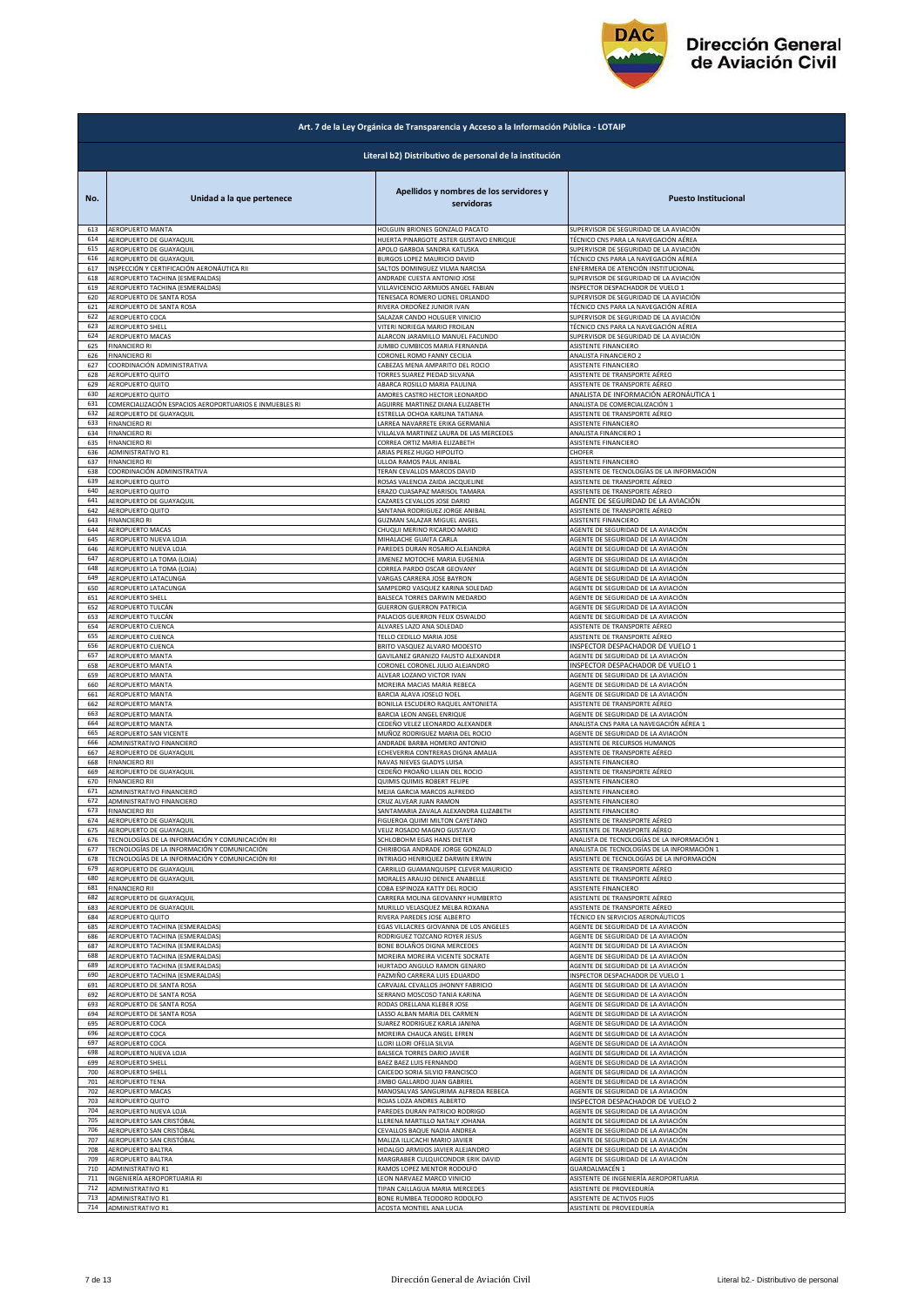

|            | Art. 7 de la Ley Orgánica de Transparencia y Acceso a la Información Pública - LOTAIP |                                                                 |                                                                               |  |
|------------|---------------------------------------------------------------------------------------|-----------------------------------------------------------------|-------------------------------------------------------------------------------|--|
|            | Literal b2) Distributivo de personal de la institución                                |                                                                 |                                                                               |  |
| No.        | Unidad a la que pertenece                                                             | Apellidos y nombres de los servidores y<br>servidoras           | <b>Puesto Institucional</b>                                                   |  |
| 613        | AEROPUERTO MANTA                                                                      | HOLGUIN BRIONES GONZALO PACATO                                  | SUPERVISOR DE SEGURIDAD DE LA AVIACIÓN                                        |  |
| 614        | AEROPUERTO DE GUAYAQUIL                                                               | HUERTA PINARGOTE ASTER GUSTAVO ENRIQUE                          | TÉCNICO CNS PARA LA NAVEGACIÓN AÉREA                                          |  |
| 615        | AEROPUERTO DE GUAYAQUII                                                               | APOLO GARBOA SANDRA KATUSKA                                     | SUPERVISOR DE SEGURIDAD DE LA AVIACIÓN                                        |  |
| 616        | AEROPUERTO DE GUAYAQUIL                                                               | BURGOS LOPEZ MAURICIO DAVID                                     | TÉCNICO CNS PARA LA NAVEGACIÓN AÉREA                                          |  |
| 617        | INSPECCIÓN Y CERTIFICACIÓN AERONÁUTICA RII                                            | SALTOS DOMINGUEZ VILMA NARCISA                                  | NFERMERA DE ATENCIÓN INSTITUCIONAL                                            |  |
| 618        | AEROPUERTO TACHINA (ESMERALDAS)                                                       | ANDRADE CUESTA ANTONIO JOSE                                     | SUPERVISOR DE SEGURIDAD DE LA AVIACIÓN                                        |  |
| 619        | AEROPUERTO TACHINA (ESMERALDAS)                                                       | VILLAVICENCIO ARMIJOS ANGEL FABIAN                              | INSPECTOR DESPACHADOR DE VUELO 1                                              |  |
| 620        | AEROPUERTO DE SANTA ROSA<br>AEROPUERTO DE SANTA ROSA                                  | TENESACA ROMERO LIONEL ORLANDO                                  | SUPERVISOR DE SEGURIDAD DE LA AVIACIÓN                                        |  |
| 621        | AEROPUERTO COCA                                                                       | RIVERA ORDOÑEZ JUNIOR IVAN                                      | ÉCNICO CNS PARA LA NAVEGACIÓN AÉREA                                           |  |
| 622        |                                                                                       | SALAZAR CANDO HOLGUER VINICIO                                   | SUPERVISOR DE SEGURIDAD DE LA AVIACIÓN                                        |  |
| 623        | AEROPUERTO SHELL                                                                      | VITERI NORIEGA MARIO FROILAN                                    | <b>FÉCNICO CNS PARA LA NAVEGACIÓN AÉREA</b>                                   |  |
| 624        | AEROPUERTO MACAS                                                                      | ALARCON JARAMILLO MANUEL FACUNDO                                | SUPERVISOR DE SEGURIDAD DE LA AVIACIÓN                                        |  |
| 625        | <b>FINANCIERO RI</b>                                                                  | JUMBO CUMBICOS MARIA FERNANDA                                   | ASISTENTE FINANCIERO                                                          |  |
| 626        | <b>FINANCIERO RI</b>                                                                  | CORONEL ROMO FANNY CECILIA                                      | ANALISTA FINANCIERO 2                                                         |  |
| 627        | COORDINACIÓN ADMINISTRATIVA                                                           | CABEZAS MENA AMPARITO DEL ROCIO                                 | ASISTENTE FINANCIERO                                                          |  |
| 628        | AEROPUERTO QUITO                                                                      | TORRES SUAREZ PIEDAD SILVANA                                    | ASISTENTE DE TRANSPORTE AÉREO                                                 |  |
| 629        | AEROPUERTO QUITO                                                                      | ABARCA ROSILLO MARIA PAULINA                                    | ASISTENTE DE TRANSPORTE AÉREO                                                 |  |
| 630        | <b>AEROPUERTO QUITO</b>                                                               | AMORES CASTRO HECTOR LEONARDO                                   | ANALISTA DE INFORMACIÓN AERONÁUTICA 1                                         |  |
| 631        | COMERCIALIZACIÓN ESPACIOS AEROPORTUARIOS E INMUEBLES RI                               | AGUIRRE MARTINEZ DIANA ELIZABETH                                | ANALISTA DE COMERCIALIZACIÓN 1                                                |  |
| 632        | AEROPUERTO DE GUAYAQUIL                                                               | ESTRELLA OCHOA KARLINA TATIANA                                  | ASISTENTE DE TRANSPORTE AÉREO                                                 |  |
| 633        | <b>FINANCIERO RI</b>                                                                  | LARREA NAVARRETE ERIKA GERMANIA                                 | ASISTENTE FINANCIERO                                                          |  |
| 634        | <b>FINANCIERO RI</b>                                                                  | VILLALVA MARTINEZ LAURA DE LAS MERCEDES                         | ANALISTA FINANCIERO 1                                                         |  |
| 635        | <b>FINANCIERO RI</b>                                                                  | CORREA ORTIZ MARIA ELIZABETH                                    | ASISTENTE FINANCIERO                                                          |  |
| 636        | ADMINISTRATIVO R1                                                                     | ARIAS PEREZ HUGO HIPOLITO                                       | CHOFER                                                                        |  |
| 637        | <b>FINANCIERO RI</b>                                                                  | ULLOA RAMOS PAUL ANIBAL                                         | ASISTENTE FINANCIERO                                                          |  |
| 638        | COORDINACIÓN ADMINISTRATIVA                                                           | TERAN CEVALLOS MARCOS DAVID                                     | ASISTENTE DE TECNOLOGÍAS DE LA INFORMACIÓN                                    |  |
| 639        | AEROPUERTO QUITO                                                                      | ROSAS VALENCIA ZAIDA JACQUELINE                                 | ASISTENTE DE TRANSPORTE AÉREO                                                 |  |
| 640        | AEROPUERTO QUITO                                                                      | ERAZO CUASAPAZ MARISOL TAMARA                                   | ASISTENTE DE TRANSPORTE AÉREO                                                 |  |
| 641        | AEROPUERTO DE GUAYAQUIL                                                               | CAZARES CEVALLOS JOSE DARIO                                     | AGENTE DE SEGURIDAD DE LA AVIACIÓN                                            |  |
| 642        | AEROPUERTO QUITO                                                                      | SANTANA RODRIGUEZ JORGE ANIBAL                                  | ASISTENTE DE TRANSPORTE AÉREO                                                 |  |
| 643        | <b>FINANCIERO RI</b>                                                                  | <b>GUZMAN SALAZAR MIGUEL ANGEL</b>                              | ASISTENTE FINANCIERO                                                          |  |
| 644        | AEROPUERTO MACAS                                                                      | CHUQUI MERINO RICARDO MARIO                                     | AGENTE DE SEGURIDAD DE LA AVIACIÓN                                            |  |
| 645        | AEROPUERTO NUEVA LOJA                                                                 | MIHALACHE GUAITA CARLA                                          | AGENTE DE SEGURIDAD DE LA AVIACIÓN                                            |  |
| 646        | AEROPUERTO NUEVA LOJA                                                                 | PAREDES DURAN ROSARIO ALEJANDRA                                 | AGENTE DE SEGURIDAD DE LA AVIACIÓN                                            |  |
| 647        | AEROPUERTO LA TOMA (LOJA)                                                             | JIMENEZ MOTOCHE MARIA EUGENIA                                   | AGENTE DE SEGURIDAD DE LA AVIACIÓN                                            |  |
| 648<br>649 | AEROPUERTO LA TOMA (LOJA)                                                             | CORREA PARDO OSCAR GEOVANY                                      | AGENTE DE SEGURIDAD DE LA AVIACIÓN                                            |  |
| 650        | AEROPUERTO LATACUNGA                                                                  | VARGAS CARRERA JOSE BAYRON                                      | AGENTE DE SEGURIDAD DE LA AVIACIÓN                                            |  |
|            | AEROPUERTO LATACUNGA                                                                  | SAMPEDRO VASQUEZ KARINA SOLEDAD                                 | AGENTE DE SEGURIDAD DE LA AVIACIÓN                                            |  |
| 651        | AEROPUERTO SHELL                                                                      | BALSECA TORRES DARWIN MEDARDO                                   | AGENTE DE SEGURIDAD DE LA AVIACIÓN                                            |  |
| 652        | AEROPUERTO TULCÁN                                                                     | <b>GUERRON GUERRON PATRICIA</b>                                 | AGENTE DE SEGURIDAD DE LA AVIACIÓN                                            |  |
| 653        | AEROPUERTO TULCÁN                                                                     | PALACIOS GUERRON FELIX OSWALDO                                  | AGENTE DE SEGURIDAD DE LA AVIACIÓN                                            |  |
| 654        | AEROPUERTO CUENCA                                                                     | ALVARES LAZO ANA SOLEDAD                                        | ASISTENTE DE TRANSPORTE AÉREO                                                 |  |
| 655        | AEROPUERTO CUENCA                                                                     | TELLO CEDILLO MARIA JOSE                                        | ASISTENTE DE TRANSPORTE AÉREO                                                 |  |
| 656        | AEROPUERTO CUENCA                                                                     | BRITO VASQUEZ ALVARO MODESTO                                    | INSPECTOR DESPACHADOR DE VUELO 1                                              |  |
| 657        | AEROPUERTO MANTA                                                                      | GAVILANEZ GRANIZO FAUSTO ALEXANDER                              | AGENTE DE SEGURIDAD DE LA AVIACIÓN                                            |  |
| 658        | AEROPUERTO MANTA                                                                      | CORONEL CORONEL JULIO ALEJANDRO                                 | INSPECTOR DESPACHADOR DE VUELO 1                                              |  |
| 659        | AEROPUERTO MANTA                                                                      | ALVEAR LOZANO VICTOR IVAN                                       | AGENTE DE SEGURIDAD DE LA AVIACIÓN                                            |  |
| 660        | <b>AEROPUERTO MANTA</b>                                                               | MOREIRA MACIAS MARIA REBECA                                     | AGENTE DE SEGURIDAD DE LA AVIACIÓN                                            |  |
| 661        | AEROPUERTO MANTA                                                                      | BARCIA ALAVA JOSELO NOEL                                        | AGENTE DE SEGURIDAD DE LA AVIACIÓN                                            |  |
| 662        | AEROPUERTO MANTA                                                                      | BONILLA ESCUDERO RAQUEL ANTONIETA                               | ASISTENTE DE TRANSPORTE AÉREO                                                 |  |
| 663        | AEROPUERTO MANTA                                                                      | BARCIA LEON ANGEL ENRIQUE<br>CEDEÑO VELEZ LEONARDO ALEXANDER    | AGENTE DE SEGURIDAD DE LA AVIACIÓN<br>ANALISTA CNS PARA LA NAVEGACIÓN AÉREA 1 |  |
| 664<br>665 | AEROPUERTO MANTA<br>AEROPUERTO SAN VICENTE                                            | MUÑOZ RODRIGUEZ MARIA DEL ROCIO                                 | AGENTE DE SEGURIDAD DE LA AVIACIÓN                                            |  |
| 666        | ADMINISTRATIVO FINANCIERO                                                             | ANDRADE BARBA HOMERO ANTONIO                                    | ASISTENTE DE RECURSOS HUMANOS                                                 |  |
| 667        | AEROPUERTO DE GUAYAQUIL                                                               | ECHEVERRIA CONTRERAS DIGNA AMALIA                               | ASISTENTE DE TRANSPORTE AÉREO                                                 |  |
| 668        | <b>FINANCIERO RII</b>                                                                 | NAVAS NIEVES GLADYS LUISA                                       | ASISTENTE FINANCIERO                                                          |  |
| 669        | AEROPUERTO DE GUAYAQUIL                                                               | CEDEÑO PROAÑO LILIAN DEL ROCIO                                  | ASISTENTE DE TRANSPORTE AÉREO                                                 |  |
| 670        | <b>FINANCIERO RII</b>                                                                 | QUIMIS QUIMIS ROBERT FELIPE                                     | ASISTENTE FINANCIERO                                                          |  |
| 671        | ADMINISTRATIVO FINANCIERO                                                             | MEJIA GARCIA MARCOS ALFREDO                                     | ASISTENTE FINANCIERO                                                          |  |
| 672        | ADMINISTRATIVO FINANCIERO                                                             | CRUZ ALVEAR JUAN RAMON                                          | ASISTENTE FINANCIERO                                                          |  |
| 673<br>674 | <b>FINANCIERO RII</b>                                                                 | SANTAMARIA ZAVALA ALEXANDRA ELIZABETH                           | ASISTENTE FINANCIERO                                                          |  |
| 675        | AEROPUERTO DE GUAYAQUIL                                                               | FIGUEROA QUIMI MILTON CAYETANO                                  | ASISTENTE DE TRANSPORTE AÉREO                                                 |  |
|            | AEROPUERTO DE GUAYAQUIL                                                               | VELIZ ROSADO MAGNO GUSTAVO                                      | ASISTENTE DE TRANSPORTE AÉREO                                                 |  |
| 676        | TECNOLOGÍAS DE LA INFORMACIÓN Y COMUNICACIÓN RII                                      | SCHLOBOHM EGAS HANS DIETER                                      | ANALISTA DE TECNOLOGÍAS DE LA INFORMACIÓN 1                                   |  |
| 677        | TECNOLOGÍAS DE LA INFORMACIÓN Y COMUNICACIÓN                                          | CHIRIBOGA ANDRADE JORGE GONZALO                                 | ANALISTA DE TECNOLOGÍAS DE LA INFORMACIÓN 1                                   |  |
| 678        | TECNOLOGÍAS DE LA INFORMACIÓN Y COMUNICACIÓN RII                                      | INTRIAGO HENRIQUEZ DARWIN ERWIN                                 | ASISTENTE DE TECNOLOGÍAS DE LA INFORMACIÓN                                    |  |
| 679        | AEROPUERTO DE GUAYAQUIL                                                               | CARRILLO GUAMANQUISPE CLEVER MAURICIO                           | ASISTENTE DE TRANSPORTE AÉREO                                                 |  |
| 680        | AEROPUERTO DE GUAYAQUIL                                                               | MORALES ARAUJO DENICE ANABELLE                                  | ASISTENTE DE TRANSPORTE AÉREO                                                 |  |
| 681        | <b>FINANCIERO RII</b>                                                                 | COBA ESPINOZA KATTY DEL ROCIO                                   | ASISTENTE FINANCIERO                                                          |  |
| 682        | AEROPUERTO DE GUAYAQUIL                                                               | CARRERA MOLINA GEOVANNY HUMBERTO                                | ASISTENTE DE TRANSPORTE AÉREO                                                 |  |
| 683        | AEROPUERTO DE GUAYAQUIL                                                               | MURILLO VELASQUEZ MELBA ROXANA<br>RIVERA PAREDES JOSE ALBERTO   | ASISTENTE DE TRANSPORTE AÉREO                                                 |  |
| 684        | AEROPUERTO QUITO                                                                      | EGAS VILLACRES GIOVANNA DE LOS ANGELES                          | <b>FÉCNICO EN SERVICIOS AERONÁUTICOS</b>                                      |  |
| 685        | AEROPUERTO TACHINA (ESMERALDAS)                                                       |                                                                 | AGENTE DE SEGURIDAD DE LA AVIACIÓN                                            |  |
| 686        | AEROPUERTO TACHINA (ESMERALDAS)                                                       | RODRIGUEZ TOZCANO ROYER JESUS                                   | AGENTE DE SEGURIDAD DE LA AVIACIÓN                                            |  |
| 687        | AEROPUERTO TACHINA (ESMERALDAS)                                                       | BONE BOLAÑOS DIGNA MERCEDES                                     | AGENTE DE SEGURIDAD DE LA AVIACIÓN                                            |  |
| 688<br>689 | AEROPUERTO TACHINA (ESMERALDAS)                                                       | MOREIRA MOREIRA VICENTE SOCRATE                                 | AGENTE DE SEGURIDAD DE LA AVIACIÓN                                            |  |
| 690        | AEROPUERTO TACHINA (ESMERALDAS)                                                       | HURTADO ANGULO RAMON GENARO                                     | AGENTE DE SEGURIDAD DE LA AVIACIÓN                                            |  |
|            | AEROPUERTO TACHINA (ESMERALDAS)                                                       | PAZMIÑO CARRERA LUIS EDUARDO                                    | INSPECTOR DESPACHADOR DE VUELO 1                                              |  |
| 691        | AEROPUERTO DE SANTA ROSA                                                              | CARVAJAL CEVALLOS JHONNY FABRICIO                               | AGENTE DE SEGURIDAD DE LA AVIACIÓN                                            |  |
| 692        | AEROPUERTO DE SANTA ROSA                                                              | SERRANO MOSCOSO TANIA KARINA                                    | AGENTE DE SEGURIDAD DE LA AVIACIÓN                                            |  |
| 693        | AEROPUERTO DE SANTA ROSA                                                              | RODAS ORELLANA KLEBER JOSE                                      | AGENTE DE SEGURIDAD DE LA AVIACIÓN                                            |  |
| 694        | AEROPUERTO DE SANTA ROSA                                                              | LASSO ALBAN MARIA DEL CARMEN                                    | AGENTE DE SEGURIDAD DE LA AVIACIÓN                                            |  |
| 695        | AEROPUERTO COCA                                                                       | SUAREZ RODRIGUEZ KARLA JANINA                                   | AGENTE DE SEGURIDAD DE LA AVIACIÓN                                            |  |
| 696        | AEROPUERTO COCA                                                                       | MOREIRA CHAUCA ANGEL EFREN                                      | AGENTE DE SEGURIDAD DE LA AVIACIÓN                                            |  |
| 697        | AEROPUERTO COCA                                                                       | LLORI LLORI OFELIA SILVIA                                       | AGENTE DE SEGURIDAD DE LA AVIACIÓN                                            |  |
| 698        | AEROPUERTO NUEVA LOJA                                                                 | BALSECA TORRES DARIO JAVIER                                     | AGENTE DE SEGURIDAD DE LA AVIACIÓN                                            |  |
| 699        | AEROPUERTO SHELL                                                                      | BAEZ BAEZ LUIS FERNANDO                                         | AGENTE DE SEGURIDAD DE LA AVIACIÓN                                            |  |
| 700        | AEROPUERTO SHELL                                                                      | CAICEDO SORIA SILVIO FRANCISCO                                  | AGENTE DE SEGURIDAD DE LA AVIACIÓN                                            |  |
| 701        | AEROPUERTO TENA                                                                       | JIMBO GALLARDO JUAN GABRIEL                                     | AGENTE DE SEGURIDAD DE LA AVIACIÓN                                            |  |
| 702        | AEROPUERTO MACAS                                                                      | MANOSALVAS SANGURIMA ALFREDA REBECA                             | AGENTE DE SEGURIDAD DE LA AVIACIÓN                                            |  |
| 703        | AEROPUERTO QUITO                                                                      | ROJAS LOZA ANDRES ALBERTO                                       | INSPECTOR DESPACHADOR DE VUELO 2<br>AGENTE DE SEGURIDAD DE LA AVIACIÓN        |  |
| 704        | AEROPUERTO NUEVA LOJA                                                                 | PAREDES DURAN PATRICIO RODRIGO                                  | AGENTE DE SEGURIDAD DE LA AVIACIÓN                                            |  |
| 705        | AEROPUERTO SAN CRISTÓBAL                                                              | LLERENA MARTILLO NATALY JOHANA                                  |                                                                               |  |
| 706        | AEROPUERTO SAN CRISTÓBAL                                                              | CEVALLOS BAQUE NADIA ANDREA                                     | AGENTE DE SEGURIDAD DE LA AVIACIÓN                                            |  |
| 707        | AEROPUERTO SAN CRISTÓBAL                                                              | MALIZA ILLICACHI MARIO JAVIER                                   | AGENTE DE SEGURIDAD DE LA AVIACIÓN                                            |  |
| 708<br>709 | AEROPUERTO BALTRA<br>AEROPUERTO BALTRA                                                | HIDALGO ARMIJOS JAVIER ALEJANDRO                                | AGENTE DE SEGURIDAD DE LA AVIACIÓN                                            |  |
| 710        | ADMINISTRATIVO R1                                                                     | MARGRABER CULQUICONDOR ERIK DAVID<br>RAMOS LOPEZ MENTOR RODOLFO | AGENTE DE SEGURIDAD DE LA AVIACIÓN<br>GUARDALMACÉN 1                          |  |
| 711        | INGENIERÍA AEROPORTUARIA RI                                                           | LEON NARVAEZ MARCO VINICIO                                      | ASISTENTE DE INGENIERÍA AEROPORTUARIA                                         |  |
| 712        | ADMINISTRATIVO R1                                                                     | TIPAN CAILLAGUA MARIA MERCEDES                                  | ASISTENTE DE PROVEEDURÍA                                                      |  |
| 713        | ADMINISTRATIVO R1                                                                     | BONE RUMBEA TEODORO RODOLFO                                     | ASISTENTE DE ACTIVOS FIJOS                                                    |  |
| 714        | <b>ADMINISTRATIVO R1</b>                                                              |                                                                 | ASISTENTE DE PROVEEDURÍA                                                      |  |
|            |                                                                                       | ACOSTA MONTIEL ANA LUCIA                                        |                                                                               |  |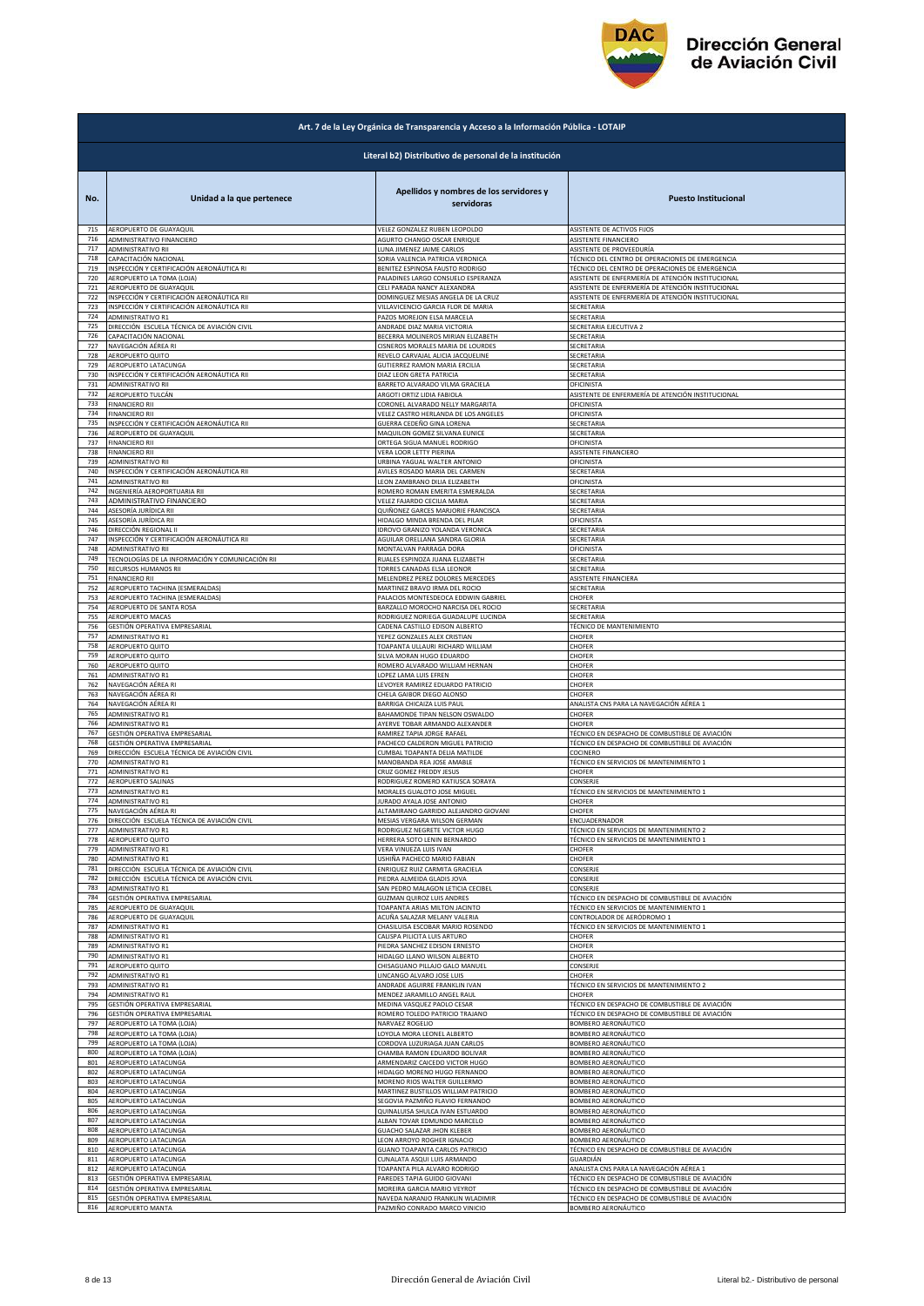

|            | Art. 7 de la Ley Orgánica de Transparencia y Acceso a la Información Pública - LOTAIP |                                                                      |                                                   |  |
|------------|---------------------------------------------------------------------------------------|----------------------------------------------------------------------|---------------------------------------------------|--|
|            | Literal b2) Distributivo de personal de la institución                                |                                                                      |                                                   |  |
| No.        | Unidad a la que pertenece                                                             | Apellidos y nombres de los servidores y<br>servidoras                | <b>Puesto Institucional</b>                       |  |
| 715        | AEROPUERTO DE GUAYAQUIL                                                               | VELEZ GONZALEZ RUBEN LEOPOLDO                                        | ASISTENTE DE ACTIVOS FIJOS                        |  |
| 716        | ADMINISTRATIVO FINANCIERO                                                             | AGURTO CHANGO OSCAR ENRIQUE                                          | ASISTENTE FINANCIERO                              |  |
| 717        | ADMINISTRATIVO RII                                                                    | LUNA JIMENEZ JAIME CARLOS                                            | ASISTENTE DE PROVEEDURÍA                          |  |
| 718        | CAPACITACIÓN NACIONAL                                                                 | SORIA VALENCIA PATRICIA VERONICA                                     | TÉCNICO DEL CENTRO DE OPERACIONES DE EMERGENCIA   |  |
| 719        | INSPECCIÓN Y CERTIFICACIÓN AERONÁUTICA RI                                             | BENITEZ ESPINOSA FAUSTO RODRIGO                                      | TÉCNICO DEL CENTRO DE OPERACIONES DE EMERGENCIA   |  |
| 720        | AEROPUERTO LA TOMA (LOJA)                                                             | PALADINES LARGO CONSUELO ESPERANZA                                   | ASISTENTE DE ENFERMERÍA DE ATENCIÓN INSTITUCIONAL |  |
| 721        | AEROPUERTO DE GUAYAQUIL                                                               | CELI PARADA NANCY ALEXANDRA                                          | ASISTENTE DE ENFERMERÍA DE ATENCIÓN INSTITUCIONAL |  |
| 722        | INSPECCIÓN Y CERTIFICACIÓN AERONÁUTICA RII                                            | DOMINGUEZ MESIAS ANGELA DE LA CRUZ                                   | ASISTENTE DE ENFERMERÍA DE ATENCIÓN INSTITUCIONAL |  |
| 723        | INSPECCIÓN Y CERTIFICACIÓN AERONÁUTICA RII                                            | VILLAVICENCIO GARCIA FLOR DE MARIA                                   | SECRETARIA                                        |  |
| 724        | ADMINISTRATIVO R1                                                                     | PAZOS MOREJON ELSA MARCELA                                           | SECRETARIA                                        |  |
| 725        | DIRECCIÓN ESCUELA TÉCNICA DE AVIACIÓN CIVIL                                           | ANDRADE DIAZ MARIA VICTORIA                                          | SECRETARIA EJECUTIVA 2                            |  |
| 726        | CAPACITACIÓN NACIONAL                                                                 | BECERRA MOLINEROS MIRIAN ELIZABETH                                   | SECRETARIA                                        |  |
| 727        | NAVEGACIÓN AÉREA RI                                                                   | CISNEROS MORALES MARIA DE LOURDES                                    | SECRETARIA                                        |  |
| 728        | AEROPUERTO QUITO                                                                      | REVELO CARVAJAL ALICIA JACQUELINE                                    | SECRETARIA                                        |  |
| 729        | AEROPUERTO LATACUNGA                                                                  | GUTIERREZ RAMON MARIA ERCILIA                                        | SECRETARIA                                        |  |
| 730        | INSPECCIÓN Y CERTIFICACIÓN AERONÁUTICA RII                                            | DIAZ LEON GRETA PATRICIA                                             | SECRETARIA                                        |  |
| 731        | ADMINISTRATIVO RII                                                                    | BARRETO ALVARADO VILMA GRACIELA                                      | OFICINISTA                                        |  |
| 732        | AEROPUERTO TULCÁN                                                                     | ARGOTI ORTIZ LIDIA FABIOLA                                           | ASISTENTE DE ENFERMERÍA DE ATENCIÓN INSTITUCIONAL |  |
| 733        | <b>FINANCIERO RII</b>                                                                 | CORONEL ALVARADO NELLY MARGARITA                                     | OFICINISTA                                        |  |
| 734        | <b>FINANCIERO RII</b>                                                                 | VELEZ CASTRO HERLANDA DE LOS ANGELES                                 | OFICINISTA                                        |  |
| 735        | INSPECCIÓN Y CERTIFICACIÓN AERONÁUTICA RII                                            | GUERRA CEDEÑO GINA LORENA                                            | SECRETARIA                                        |  |
| 736        | AEROPUERTO DE GUAYAQUII                                                               | MAQUILON GOMEZ SILVANA EUNICE                                        | SECRETARIA                                        |  |
| 737        | <b>FINANCIERO RII</b>                                                                 | ORTEGA SIGUA MANUEL RODRIGO                                          | OFICINISTA                                        |  |
| 738        | <b>FINANCIERO RII</b>                                                                 | VERA LOOR LETTY PIERINA                                              | ASISTENTE FINANCIERO                              |  |
| 739        | <b>ADMINISTRATIVO RII</b>                                                             | URBINA YAGUAL WALTER ANTONIO                                         | OFICINISTA                                        |  |
| 740        | INSPECCIÓN Y CERTIFICACIÓN AERONÁUTICA RII                                            | AVILES ROSADO MARIA DEL CARMEN                                       | SECRETARIA                                        |  |
| 741        | ADMINISTRATIVO RII                                                                    | LEON ZAMBRANO DILIA ELIZABETH                                        | OFICINISTA                                        |  |
| 742        | INGENIERÍA AEROPORTUARIA RII                                                          | ROMERO ROMAN EMERITA ESMERALDA                                       | SECRETARIA                                        |  |
| 743<br>744 | ADMINISTRATIVO FINANCIERO                                                             | VELEZ FAJARDO CECILIA MARIA                                          | SECRETARIA<br>SECRETARIA                          |  |
| 745        | ASESORÍA JURÍDICA RII<br>ASESORÍA JURÍDICA RII                                        | QUIÑONEZ GARCES MARJORIE FRANCISCA<br>HIDALGO MINDA BRENDA DEL PILAR | OFICINISTA                                        |  |
| 746        | DIRECCIÓN REGIONAL II                                                                 | IDROVO GRANIZO YOLANDA VERONICA                                      | SECRETARIA                                        |  |
| 747        | INSPECCIÓN Y CERTIFICACIÓN AERONÁUTICA RII                                            | AGUILAR ORELLANA SANDRA GLORIA                                       | SECRETARIA                                        |  |
| 748        | ADMINISTRATIVO RII                                                                    | MONTALVAN PARRAGA DORA                                               | OFICINISTA                                        |  |
| 749        | TECNOLOGÍAS DE LA INFORMACIÓN Y COMUNICACIÓN RII                                      | RUALES ESPINOZA JUANA ELIZABETH                                      | SECRETARIA                                        |  |
| 750        | RECURSOS HUMANOS RII                                                                  | TORRES CANADAS ELSA LEONOR                                           | SECRETARIA                                        |  |
| 751        | <b>FINANCIERO RII</b>                                                                 | MELENDREZ PEREZ DOLORES MERCEDES                                     | ASISTENTE FINANCIERA                              |  |
| 752        | AEROPUERTO TACHINA (ESMERALDAS)                                                       | MARTINEZ BRAVO IRMA DEL ROCIO                                        | SECRETARIA                                        |  |
| 753        | AEROPUERTO TACHINA (ESMERALDAS)                                                       | PALACIOS MONTESDEOCA EDDWIN GABRIEL                                  | CHOFER                                            |  |
| 754        | AEROPUERTO DE SANTA ROSA                                                              | BARZALLO MOROCHO NARCISA DEL ROCIO                                   | SECRETARIA                                        |  |
| 755        | AEROPUERTO MACAS                                                                      | RODRIGUEZ NORIEGA GUADALUPE LUCINDA                                  | SECRETARIA                                        |  |
| 756        | GESTIÓN OPERATIVA EMPRESARIAL                                                         | CADENA CASTILLO EDISON ALBERTO                                       | TÉCNICO DE MANTENIMIENTO                          |  |
| 757        | ADMINISTRATIVO R1                                                                     | YEPEZ GONZALES ALEX CRISTIAN                                         | CHOFER                                            |  |
| 758        | AEROPUERTO QUITO                                                                      | TOAPANTA ULLAURI RICHARD WILLIAM                                     | CHOFER                                            |  |
| 759        | AEROPUERTO QUITO                                                                      | SILVA MORAN HUGO EDUARDO                                             | CHOFER                                            |  |
| 760        | AEROPUERTO QUITO                                                                      | ROMERO ALVARADO WILLIAM HERNAN                                       | CHOFER                                            |  |
| 761        | ADMINISTRATIVO R1                                                                     | LOPEZ LAMA LUIS EFREN                                                | CHOFER                                            |  |
| 762<br>763 | NAVEGACIÓN AÉREA RI                                                                   | LEVOYER RAMIREZ EDUARDO PATRICIO                                     | CHOFER                                            |  |
| 764        | NAVEGACIÓN AÉREA RI                                                                   | CHELA GAIBOR DIEGO ALONSO                                            | CHOFER                                            |  |
|            | NAVEGACIÓN AÉREA RI                                                                   | BARRIGA CHICAIZA LUIS PAUL                                           | ANALISTA CNS PARA LA NAVEGACIÓN AÉREA 1           |  |
| 765        | ADMINISTRATIVO R1                                                                     | BAHAMONDE TIPAN NELSON OSWALDO                                       | CHOFER                                            |  |
| 766        | ADMINISTRATIVO R1                                                                     | AYERVE TOBAR ARMANDO ALEXANDER                                       | CHOFER                                            |  |
| 767        | GESTIÓN OPERATIVA EMPRESARIAL                                                         | RAMIREZ TAPIA JORGE RAFAEL                                           | TÉCNICO EN DESPACHO DE COMBUSTIBLE DE AVIACIÓN    |  |
| 768        | GESTIÓN OPERATIVA EMPRESARIAL                                                         | PACHECO CALDERON MIGUEL PATRICIO                                     | TÉCNICO EN DESPACHO DE COMBUSTIBLE DE AVIACIÓN    |  |
| 769        | DIRECCIÓN ESCUELA TÉCNICA DE AVIACIÓN CIVIL                                           | CUMBAL TOAPANTA DELIA MATILDE                                        | COCINERO                                          |  |
| 770        |                                                                                       | MANOBANDA REA JOSE AMABLE                                            | TÉCNICO EN SERVICIOS DE MANTENIMIENTO 1           |  |
| 771        | <b>ADMINISTRATIVO R1</b><br><b>ADMINISTRATIVO R1</b>                                  | CRUZ GOMEZ FREDDY JESUS                                              | CHOFER                                            |  |
| 772        | AEROPUERTO SALINAS                                                                    | RODRIGUEZ ROMERO KATIUSCA SORAYA                                     | CONSERJE                                          |  |
| 773        | ADMINISTRATIVO R1                                                                     | MORALES GUALOTO JOSE MIGUEL                                          | TÉCNICO EN SERVICIOS DE MANTENIMIENTO 1           |  |
| 774        | ADMINISTRATIVO R1                                                                     | JURADO AYALA JOSE ANTONIO                                            | CHOFER                                            |  |
| 775        | NAVEGACIÓN AÉREA F                                                                    | ALTAMIRANO GARRIDO ALEJANDRO GIOVANI                                 |                                                   |  |
| 776<br>777 | DIRECCIÓN ESCUELA TÉCNICA DE AVIACIÓN CIVIL                                           | MESIAS VERGARA WILSON GERMAN                                         | ENCUADERNADOR                                     |  |
| 778        | ADMINISTRATIVO R1                                                                     | RODRIGUEZ NEGRETE VICTOR HUGO                                        | TÉCNICO EN SERVICIOS DE MANTENIMIENTO 2           |  |
|            | AEROPUERTO QUITO                                                                      | HERRERA SOTO LENIN BERNARDO                                          | TÉCNICO EN SERVICIOS DE MANTENIMIENTO 1           |  |
| 779        | ADMINISTRATIVO R1                                                                     | VERA VINUEZA LUIS IVAN                                               | CHOFER                                            |  |
| 780        | ADMINISTRATIVO R1                                                                     | USHIÑA PACHECO MARIO FABIAN                                          | CHOFER                                            |  |
| 781        | DIRECCIÓN ESCUELA TÉCNICA DE AVIACIÓN CIVIL                                           | ENRIQUEZ RUIZ CARMITA GRACIELA                                       | CONSERJE                                          |  |
| 782        | DIRECCIÓN ESCUELA TÉCNICA DE AVIACIÓN CIVIL                                           | PIEDRA ALMEIDA GLADIS JOVA                                           | CONSERJE                                          |  |
| 783        | <b>ADMINISTRATIVO R1</b>                                                              | SAN PEDRO MALAGON LETICIA CECIBEL                                    | CONSERJE                                          |  |
| 784        | GESTIÓN OPERATIVA EMPRESARIAL                                                         | <b>GUZMAN QUIROZ LUIS ANDRES</b>                                     | TÉCNICO EN DESPACHO DE COMBUSTIBLE DE AVIACIÓN    |  |
| 785        | AEROPUERTO DE GUAYAQUI                                                                | <b>TOAPANTA ARIAS MILTON JACINTO</b>                                 | TÉCNICO EN SERVICIOS DE MANTENIMIENTO 1           |  |
| 786        | AEROPUERTO DE GUAYAQUIL                                                               | ACUÑA SALAZAR MELANY VALERIA                                         | CONTROLADOR DE AERÓDROMO 1                        |  |
| 787        | ADMINISTRATIVO R1                                                                     | CHASILUISA ESCOBAR MARIO ROSENDO                                     | TÉCNICO EN SERVICIOS DE MANTENIMIENTO 1           |  |
| 788        | <b>ADMINISTRATIVO R1</b>                                                              | CALISPA PILICITA LUIS ARTURO                                         | CHOFER                                            |  |
| 789        | ADMINISTRATIVO R1                                                                     | PIEDRA SANCHEZ EDISON ERNESTO                                        | CHOFER                                            |  |
| 790        | <b>ADMINISTRATIVO R1</b>                                                              | HIDALGO LLANO WILSON ALBERTO                                         | CHOFER                                            |  |
| 791        | AEROPUERTO QUITO                                                                      | CHISAGUANO PILLAJO GALO MANUEL                                       | CONSERJE                                          |  |
| 792        | ADMINISTRATIVO R1                                                                     | LINCANGO ALVARO JOSE LUIS                                            | CHOFER                                            |  |
| 793        | ADMINISTRATIVO R1                                                                     | ANDRADE AGUIRRE FRANKLIN IVAN                                        | TÉCNICO EN SERVICIOS DE MANTENIMIENTO 2           |  |
| 794        | ADMINISTRATIVO R1                                                                     | MENDEZ JARAMILLO ANGEL RAUL                                          | CHOFER                                            |  |
| 795        | GESTIÓN OPERATIVA EMPRESARIAL                                                         | MEDINA VASQUEZ PAOLO CESAR                                           | TÉCNICO EN DESPACHO DE COMBUSTIBLE DE AVIACIÓN    |  |
| 796        | GESTIÓN OPERATIVA EMPRESARIAL                                                         | ROMERO TOLEDO PATRICIO TRAJANO                                       | TÉCNICO EN DESPACHO DE COMBUSTIBLE DE AVIACIÓN    |  |
| 797        | AEROPUERTO LA TOMA (LOJA)                                                             | NARVAEZ ROGELIO                                                      | BOMBERO AERONÁUTICO                               |  |
| 798        | AEROPUERTO LA TOMA (LOJA)                                                             | LOYOLA MORA LEONEL ALBERTO                                           | BOMBERO AERONÁUTICO                               |  |
| 799        | AEROPUERTO LA TOMA (LOJA)                                                             | CORDOVA LUZURIAGA JUAN CARLOS                                        | BOMBERO AERONÁUTICO                               |  |
| 800        | AEROPUERTO LA TOMA (LOJA)                                                             | CHAMBA RAMON EDUARDO BOLIVAR                                         | BOMBERO AERONÁUTICO                               |  |
| 801        | AEROPUERTO LATACUNGA                                                                  | ARMENDARIZ CAICEDO VICTOR HUGO                                       | BOMBERO AERONÁUTICO                               |  |
| 802        | AEROPUERTO LATACUNGA                                                                  | HIDALGO MORENO HUGO FERNANDO                                         | <b>SOMBERO AERONÁUTICO</b>                        |  |
| 803        | AEROPUERTO LATACUNGA                                                                  | MORENO RIOS WALTER GUILLERMO                                         | BOMBERO AERONÁUTICO                               |  |
| 804        | AEROPUERTO LATACUNGA                                                                  | MARTINEZ BUSTILLOS WILLIAM PATRICIO                                  | BOMBERO AERONÁUTICO                               |  |
| 805        | AEROPUERTO LATACUNGA                                                                  | SEGOVIA PAZMIÑO FLAVIO FERNANDO                                      | BOMBERO AERONÁUTICO                               |  |
| 806        | AEROPUERTO LATACUNGA                                                                  | QUINALUISA SHULCA IVAN ESTUARDO                                      | BOMBERO AERONÁUTICO                               |  |
| 807        | AEROPUERTO LATACUNGA                                                                  | ALBAN TOVAR EDMUNDO MARCELO                                          | BOMBERO AERONÁUTICO                               |  |
| 808        | AEROPUERTO LATACUNGA                                                                  | GUACHO SALAZAR JHON KLEBER                                           | BOMBERO AERONÁUTICO                               |  |
| 809        | AEROPUERTO LATACUNGA                                                                  | LEON ARROYO ROGHER IGNACIO                                           | BOMBERO AERONÁUTICO                               |  |
| 810        | AEROPUERTO LATACUNGA                                                                  | <b>GUANO TOAPANTA CARLOS PATRICIO</b>                                | TÉCNICO EN DESPACHO DE COMBUSTIBLE DE AVIACIÓN    |  |
| 811        | AEROPUERTO LATACUNGA                                                                  | CUNALATA ASQUI LUIS ARMANDO                                          | GUARDIÁN                                          |  |
| 812        | AEROPUERTO LATACUNGA                                                                  | TOAPANTA PILA ALVARO RODRIGO                                         | ANALISTA CNS PARA LA NAVEGACIÓN AÉREA 1           |  |
| 813        | GESTIÓN OPERATIVA EMPRESARIAL                                                         | PAREDES TAPIA GUIDO GIOVANI                                          | TÉCNICO EN DESPACHO DE COMBUSTIBLE DE AVIACIÓN    |  |
| 814        | GESTIÓN OPERATIVA EMPRESARIAL                                                         | MOREIRA GARCIA MARIO VEYROT                                          | TÉCNICO EN DESPACHO DE COMBUSTIBLE DE AVIACIÓN    |  |
| 815        | GESTIÓN OPERATIVA EMPRESARIAL                                                         | NAVEDA NARANJO FRANKLIN WLADIMIR                                     | TÉCNICO EN DESPACHO DE COMBUSTIBLE DE AVIACIÓN    |  |
| 816        | AEROPUERTO MANTA                                                                      | PAZMIÑO CONRADO MARCO VINICIO                                        | BOMBERO AERONÁUTICO                               |  |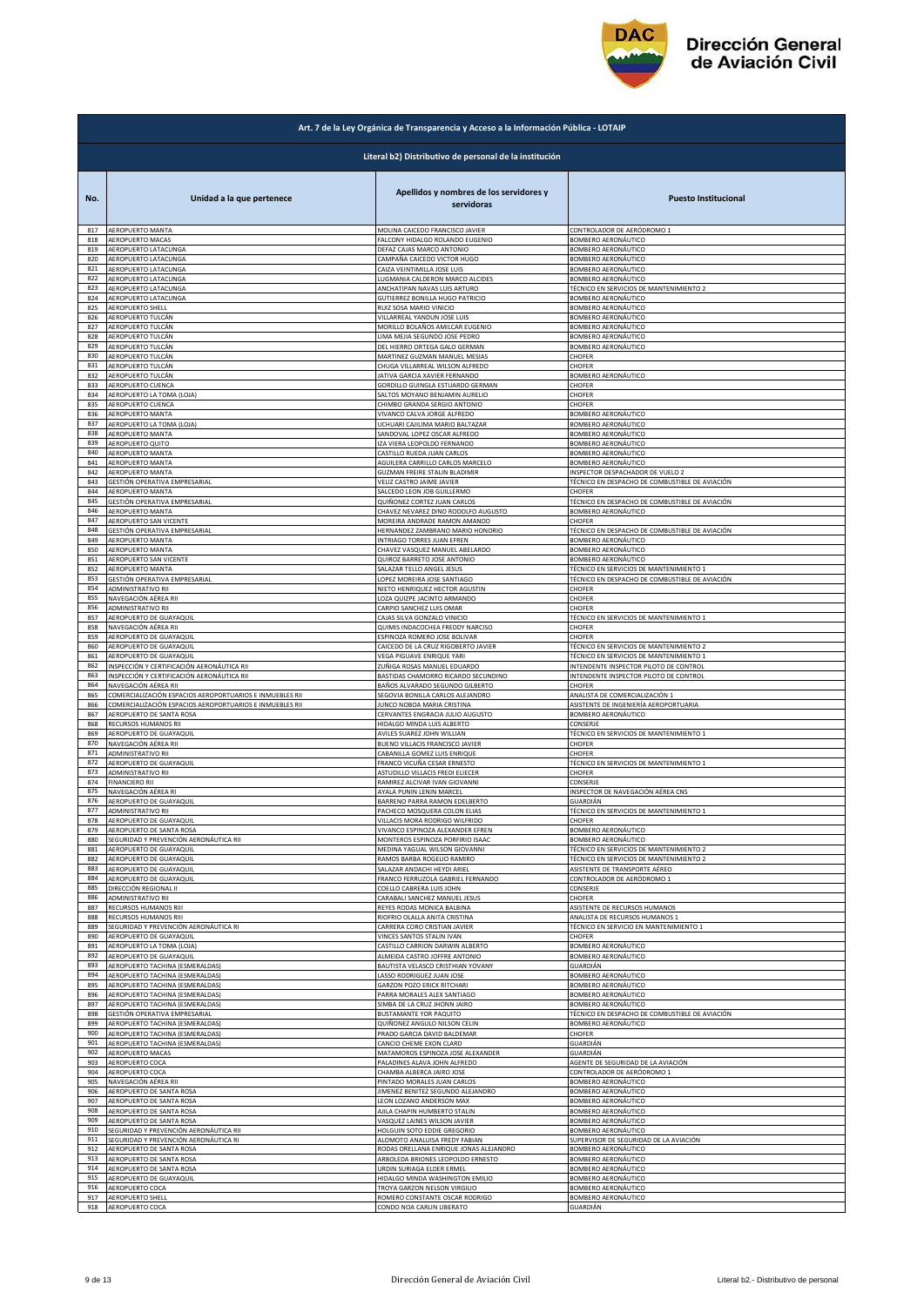

|            | Art. 7 de la Ley Orgánica de Transparencia y Acceso a la Información Pública - LOTAIP |                                                                 |                                                                |  |
|------------|---------------------------------------------------------------------------------------|-----------------------------------------------------------------|----------------------------------------------------------------|--|
|            | Literal b2) Distributivo de personal de la institución                                |                                                                 |                                                                |  |
| No.        | Unidad a la que pertenece                                                             | Apellidos y nombres de los servidores y<br>servidoras           | <b>Puesto Institucional</b>                                    |  |
| 817        | AEROPUERTO MANTA                                                                      | MOLINA CAICEDO FRANCISCO JAVIER                                 | CONTROLADOR DE AERÓDROMO 1                                     |  |
| 818        | AEROPUERTO MACAS                                                                      | FALCONY HIDALGO ROLANDO EUGENIO                                 | BOMBERO AERONÁUTICO                                            |  |
| 819        | AEROPUERTO LATACUNGA                                                                  | DEFAZ CAJAS MARCO ANTONIO                                       | BOMBERO AERONÁUTICO                                            |  |
| 820        | AEROPUERTO LATACUNGA                                                                  | CAMPAÑA CAICEDO VICTOR HUGO                                     | BOMBERO AERONÁUTICO                                            |  |
| 821        | AEROPUERTO LATACUNGA                                                                  | CAIZA VEINTIMILLA JOSE LUIS                                     | BOMBERO AERONÁUTICO                                            |  |
| 822        | AEROPUERTO LATACUNGA<br>AEROPUERTO LATACUNGA                                          | LUGMANIA CALDERON MARCO ALCIDES                                 | BOMBERO AERONÁUTICO<br>TÉCNICO EN SERVICIOS DE MANTENIMIENTO 2 |  |
| 823<br>824 | AEROPUERTO LATACUNGA                                                                  | ANCHATIPAN NAVAS LUIS ARTURO<br>GUTIERREZ BONILLA HUGO PATRICIO | BOMBERO AERONÁUTICO                                            |  |
| 825        | AEROPUERTO SHELL                                                                      | RUIZ SOSA MARIO VINICIO                                         | BOMBERO AERONÁUTICO                                            |  |
| 826        | AEROPUERTO TULCÁN                                                                     | VILLARREAL YANDUN JOSE LUIS                                     | BOMBERO AERONÁUTICO                                            |  |
| 827        | AEROPUERTO TULCÁN                                                                     | MORILLO BOLAÑOS AMILCAR EUGENIO                                 | BOMBERO AERONÁUTICO                                            |  |
| 828        | AEROPUERTO TULCÁN                                                                     | LIMA MEJIA SEGUNDO JOSE PEDRO                                   | BOMBERO AERONÁUTICO                                            |  |
| 829        | AEROPUERTO TULCÁN                                                                     | DEL HIERRO ORTEGA GALO GERMAN                                   | BOMBERO AERONÁUTICO                                            |  |
| 830        | AEROPUERTO TULCÁN                                                                     | MARTINEZ GUZMAN MANUEL MESIAS                                   | CHOFER                                                         |  |
| 831        | AEROPUERTO TULCÁN                                                                     | CHUGA VILLARREAL WILSON ALFREDO                                 | CHOFER                                                         |  |
| 832        | AEROPUERTO TULCÁN                                                                     | JATIVA GARCIA XAVIER FERNANDO                                   | BOMBERO AERONÁUTICO                                            |  |
| 833        | AEROPUERTO CUENCA                                                                     | GORDILLO GUINGLA ESTUARDO GERMAN                                | CHOFER                                                         |  |
| 834        | AEROPUERTO LA TOMA (LOJA)                                                             | <b>SALTOS MOYANO BENJAMIN AURELIO</b>                           | CHOFER                                                         |  |
| 835        | AEROPUERTO CUENCA                                                                     | CHIMBO GRANDA SERGIO ANTONIO                                    | CHOFER                                                         |  |
| 836        | AEROPUERTO MANTA                                                                      | VIVANCO CALVA JORGE ALFREDO                                     | BOMBERO AERONÁUTICO                                            |  |
| 837        | AEROPUERTO LA TOMA (LOJA)                                                             | UCHUARI CAJILIMA MARIO BALTAZAR                                 | BOMBERO AERONÁUTICO                                            |  |
| 838        | AEROPUERTO MANTA                                                                      | SANDOVAL LOPEZ OSCAR ALFREDO                                    | BOMBERO AERONÁUTICO                                            |  |
| 839        | AEROPUERTO QUITO                                                                      | IZA VIERA LEOPOLDO FERNANDO                                     | BOMBERO AERONÁUTICO                                            |  |
| 840        | AEROPUERTO MANTA                                                                      | CASTILLO RUEDA JUAN CARLOS                                      | BOMBERO AERONÁUTICO                                            |  |
| 841        | AEROPUERTO MANTA                                                                      | AGUILERA CARRILLO CARLOS MARCELO                                | BOMBERO AERONÁUTICO                                            |  |
| 842        | AEROPUERTO MANTA                                                                      | GUZMAN FREIRE STALIN BLADIMIR                                   | INSPECTOR DESPACHADOR DE VUELO 2                               |  |
| 843<br>844 | GESTIÓN OPERATIVA EMPRESARIAL                                                         | VELIZ CASTRO JAIME JAVIER                                       | TÉCNICO EN DESPACHO DE COMBUSTIBLE DE AVIACIÓN                 |  |
| 845        | AEROPUERTO MANTA                                                                      | SALCEDO LEON JOB GUILLERMO                                      | CHOFER                                                         |  |
|            | GESTIÓN OPERATIVA EMPRESARIAL                                                         | QUIÑONEZ CORTEZ JUAN CARLOS                                     | TÉCNICO EN DESPACHO DE COMBUSTIBLE DE AVIACIÓN                 |  |
| 846        | AEROPUERTO MANTA                                                                      | CHAVEZ NEVAREZ DINO RODOLFO AUGUSTO                             | BOMBERO AERONÁUTICO                                            |  |
| 847        | AEROPUERTO SAN VICENTE                                                                | MOREIRA ANDRADE RAMON AMANDO                                    | CHOFER                                                         |  |
| 848        | GESTIÓN OPERATIVA EMPRESARIAL                                                         | HERNANDEZ ZAMBRANO MARIO HONORIO                                | TÉCNICO EN DESPACHO DE COMBUSTIBLE DE AVIACIÓN                 |  |
| 849        | <b>AEROPUERTO MANTA</b>                                                               | INTRIAGO TORRES JUAN EFREN                                      | BOMBERO AERONÁUTICO                                            |  |
| 850        | <b>AEROPUERTO MANTA</b>                                                               | CHAVEZ VASQUEZ MANUEL ABELARDO                                  | BOMBERO AERONÁUTICO                                            |  |
| 851        | AEROPUERTO SAN VICENTE                                                                | QUIROZ BARRETO JOSE ANTONIO                                     | BOMBERO AERONÁUTICO                                            |  |
| 852        | AEROPUERTO MANTA                                                                      | SALAZAR TELLO ANGEL JESUS                                       | TÉCNICO EN SERVICIOS DE MANTENIMIENTO 1                        |  |
| 853        | GESTIÓN OPERATIVA EMPRESARIAL                                                         | LOPEZ MOREIRA JOSE SANTIAGO                                     | TÉCNICO EN DESPACHO DE COMBUSTIBLE DE AVIACIÓN                 |  |
| 854        | ADMINISTRATIVO RII                                                                    | NIETO HENRIQUEZ HECTOR AGUSTIN                                  | CHOFER                                                         |  |
| 855        | NAVEGACIÓN AÉREA RII                                                                  | LOZA QUIZPE JACINTO ARMANDO                                     | CHOFER                                                         |  |
| 856        | ADMINISTRATIVO RII                                                                    | CARPIO SANCHEZ LUIS OMAR                                        | CHOFER                                                         |  |
| 857        | AEROPUERTO DE GUAYAQUIL                                                               | CAJAS SILVA GONZALO VINICIO                                     | TÉCNICO EN SERVICIOS DE MANTENIMIENTO 1                        |  |
| 858        | NAVEGACIÓN AÉREA RII                                                                  | QUIMIS INDACOCHEA FREDDY NARCISO                                | CHOFER                                                         |  |
| 859        | AEROPUERTO DE GUAYAQUIL                                                               | ESPINOZA ROMERO JOSE BOLIVAR                                    | CHOFER                                                         |  |
| 860        | AEROPUERTO DE GUAYAQUIL                                                               | CAICEDO DE LA CRUZ RIGOBERTO JAVIER                             | TÉCNICO EN SERVICIOS DE MANTENIMIENTO 2                        |  |
| 861        | AEROPUERTO DE GUAYAQUIL                                                               | VEGA PIGUAVE ENRIQUE YARI                                       | TÉCNICO EN SERVICIOS DE MANTENIMIENTO 1                        |  |
| 862        | INSPECCIÓN Y CERTIFICACIÓN AERONÁUTICA RII                                            | ZUÑIGA ROSAS MANUEL EDUARDO                                     | INTENDENTE INSPECTOR PILOTO DE CONTROL                         |  |
| 863        | INSPECCIÓN Y CERTIFICACIÓN AERONÁUTICA RII                                            | BASTIDAS CHAMORRO RICARDO SECUNDINO                             | INTENDENTE INSPECTOR PILOTO DE CONTROL                         |  |
| 864        | NAVEGACIÓN AÉREA RII                                                                  | BAÑOS ALVARADO SEGUNDO GILBERTO                                 | CHOFER                                                         |  |
| 865        | COMERCIALIZACIÓN ESPACIOS AEROPORTUARIOS E INMUEBLES RII                              | SEGOVIA BONILLA CARLOS ALEJANDRO                                | ANALISTA DE COMERCIALIZACIÓN 1                                 |  |
| 866        | COMERCIALIZACIÓN ESPACIOS AEROPORTUARIOS E INMUEBLES RII                              | JUNCO NOBOA MARIA CRISTINA                                      | ASISTENTE DE INGENIERÍA AEROPORTUARIA                          |  |
| 867        | AEROPUERTO DE SANTA ROSA                                                              | CERVANTES ENGRACIA JULIO AUGUSTO                                | BOMBERO AERONÁUTICO                                            |  |
| 868        | RECURSOS HUMANOS RII                                                                  | HIDALGO MINDA LUIS ALBERTO                                      | CONSERJE                                                       |  |
| 869        | AEROPUERTO DE GUAYAQUIL                                                               | AVILES SUAREZ JOHN WILLIAN                                      | TÉCNICO EN SERVICIOS DE MANTENIMIENTO 1                        |  |
| 870        | NAVEGACIÓN AÉREA RII                                                                  | BUENO VILLACIS FRANCISCO JAVIER                                 | CHOFER                                                         |  |
| 871        | ADMINISTRATIVO RII                                                                    | CABANILLA GOMEZ LUIS ENRIQUE                                    | CHOFER                                                         |  |
| 872        | AEROPUERTO DE GUAYAQUIL                                                               | FRANCO VICUÑA CESAR ERNESTO                                     | TÉCNICO EN SERVICIOS DE MANTENIMIENTO 1                        |  |
| 873        | ADMINISTRATIVO RII                                                                    | ASTUDILLO VILLACIS FREDI ELIECER                                | CHOFER                                                         |  |
| 874        | <b>FINANCIERO RII</b>                                                                 | RAMIREZ ALCIVAR IVAN GIOVANNI                                   | CONSERJE                                                       |  |
| 875        | NAVEGACIÓN AÉREA RI                                                                   | AYALA PUNIN LENIN MARCEL                                        | INSPECTOR DE NAVEGACIÓN AÉREA CNS                              |  |
| 876        | AEROPUERTO DE GUAYAQUIL                                                               | BARRENO PARRA RAMON EDELBERTO                                   | GUARDIÁN                                                       |  |
| 877        | ADMINISTRATIVO RII                                                                    | PACHECO MOSQUERA COLON ELIAS                                    | TECNICO EN SERVICIOS DE MANTENIMIENTO 1                        |  |
| 878        | AEROPUERTO DE GUAYAQUIL                                                               | VILLACIS MORA RODRIGO WILFRIDO                                  | CHOFFR                                                         |  |
| 879        | AEROPUERTO DE SANTA ROSA                                                              | VIVANCO ESPINOZA ALEXANDER EFREN                                | BOMBERO AERONÁUTICO                                            |  |
| 880        | SEGURIDAD Y PREVENCIÓN AERONÁUTICA RII                                                | MONTEROS ESPINOZA PORFIRIO ISAAC                                | BOMBERO AERONÁUTICO                                            |  |
| 881        | AEROPUERTO DE GUAYAQUIL                                                               | MEDINA YAGUAL WILSON GIOVANNI                                   | TÉCNICO EN SERVICIOS DE MANTENIMIENTO 2                        |  |
| 882        | AEROPUERTO DE GUAYAQUIL                                                               | RAMOS BARBA ROGELIO RAMIRO                                      | TÉCNICO EN SERVICIOS DE MANTENIMIENTO 2                        |  |
| 883        | AEROPUERTO DE GUAYAQUIL                                                               | SALAZAR ANDACHI HEYDI ARIEL                                     |                                                                |  |
| 884        | AEROPUERTO DE GUAYAQUIL                                                               | FRANCO FERRUZOLA GABRIEL FERNANDO                               | ASISTENTE DE TRANSPORTE AÉREO<br>CONTROLADOR DE AERÓDROMO 1    |  |
| 885        | DIRECCIÓN REGIONAL II                                                                 | COELLO CABRERA LUIS JOHN                                        | CONSERJE                                                       |  |
| 886        | ADMINISTRATIVO RII                                                                    | CARABALI SANCHEZ MANUEL JESUS                                   | CHOFER                                                         |  |
| 887        | RECURSOS HUMANOS RIII                                                                 | REYES RODAS MONICA BALBINA                                      | ASISTENTE DE RECURSOS HUMANOS                                  |  |
| 888        | RECURSOS HUMANOS RIII                                                                 | RIOFRIO OLALLA ANITA CRISTINA                                   | ANALISTA DE RECURSOS HUMANOS 1                                 |  |
| 889        | SEGURIDAD Y PREVENCIÓN AERONÁUTICA RI                                                 | CARRERA CORO CRISTIAN JAVIER                                    | TÉCNICO EN SERVICIO EN MANTENIMIENTO 1                         |  |
| 890        | AEROPUERTO DE GUAYAQUIL                                                               | VINCES SANTOS STALIN IVAN                                       | CHOFFR                                                         |  |
| 891        | AEROPUERTO LA TOMA (LOJA)                                                             | CASTILLO CARRION DARWIN ALBERTO                                 | BOMBERO AERONÁUTICO                                            |  |
| 892        | AEROPUERTO DE GUAYAQUIL                                                               | ALMEIDA CASTRO JOFFRE ANTONIO                                   | BOMBERO AERONÁUTICO                                            |  |
| 893        | AEROPUERTO TACHINA (ESMERALDAS)                                                       | BAUTISTA VELASCO CRISTHIAN YOVANY                               | GUARDIÁN                                                       |  |
| 894        | AEROPUERTO TACHINA (ESMERALDAS)                                                       | LASSO RODRIGUEZ JUAN JOSE                                       | BOMBERO AERONÁUTICO                                            |  |
| 895        | AEROPUERTO TACHINA (ESMERALDAS)                                                       | GARZON POZO ERICK RITCHARI                                      | <b>BOMBERO AERONÁUTICO</b>                                     |  |
| 896        | AEROPUERTO TACHINA (ESMERALDAS)                                                       | PARRA MORALES ALEX SANTIAGO                                     | BOMBERO AERONÁUTICO                                            |  |
| 897        | AEROPUERTO TACHINA (ESMERALDAS)                                                       | SIMBA DE LA CRUZ JHONN JAIRO                                    | BOMBERO AERONÁUTICO                                            |  |
| 898        | GESTIÓN OPERATIVA EMPRESARIAL                                                         | BUSTAMANTE YOR PAQUITO                                          | TÉCNICO EN DESPACHO DE COMBUSTIBLE DE AVIACIÓN                 |  |
| 899        | AEROPUERTO TACHINA (ESMERALDAS)                                                       | QUIÑONEZ ANGULO NILSON CELIN                                    | BOMBERO AERONÁUTICO                                            |  |
| 900        | AEROPUERTO TACHINA (ESMERALDAS)                                                       | PRADO GARCIA DAVID BALDEMAR                                     | CHOFER                                                         |  |
| 901        | AEROPUERTO TACHINA (ESMERALDAS)                                                       | CANCIO CHEME EXON CLARD                                         | GUARDIÁN                                                       |  |
| 902        | AEROPUERTO MACAS                                                                      | MATAMOROS ESPINOZA JOSE ALEXANDER                               | GUARDIÁN                                                       |  |
| 903        | AEROPUERTO COCA                                                                       | PALADINES ALAVA JOHN ALFREDO                                    | AGENTE DE SEGURIDAD DE LA AVIACIÓN                             |  |
| 904        | AEROPUERTO COCA                                                                       | CHAMBA ALBERCA JAIRO JOSE                                       | CONTROLADOR DE AERÓDROMO 1                                     |  |
| 905        | NAVEGACIÓN AÉREA RII                                                                  | PINTADO MORALES JUAN CARLOS                                     | BOMBERO AERONÁUTICO                                            |  |
| 906        | AEROPUERTO DE SANTA ROSA                                                              | JIMENEZ BENITEZ SEGUNDO ALEJANDRO                               | BOMBERO AERONÁUTICO                                            |  |
| 907        | AEROPUERTO DE SANTA ROSA                                                              | LEON LOZANO ANDERSON MAX                                        | BOMBERO AERONÁUTICO                                            |  |
| 908        | AEROPUERTO DE SANTA ROSA                                                              | AJILA CHAPIN HUMBERTO STALIN                                    | BOMBERO AERONÁUTICO                                            |  |
| 909        | AEROPUERTO DE SANTA ROSA                                                              | VASQUEZ LAINES WILSON JAVIER                                    | BOMBERO AERONÁUTICO                                            |  |
| 910        | SEGURIDAD Y PREVENCIÓN AERONÁUTICA RII                                                | HOLGUIN SOTO EDDIE GREGORIO                                     | BOMBERO AERONÁUTICO                                            |  |
| 911        | SEGURIDAD Y PREVENCIÓN AERONÁUTICA RI                                                 | ALOMOTO ANALUISA FREDY FABIAN                                   | SUPERVISOR DE SEGURIDAD DE LA AVIACIÓN                         |  |
| 912        | AEROPUERTO DE SANTA ROSA                                                              | RODAS ORELLANA ENRIQUE JONAS ALEJANDRO                          | BOMBERO AERONÁUTICO                                            |  |
| 913<br>914 | AEROPUERTO DE SANTA ROSA                                                              | ARBOLEDA BRIONES LEOPOLDO ERNESTO                               | BOMBERO AERONÁUTICO                                            |  |
| 915        | AEROPUERTO DE SANTA ROSA                                                              | URDIN SURIAGA ELDER ERMEL                                       | BOMBERO AERONÁUTICO                                            |  |
|            | AEROPUERTO DE GUAYAQUIL                                                               | HIDALGO MINDA WASHINGTON EMILIO                                 | BOMBERO AERONÁUTICO                                            |  |
| 916        | AEROPUERTO COCA                                                                       | TROYA GARZON NELSON VIRGILIO                                    | BOMBERO AERONÁUTICO                                            |  |
| 917        | AEROPUERTO SHELL                                                                      | ROMERO CONSTANTE OSCAR RODRIGO                                  | BOMBERO AERONÁUTICO                                            |  |
| 918        | AEROPUERTO COCA                                                                       | CONDO NOA CARLIN LIBERATO                                       | GUARDIÁN                                                       |  |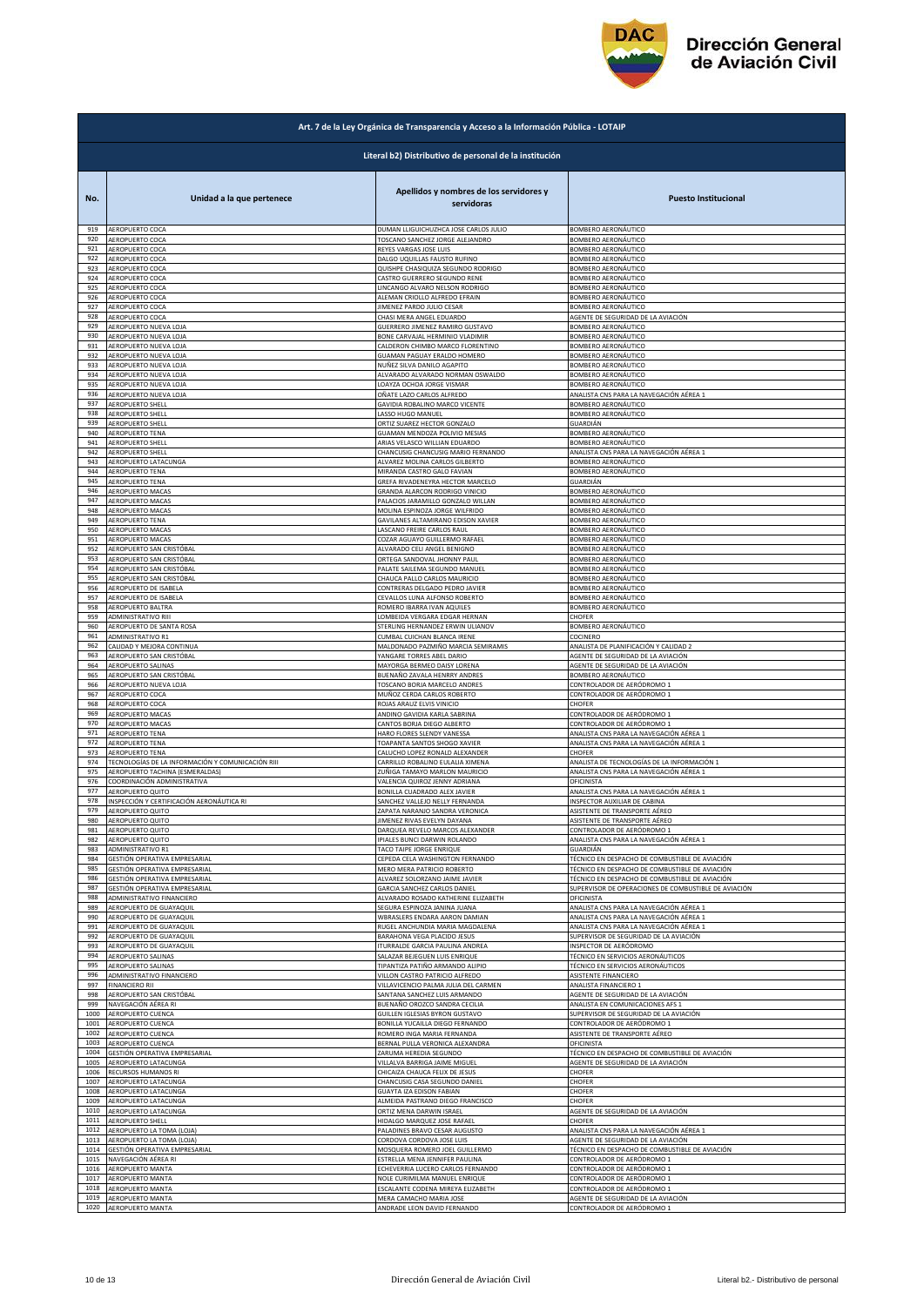

| Art. 7 de la Ley Orgánica de Transparencia y Acceso a la Información Pública - LOTAIP |                                                        |                                                           |                                                           |  |
|---------------------------------------------------------------------------------------|--------------------------------------------------------|-----------------------------------------------------------|-----------------------------------------------------------|--|
|                                                                                       | Literal b2) Distributivo de personal de la institución |                                                           |                                                           |  |
| No.                                                                                   | Unidad a la que pertenece                              | Apellidos y nombres de los servidores y<br>servidoras     | <b>Puesto Institucional</b>                               |  |
| 919                                                                                   | AEROPUERTO COCA                                        | DUMAN LLIGUICHUZHCA JOSE CARLOS JULIO                     | BOMBERO AERONÁUTICO                                       |  |
| 920                                                                                   | AEROPUERTO COCA                                        | TOSCANO SANCHEZ JORGE ALEJANDRO                           | BOMBERO AERONÁUTICO                                       |  |
| 921                                                                                   | AEROPUERTO COCA                                        | REYES VARGAS JOSE LUIS                                    | BOMBERO AERONÁUTICO                                       |  |
| 922                                                                                   | AEROPUERTO COCA                                        | DALGO UQUILLAS FAUSTO RUFINO                              | BOMBERO AERONÁUTICO                                       |  |
| 923                                                                                   | AEROPUERTO COCA                                        | QUISHPE CHASIQUIZA SEGUNDO RODRIGO                        | BOMBERO AERONÁUTICO                                       |  |
| 924                                                                                   | AEROPUERTO COCA                                        | CASTRO GUERRERO SEGUNDO RENE                              | BOMBERO AERONÁUTICO                                       |  |
| 925                                                                                   | AEROPUERTO COCA                                        | LINCANGO ALVARO NELSON RODRIGO                            | BOMBERO AERONÁUTICO                                       |  |
| 926<br>927                                                                            | AEROPUERTO COCA                                        | ALEMAN CRIOLLO ALFREDO EFRAIN<br>IMENEZ PARDO JULIO CESAR | BOMBERO AERONÁUTICO                                       |  |
| 928                                                                                   | AEROPUERTO COCA<br>AEROPUERTO COCA                     | CHASI MERA ANGEL EDUARDO                                  | BOMBERO AERONÁUTICO<br>AGENTE DE SEGURIDAD DE LA AVIACIÓN |  |
| 929                                                                                   | AEROPUERTO NUEVA LOJA                                  | GUERRERO JIMENEZ RAMIRO GUSTAVO                           | BOMBERO AERONÁUTICO                                       |  |
| 930                                                                                   | AEROPUERTO NUEVA LOJA                                  | BONE CARVAJAL HERMINIO VLADIMIR                           | BOMBERO AERONÁUTICO                                       |  |
| 931                                                                                   | AEROPUERTO NUEVA LOJA                                  | CALDERON CHIMBO MARCO FLORENTINO                          | BOMBERO AERONÁUTICO                                       |  |
| 932                                                                                   | AEROPUERTO NUEVA LOJA                                  | GUAMAN PAGUAY ERALDO HOMERO                               | BOMBERO AERONÁUTICO                                       |  |
| 933                                                                                   | AEROPUERTO NUEVA LOJA                                  | NUÑEZ SILVA DANILO AGAPITO                                | BOMBERO AERONÁUTICO                                       |  |
| 934                                                                                   | AEROPUERTO NUEVA LOJA                                  | ALVARADO ALVARADO NORMAN OSWALDO                          | BOMBERO AERONÁUTICO                                       |  |
| 935                                                                                   | AEROPUERTO NUEVA LOJA                                  | LOAYZA OCHOA JORGE VISMAR                                 | BOMBERO AERONÁUTICO                                       |  |
| 936                                                                                   | AEROPUERTO NUEVA LOJA                                  | OÑATE LAZO CARLOS ALFREDO                                 | ANALISTA CNS PARA LA NAVEGACIÓN AÉREA 1                   |  |
| 937                                                                                   | AEROPUERTO SHELL                                       | GAVIDIA ROBALINO MARCO VICENTE                            | BOMBERO AERONÁUTICO                                       |  |
| 938                                                                                   | AEROPUERTO SHELL                                       | LASSO HUGO MANUEL                                         | BOMBERO AERONÁUTICO                                       |  |
| 939                                                                                   | AEROPUERTO SHELL                                       | ORTIZ SUAREZ HECTOR GONZALO                               | GUARDIÁN                                                  |  |
| 940                                                                                   | <b>AEROPUERTO TENA</b>                                 | GUAMAN MENDOZA POLIVIO MESIAS                             | BOMBERO AERONÁUTICO                                       |  |
| 941                                                                                   | AEROPUERTO SHELL                                       | ARIAS VELASCO WILLIAN EDUARDO                             | BOMBERO AERONÁUTICO                                       |  |
| 942                                                                                   | AEROPUERTO SHELL                                       | CHANCUSIG CHANCUSIG MARIO FERNANDO                        | ANALISTA CNS PARA LA NAVEGACIÓN AÉREA 1                   |  |
| 943                                                                                   | AEROPUERTO LATACUNGA                                   | ALVAREZ MOLINA CARLOS GILBERTO                            | BOMBERO AERONÁUTICO                                       |  |
| 944                                                                                   | <b>AEROPUERTO TENA</b>                                 | MIRANDA CASTRO GALO FAVIAN                                | BOMBERO AERONÁUTICO                                       |  |
| 945                                                                                   | AEROPUERTO TENA                                        | GREFA RIVADENEYRA HECTOR MARCELO                          | GUARDIÁN                                                  |  |
| 946                                                                                   | AEROPUERTO MACAS                                       | GRANDA ALARCON RODRIGO VINICIO                            | BOMBERO AERONÁUTICO                                       |  |
| 947                                                                                   | AEROPUERTO MACAS                                       | PALACIOS JARAMILLO GONZALO WILLAN                         | <b>BOMBERO AERONÁUTICO</b>                                |  |
| 948<br>949                                                                            | AEROPUERTO MACAS                                       | MOLINA ESPINOZA JORGE WILFRIDO                            | BOMBERO AERONÁUTICO                                       |  |
| 950                                                                                   | AEROPUERTO TENA                                        | GAVILANES ALTAMIRANO EDISON XAVIER                        | BOMBERO AERONÁUTICO                                       |  |
|                                                                                       | AEROPUERTO MACAS                                       | LASCANO FREIRE CARLOS RAUL                                | BOMBERO AERONÁUTICO                                       |  |
| 951                                                                                   | AEROPUERTO MACAS                                       | COZAR AGUAYO GUILLERMO RAFAEL                             | BOMBERO AERONÁUTICO                                       |  |
| 952                                                                                   | AEROPUERTO SAN CRISTÓBAL                               | ALVARADO CELI ANGEL BENIGNO                               | BOMBERO AERONÁUTICO                                       |  |
| 953                                                                                   | AEROPUERTO SAN CRISTÓBAL                               | ORTEGA SANDOVAL JHONNY PAUL                               | <b>BOMBERO AERONÁUTICO</b>                                |  |
| 954                                                                                   | AEROPUERTO SAN CRISTÓBAL                               | PALATE SAILEMA SEGUNDO MANUEL                             | BOMBERO AERONÁUTICO                                       |  |
| 955                                                                                   | AEROPUERTO SAN CRISTÓBAL                               | CHAUCA PALLO CARLOS MAURICIO                              | BOMBERO AERONÁUTICO                                       |  |
| 956                                                                                   | AEROPUERTO DE ISABELA                                  | CONTRERAS DELGADO PEDRO JAVIER                            | BOMBERO AERONÁUTICO                                       |  |
| 957                                                                                   | AEROPUERTO DE ISABELA                                  | CEVALLOS LUNA ALFONSO ROBERTO                             | BOMBERO AERONÁUTICO                                       |  |
| 958                                                                                   | AEROPUERTO BALTRA                                      | ROMERO IBARRA IVAN AQUILES                                | BOMBERO AERONÁUTICO                                       |  |
| 959                                                                                   | ADMINISTRATIVO RIII                                    | LOMBEIDA VERGARA EDGAR HERNAN                             | CHOFER                                                    |  |
| 960                                                                                   | AEROPUERTO DE SANTA ROSA                               | STERLING HERNANDEZ ERWIN ULIANOV                          | BOMBERO AERONÁUTICO                                       |  |
| 961                                                                                   | ADMINISTRATIVO R1                                      | CUMBAL CUICHAN BLANCA IRENE                               | COCINERO                                                  |  |
| 962                                                                                   | CALIDAD Y MEJORA CONTINUA                              | MALDONADO PAZMIÑO MARCIA SEMIRAMIS                        | ANALISTA DE PLANIFICACIÓN Y CALIDAD 2                     |  |
| 963                                                                                   | AEROPUERTO SAN CRISTÓBAL                               | YANGARE TORRES ABEL DARIO                                 | AGENTE DE SEGURIDAD DE LA AVIACIÓN                        |  |
| 964                                                                                   | AEROPUERTO SALINAS                                     | MAYORGA BERMEO DAISY LORENA                               | AGENTE DE SEGURIDAD DE LA AVIACIÓN                        |  |
| 965                                                                                   | AEROPUERTO SAN CRISTÓBAL                               | BUENAÑO ZAVALA HENRRY ANDRES                              | BOMBERO AERONÁUTICO                                       |  |
| 966                                                                                   | AEROPUERTO NUEVA LOJA                                  | TOSCANO BORJA MARCELO ANDRES                              | CONTROLADOR DE AERÓDROMO 1                                |  |
| 967                                                                                   | AEROPUERTO COCA                                        | MUÑOZ CERDA CARLOS ROBERTO                                | CONTROLADOR DE AERÓDROMO 1                                |  |
| 968                                                                                   | AEROPUERTO COCA                                        | ROJAS ARAUZ ELVIS VINICIO                                 | <b>CHOFER</b>                                             |  |
| 969                                                                                   | AEROPUERTO MACAS                                       | ANDINO GAVIDIA KARLA SABRINA                              | CONTROLADOR DE AERÓDROMO 1                                |  |
| 970                                                                                   | AEROPUERTO MACAS                                       | CANTOS BORJA DIEGO ALBERTO                                | CONTROLADOR DE AERÓDROMO 1                                |  |
| 971                                                                                   |                                                        | HARO FLORES SLENDY VANESSA                                | ANALISTA CNS PARA LA NAVEGACIÓN AÉREA 1                   |  |
| 972                                                                                   | AEROPUERTO TENA<br>AEROPUERTO TENA                     | TOAPANTA SANTOS SHOGO XAVIER                              | ANALISTA CNS PARA LA NAVEGACIÓN AÉREA 1                   |  |
| 973                                                                                   | AEROPUERTO TENA                                        | CALUCHO LOPEZ RONALD ALEXANDER                            | CHOFER                                                    |  |
| 974                                                                                   | TECNOLOGÍAS DE LA INFORMACIÓN Y COMUNICACIÓN RIII      | CARRILLO ROBALINO EULALIA XIMENA                          | ANALISTA DE TECNOLOGÍAS DE LA INFORMACIÓN 1               |  |
| 975                                                                                   | AEROPUERTO TACHINA (ESMERALDAS)                        | ZUÑIGA TAMAYO MARLON MAURICIO                             | ANALISTA CNS PARA LA NAVEGACIÓN AÉREA 1                   |  |
| 976                                                                                   | COORDINACIÓN ADMINISTRATIVA                            | VALENCIA QUIROZ JENNY ADRIANA                             | OFICINISTA                                                |  |
| 977                                                                                   | AEROPUERTO QUITO                                       | BONILLA CUADRADO ALEX JAVIER                              | ANALISTA CNS PARA LA NAVEGACIÓN AÉREA 1                   |  |
| 978                                                                                   | INSPECCIÓN Y CERTIFICACIÓN AERONÁUTICA RI              | SANCHEZ VALLEJO NELLY FERNANDA                            | INSPECTOR AUXILIAR DE CABINA                              |  |
| 979                                                                                   | <b>AEROPUERTO QUITC</b>                                | 'APATA NARANJO SANDRA VERONICA                            | ASISTENTE DE TRANSPORTE AEREO                             |  |
| 980                                                                                   | AEROPUERTO QUITO                                       | JIMENEZ RIVAS EVELYN DAYANA                               | ASISTENTE DE TRANSPORTE AÉREO                             |  |
| 981                                                                                   | AEROPUERTO QUITO                                       | DARQUEA REVELO MARCOS ALEXANDER                           | CONTROLADOR DE AERÓDROMO 1                                |  |
| 982                                                                                   | AEROPUERTO QUITO                                       | IPIALES BUNCI DARWIN ROLANDO                              | ANALISTA CNS PARA LA NAVEGACIÓN AÉREA 1                   |  |
| 983                                                                                   | <b>ADMINISTRATIVO R1</b>                               | TACO TAIPE JORGE ENRIQUE                                  | GUARDIÁN                                                  |  |
| 984                                                                                   | GESTIÓN OPERATIVA EMPRESARIAL                          | CEPEDA CELA WASHINGTON FERNANDO                           | TÉCNICO EN DESPACHO DE COMBUSTIBLE DE AVIACIÓN            |  |
| 985                                                                                   | GESTIÓN OPERATIVA EMPRESARIAL                          | MERO MERA PATRICIO ROBERTO                                | TÉCNICO EN DESPACHO DE COMBUSTIBLE DE AVIACIÓN            |  |
| 986                                                                                   | GESTIÓN OPERATIVA EMPRESARIAL                          | ALVAREZ SOLORZANO JAIME JAVIER                            | TÉCNICO EN DESPACHO DE COMBUSTIBLE DE AVIACIÓN            |  |
| 987                                                                                   | GESTIÓN OPERATIVA EMPRESARIAL                          | GARCIA SANCHEZ CARLOS DANIEL                              | SUPERVISOR DE OPERACIONES DE COMBUSTIBLE DE AVIACIÓN      |  |
| 988                                                                                   | ADMINISTRATIVO FINANCIERO                              | ALVARADO ROSADO KATHERINE ELIZABETH                       | OFICINISTA                                                |  |
| 989                                                                                   | AEROPUERTO DE GUAYAQUIL                                | SEGURA ESPINOZA JANINA JUANA                              | ANALISTA CNS PARA LA NAVEGACIÓN AÉREA 1                   |  |
| 990                                                                                   | AEROPUERTO DE GUAYAQUIL                                | WBRASLERS ENDARA AARON DAMIAN                             | ANALISTA CNS PARA LA NAVEGACIÓN AÉREA 1                   |  |
| 991                                                                                   | AEROPUERTO DE GUAYAQUIL                                | RUGEL ANCHUNDIA MARIA MAGDALENA                           | ANALISTA CNS PARA LA NAVEGACIÓN AÉREA 1                   |  |
| 992                                                                                   | AEROPUERTO DE GUAYAQUIL                                | BARAHONA VEGA PLACIDO JESUS                               | SUPERVISOR DE SEGURIDAD DE LA AVIACIÓN                    |  |
| 993                                                                                   | AEROPUERTO DE GUAYAQUIL                                | ITURRALDE GARCIA PAULINA ANDREA                           | INSPECTOR DE AERÓDROMO                                    |  |
| 994                                                                                   | AEROPUERTO SALINAS                                     | SALAZAR BEJEGUEN LUIS ENRIQUE                             | TÉCNICO EN SERVICIOS AERONÁUTICOS                         |  |
| 995                                                                                   | AEROPUERTO SALINAS                                     | TIPANTIZA PATIÑO ARMANDO ALIPIO                           | TÉCNICO EN SERVICIOS AERONÁUTICOS                         |  |
| 996                                                                                   | ADMINISTRATIVO FINANCIERO                              | VILLON CASTRO PATRICIO ALFREDO                            | ASISTENTE FINANCIERO                                      |  |
| 997                                                                                   | <b>FINANCIERO RII</b>                                  | VILLAVICENCIO PALMA JULIA DEL CARMEN                      | ANALISTA FINANCIERO 1                                     |  |
| 998                                                                                   | AEROPUERTO SAN CRISTÓBAL                               | SANTANA SANCHEZ LUIS ARMANDO                              | AGENTE DE SEGURIDAD DE LA AVIACIÓN                        |  |
| 999                                                                                   | NAVEGACIÓN AÉREA RI                                    | BUENAÑO OROZCO SANDRA CECILIA                             | ANALISTA EN COMUNICACIONES AFS 1                          |  |
| 1000                                                                                  | AEROPUERTO CUENCA                                      | GUILLEN IGLESIAS BYRON GUSTAVO                            | SUPERVISOR DE SEGURIDAD DE LA AVIACIÓN                    |  |
| 1001                                                                                  | AEROPUERTO CUENCA                                      | BONILLA YUCAILLA DIEGO FERNANDO                           | CONTROLADOR DE AERÓDROMO 1                                |  |
| 1002                                                                                  | AEROPUERTO CUENCA                                      | ROMERO INGA MARIA FERNANDA                                | ASISTENTE DE TRANSPORTE AÉREO                             |  |
| 1003                                                                                  | AEROPUERTO CUENCA                                      | BERNAL PULLA VERONICA ALEXANDRA                           | OFICINISTA                                                |  |
| 1004                                                                                  | GESTIÓN OPERATIVA EMPRESARIAL                          | ZARUMA HEREDIA SEGUNDO                                    | TÉCNICO EN DESPACHO DE COMBUSTIBLE DE AVIACIÓN            |  |
| 1005                                                                                  | AEROPUERTO LATACUNGA                                   | VILLALVA BARRIGA JAIME MIGUEL                             | AGENTE DE SEGURIDAD DE LA AVIACIÓN                        |  |
| 1006                                                                                  | RECURSOS HUMANOS RI                                    | CHICAIZA CHAUCA FELIX DE JESUS                            | CHOFER                                                    |  |
| 1007                                                                                  | AEROPUERTO LATACUNGA                                   | CHANCUSIG CASA SEGUNDO DANIEL                             | CHOFER                                                    |  |
| 1008                                                                                  | AEROPUERTO LATACUNGA                                   | GUAYTA IZA EDISON FABIAN                                  | CHOFER                                                    |  |
| 1009                                                                                  | AEROPUERTO LATACUNGA                                   | ALMEIDA PASTRANO DIEGO FRANCISCO                          | CHOFER                                                    |  |
| 1010                                                                                  | AEROPUERTO LATACUNGA                                   | ORTIZ MENA DARWIN ISRAEL                                  | AGENTE DE SEGURIDAD DE LA AVIACIÓN                        |  |
| 1011                                                                                  | <b>AEROPUERTO SHELL</b>                                | HIDALGO MARQUEZ JOSE RAFAEL                               | CHOFER                                                    |  |
| 1012                                                                                  | AEROPUERTO LA TOMA (LOJA)                              | PALADINES BRAVO CESAR AUGUSTO                             | ANALISTA CNS PARA LA NAVEGACIÓN AÉREA 1                   |  |
| 1013                                                                                  | AEROPUERTO LA TOMA (LOJA)                              | CORDOVA CORDOVA JOSE LUIS                                 | AGENTE DE SEGURIDAD DE LA AVIACIÓN                        |  |
| 1014                                                                                  | GESTIÓN OPERATIVA EMPRESARIAL                          | MOSQUERA ROMERO JOEL GUILLERMO                            | TÉCNICO EN DESPACHO DE COMBUSTIBLE DE AVIACIÓN            |  |
| 1015                                                                                  | NAVEGACIÓN AÉREA RI                                    | ESTRELLA MENA JENNIFER PAULINA                            | CONTROLADOR DE AERÓDROMO 1                                |  |
| 1016<br>1017                                                                          | AEROPUERTO MANTA                                       | ECHEVERRIA LUCERO CARLOS FERNANDO                         | CONTROLADOR DE AERÓDROMO 1                                |  |
| 1018                                                                                  | AEROPUERTO MANTA                                       | NOLE CURIMILMA MANUEL ENRIQUE                             | CONTROLADOR DE AERÓDROMO 1                                |  |
|                                                                                       | AEROPUERTO MANTA                                       | ESCALANTE CODENA MIREYA ELIZABETH                         | CONTROLADOR DE AERÓDROMO 1                                |  |
| 1019                                                                                  | AEROPUERTO MANTA                                       | MERA CAMACHO MARIA JOSE                                   | AGENTE DE SEGURIDAD DE LA AVIACIÓN                        |  |
| 1020                                                                                  | AEROPUERTO MANTA                                       | ANDRADE LEON DAVID FERNANDO                               | CONTROLADOR DE AERÓDROMO 1                                |  |
|                                                                                       |                                                        |                                                           |                                                           |  |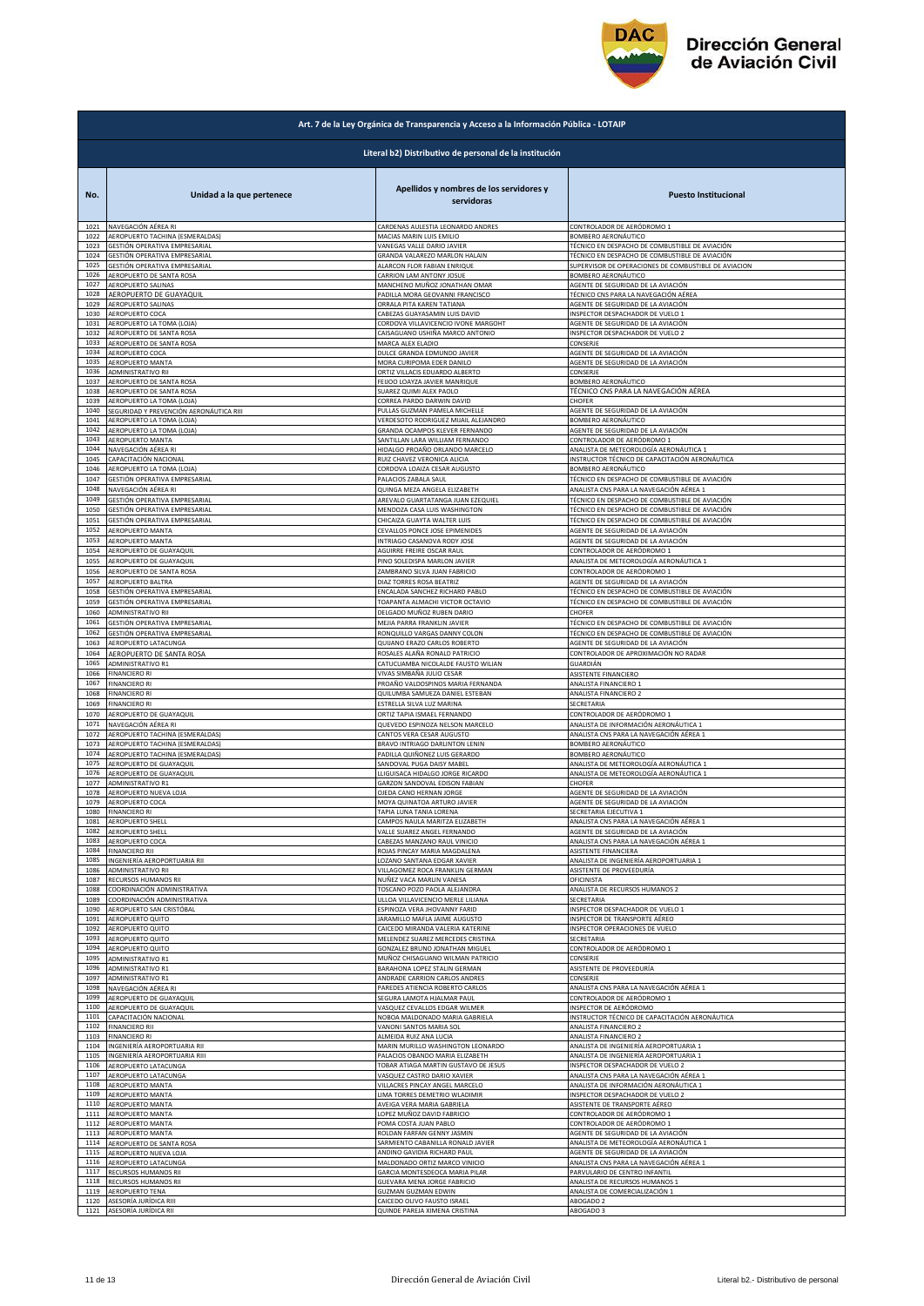

|                      | Art. 7 de la Ley Orgánica de Transparencia y Acceso a la Información Pública - LOTAIP |                                                                   |                                                                                                  |  |
|----------------------|---------------------------------------------------------------------------------------|-------------------------------------------------------------------|--------------------------------------------------------------------------------------------------|--|
|                      | Literal b2) Distributivo de personal de la institución                                |                                                                   |                                                                                                  |  |
| No.                  | Unidad a la que pertenece                                                             | Apellidos y nombres de los servidores y<br>servidoras             | <b>Puesto Institucional</b>                                                                      |  |
| 1021                 | NAVEGACIÓN AÉREA RI                                                                   | CARDENAS AULESTIA LEONARDO ANDRES                                 | CONTROLADOR DE AERÓDROMO 1                                                                       |  |
| 1022                 | AEROPUERTO TACHINA (ESMERALDAS)                                                       | MACIAS MARIN LUIS EMILIO                                          | BOMBERO AERONÁUTICO                                                                              |  |
| 1023                 | GESTIÓN OPERATIVA EMPRESARIAL                                                         | VANEGAS VALLE DARIO JAVIER                                        | TÉCNICO EN DESPACHO DE COMBUSTIBLE DE AVIACIÓN                                                   |  |
| 1024                 | GESTIÓN OPERATIVA EMPRESARIAL                                                         | GRANDA VALAREZO MARLON HALAIN                                     | TÉCNICO EN DESPACHO DE COMBUSTIBLE DE AVIACIÓN                                                   |  |
| 1025                 | GESTIÓN OPERATIVA EMPRESARIAL                                                         | ALARCON FLOR FABIAN ENRIQUE                                       | SUPERVISOR DE OPERACIONES DE COMBUSTIBLE DE AVIACION                                             |  |
| 1026                 | AEROPUERTO DE SANTA ROSA                                                              | CARRION LAM ANTONY JOSUE                                          | BOMBERO AERONÁUTICO                                                                              |  |
| 1027                 | <b>AEROPUERTO SALINAS</b>                                                             | MANCHENO MUÑOZ JONATHAN OMAR                                      | AGENTE DE SEGURIDAD DE LA AVIACIÓN                                                               |  |
| 1028                 | AEROPUERTO DE GUAYAQUIL                                                               | PADILLA MORA GEOVANNI FRANCISCO                                   | TÉCNICO CNS PARA LA NAVEGACIÓN AÉREA                                                             |  |
| 1029                 | AEROPUERTO SALINAS                                                                    | ORRALA PITA KAREN TATIANA                                         | AGENTE DE SEGURIDAD DE LA AVIACIÓN                                                               |  |
| 1030                 | AEROPUERTO COCA                                                                       | CABEZAS GUAYASAMIN LUIS DAVID                                     | INSPECTOR DESPACHADOR DE VUELO 1                                                                 |  |
| 1031                 | AEROPUERTO LA TOMA (LOJA)                                                             | CORDOVA VILLAVICENCIO IVONE MARGOHT                               | AGENTE DE SEGURIDAD DE LA AVIACIÓN                                                               |  |
| 1032                 | AEROPUERTO DE SANTA ROSA                                                              | CAISAGUANO USHIÑA MARCO ANTONIO                                   | INSPECTOR DESPACHADOR DE VUELO 2                                                                 |  |
| 1033                 | AEROPUERTO DE SANTA ROSA                                                              | MARCA ALEX ELADIO                                                 | CONSERJE                                                                                         |  |
| 1034                 | AEROPUERTO COCA                                                                       | DULCE GRANDA EDMUNDO JAVIER                                       | AGENTE DE SEGURIDAD DE LA AVIACIÓN                                                               |  |
| 1035                 | <b>AEROPUERTO MANTA</b>                                                               | MORA CURIPOMA EDER DANILO                                         | AGENTE DE SEGURIDAD DE LA AVIACIÓN                                                               |  |
| 1036                 | ADMINISTRATIVO RII                                                                    | ORTIZ VILLACIS EDUARDO ALBERTO                                    | CONSERJE                                                                                         |  |
| 1037                 | AEROPUERTO DE SANTA ROSA                                                              | FEIJOO LOAYZA JAVIER MANRIQUE                                     | BOMBERO AERONÁUTICO                                                                              |  |
| 1038                 | AEROPUERTO DE SANTA ROSA                                                              | SUAREZ QUIMI ALEX PAOLO                                           | TÉCNICO CNS PARA LA NAVEGACIÓN AÉREA                                                             |  |
| 1039                 | AEROPUERTO LA TOMA (LOJA)                                                             | CORREA PARDO DARWIN DAVID                                         | CHOFER                                                                                           |  |
| 1040                 | SEGURIDAD Y PREVENCIÓN AERONÁUTICA RIII                                               | PULLAS GUZMAN PAMELA MICHELLI                                     | AGENTE DE SEGURIDAD DE LA AVIACIÓN                                                               |  |
| 1041                 | AEROPUERTO LA TOMA (LOJA)                                                             | VERDESOTO RODRIGUEZ MIJAIL ALEJANDRO                              | <b>BOMBERO AERONÁUTICO</b>                                                                       |  |
| 1042                 | AEROPUERTO LA TOMA (LOJA)                                                             | GRANDA OCAMPOS KLEVER FERNANDO<br>SANTILLAN LARA WILLIAM FERNANDO | AGENTE DE SEGURIDAD DE LA AVIACIÓN<br>CONTROLADOR DE AERÓDROMO 1                                 |  |
| 1043<br>1044         | AEROPUERTO MANTA<br>NAVEGACIÓN AÉREA RI                                               | HIDALGO PROAÑO ORLANDO MARCELO                                    | ANALISTA DE METEOROLOGÍA AERONÁUTICA 1                                                           |  |
| 1045                 | CAPACITACIÓN NACIONAL                                                                 | RUIZ CHAVEZ VERONICA ALICIA                                       | INSTRUCTOR TÉCNICO DE CAPACITACIÓN AERONÁUTICA                                                   |  |
| 1046                 | AEROPUERTO LA TOMA (LOJA)                                                             | CORDOVA LOAIZA CESAR AUGUSTO                                      | BOMBERO AERONÁUTICO                                                                              |  |
| 1047                 | GESTIÓN OPERATIVA EMPRESARIAL                                                         | PALACIOS ZABALA SAUL                                              | TÉCNICO EN DESPACHO DE COMBUSTIBLE DE AVIACIÓN                                                   |  |
| 1048                 | NAVEGACIÓN AÉREA RI                                                                   | QUINGA MEZA ANGELA ELIZABETH                                      | ANALISTA CNS PARA LA NAVEGACIÓN AÉREA 1                                                          |  |
| 1049                 | GESTIÓN OPERATIVA EMPRESARIAL                                                         | AREVALO GUARTATANGA JUAN EZEQUIEL                                 | TÉCNICO EN DESPACHO DE COMBUSTIBLE DE AVIACIÓN                                                   |  |
| 1050                 | GESTIÓN OPERATIVA EMPRESARIAL                                                         | MENDOZA CASA LUIS WASHINGTON                                      | TÉCNICO EN DESPACHO DE COMBUSTIBLE DE AVIACIÓN                                                   |  |
| 1051                 | GESTIÓN OPERATIVA EMPRESARIAL                                                         | CHICAIZA GUAYTA WALTER LUIS                                       | TÉCNICO EN DESPACHO DE COMBUSTIBLE DE AVIACIÓN                                                   |  |
| 1052                 | AEROPUERTO MANTA                                                                      | CEVALLOS PONCE JOSE EPIMENIDES                                    | AGENTE DE SEGURIDAD DE LA AVIACIÓN                                                               |  |
| 1053                 | AEROPUERTO MANTA                                                                      | INTRIAGO CASANOVA RODY JOSE                                       | AGENTE DE SEGURIDAD DE LA AVIACIÓN                                                               |  |
| 1054                 | AEROPUERTO DE GUAYAQUIL                                                               | AGUIRRE FREIRE OSCAR RAUL                                         | CONTROLADOR DE AERÓDROMO 1                                                                       |  |
| 1055                 | AEROPUERTO DE GUAYAQUIL                                                               | PINO SOLEDISPA MARLON JAVIER                                      | ANALISTA DE METEOROLOGÍA AERONÁUTICA 1                                                           |  |
| 1056<br>1057         | AEROPUERTO DE SANTA ROSA                                                              | ZAMBRANO SILVA JUAN FABRICIO                                      | CONTROLADOR DE AERÓDROMO 1                                                                       |  |
| 1058                 | AEROPUERTO BALTRA                                                                     | DIAZ TORRES ROSA BEATRIZ                                          | AGENTE DE SEGURIDAD DE LA AVIACIÓN                                                               |  |
|                      | GESTIÓN OPERATIVA EMPRESARIAL                                                         | ENCALADA SANCHEZ RICHARD PABLO                                    | TÉCNICO EN DESPACHO DE COMBUSTIBLE DE AVIACIÓN                                                   |  |
| 1059                 | GESTIÓN OPERATIVA EMPRESARIAL                                                         | <b>TOAPANTA ALMACHI VICTOR OCTAVIO</b>                            | TÉCNICO EN DESPACHO DE COMBUSTIBLE DE AVIACIÓN                                                   |  |
| 1060                 | ADMINISTRATIVO RII                                                                    | DELGADO MUÑOZ RUBEN DARIO                                         | CHOFER                                                                                           |  |
| 1061                 | GESTIÓN OPERATIVA EMPRESARIAL                                                         | MEJIA PARRA FRANKLIN JAVIER                                       | TÉCNICO EN DESPACHO DE COMBUSTIBLE DE AVIACIÓN                                                   |  |
| 1062                 | GESTIÓN OPERATIVA EMPRESARIAL                                                         | RONQUILLO VARGAS DANNY COLON                                      | TÉCNICO EN DESPACHO DE COMBUSTIBLE DE AVIACIÓN                                                   |  |
| 1063                 | AEROPUERTO LATACUNGA                                                                  | QUIJANO ERAZO CARLOS ROBERTO                                      | AGENTE DE SEGURIDAD DE LA AVIACIÓN                                                               |  |
| 1064                 |                                                                                       | ROSALES ALAÑA RONALD PATRICIO                                     | CONTROLADOR DE APROXIMACIÓN NO RADAR                                                             |  |
| 1065                 | AEROPUERTO DE SANTA ROSA<br>ADMINISTRATIVO R1                                         | CATUCUAMBA NICOLALDE FAUSTO WILIAN                                | GUARDIÁN                                                                                         |  |
| 1066                 | <b>FINANCIERO RI</b>                                                                  | VIVAS SIMBAÑA JULIO CESAR                                         | ASISTENTE FINANCIERO                                                                             |  |
| 1067                 | <b>FINANCIERO RI</b>                                                                  | PROAÑO VALDOSPINOS MARIA FERNANDA                                 | ANALISTA FINANCIERO 1                                                                            |  |
| 1068                 | <b>FINANCIERO RI</b>                                                                  | QUILUMBA SAMUEZA DANIEL ESTEBAN                                   | ANALISTA FINANCIERO 2                                                                            |  |
| 1069                 | <b>FINANCIERO RI</b>                                                                  | ESTRELLA SILVA LUZ MARINA                                         | SECRETARIA                                                                                       |  |
| 1070                 | AEROPUERTO DE GUAYAQUIL                                                               | ORTIZ TAPIA ISMAEL FERNANDO                                       | CONTROLADOR DE AERÓDROMO 1                                                                       |  |
| 1071                 | NAVEGACIÓN AÉREA RI                                                                   | QUEVEDO ESPINOZA NELSON MARCELO                                   | ANALISTA DE INFORMACIÓN AERONÁUTICA 1                                                            |  |
| 1072                 | AEROPUERTO TACHINA (ESMERALDAS)                                                       | CANTOS VERA CESAR AUGUSTO                                         | ANALISTA CNS PARA LA NAVEGACIÓN AÉREA 1                                                          |  |
| 1073                 | AEROPUERTO TACHINA (ESMERALDAS)                                                       | BRAVO INTRIAGO DARLINTON LENIN                                    | BOMBERO AERONÁUTICO                                                                              |  |
| 1074                 | AEROPUERTO TACHINA (ESMERALDAS)                                                       | PADILLA QUIÑONEZ LUIS GERARDO                                     | BOMBERO AERONÁUTICO                                                                              |  |
| 1075                 | AEROPUERTO DE GUAYAQUIL                                                               | SANDOVAL PUGA DAISY MABEL                                         | ANALISTA DE METEOROLOGÍA AERONÁUTICA 1                                                           |  |
| 1076                 | AEROPUERTO DE GUAYAQUIL                                                               | LLIGUISACA HIDALGO JORGE RICARDO                                  | ANALISTA DE METEOROLOGÍA AERONÁUTICA 1                                                           |  |
| 1077                 | ADMINISTRATIVO R1                                                                     | GARZON SANDOVAL EDISON FABIAN                                     | CHOFER                                                                                           |  |
| 1078                 | AEROPUERTO NUEVA LOJA                                                                 | OJEDA CANO HERNAN JORGE                                           | AGENTE DE SEGURIDAD DE LA AVIACIÓN                                                               |  |
| 1079                 | AEROPUERTO COCA                                                                       | MOYA QUINATOA ARTURO JAVIER                                       | AGENTE DE SEGURIDAD DE LA AVIACIÓN                                                               |  |
| 1080                 | <b>FINANCIERO RI</b>                                                                  | TAPIA LUNA TANIA LORENA                                           | SECRETARIA EJECUTIVA 1                                                                           |  |
| 1081                 | AEROPUERTO SHELL                                                                      | CAMPOS NAULA MARITZA ELIZABETH                                    | ANALISTA CNS PARA LA NAVEGACIÓN AÉREA 1                                                          |  |
| 1082                 | AEROPUERTO SHELL                                                                      | VALLE SUAREZ ANGEL FERNANDO                                       | AGENTE DE SEGURIDAD DE LA AVIACIÓN                                                               |  |
| 1083                 | AEROPUERTO COCA                                                                       | CABEZAS MANZANO RAUL VINICIO                                      | ANALISTA CNS PARA LA NAVEGACIÓN AÉREA 1                                                          |  |
| 1084                 | FINANCIERO RII                                                                        | ROJAS PINCAY MARIA MAGDALENA                                      | ASISTENTE FINANCIERA                                                                             |  |
| 1085                 | INGENIERÍA AEROPORTUARIA RII                                                          | LOZANO SANTANA EDGAR XAVIER                                       | ANALISTA DE INGENIERÍA AEROPORTUARIA 1                                                           |  |
| 1086                 | ADMINISTRATIVO RII                                                                    | VILLAGOMEZ ROCA FRANKLIN GERMAN                                   | ASISTENTE DE PROVEEDURÍA                                                                         |  |
| 1087                 | RECURSOS HUMANOS RII                                                                  | NUÑEZ VACA MARLIN VANESA                                          | OFICINISTA                                                                                       |  |
| 1088                 | COORDINACIÓN ADMINISTRATIVA                                                           | TOSCANO POZO PAOLA ALEJANDRA                                      | ANALISTA DE RECURSOS HUMANOS 2                                                                   |  |
| 1089<br>1090         | COORDINACIÓN ADMINISTRATIVA                                                           | ULLOA VILLAVICENCIO MERLE LILIANA                                 | SECRETARIA                                                                                       |  |
| 1091                 | AEROPUERTO SAN CRISTÓBAL                                                              | ESPINOZA VERA JHOVANNY FARID                                      | INSPECTOR DESPACHADOR DE VUELO 1                                                                 |  |
|                      | AEROPUERTO QUITO                                                                      | JARAMILLO MAFLA JAIME AUGUSTO                                     | INSPECTOR DE TRANSPORTE AÉREO                                                                    |  |
| 1092                 | AEROPUERTO QUITO                                                                      | CAICEDO MIRANDA VALERIA KATERINE                                  | INSPECTOR OPERACIONES DE VUELO                                                                   |  |
| 1093                 | AEROPUERTO QUITO                                                                      | MELENDEZ SUAREZ MERCEDES CRISTINA                                 | SECRETARIA                                                                                       |  |
| 1094                 | AEROPUERTO QUITO                                                                      | GONZALEZ BRUNO JONATHAN MIGUEL                                    | CONTROLADOR DE AERÓDROMO 1                                                                       |  |
| 1095                 | ADMINISTRATIVO R1                                                                     | MUÑOZ CHISAGUANO WILMAN PATRICIO                                  | CONSERJE                                                                                         |  |
| 1096                 | <b>ADMINISTRATIVO R1</b>                                                              | BARAHONA LOPEZ STALIN GERMAN                                      | ASISTENTE DE PROVEEDURÍA                                                                         |  |
| 1097                 | <b>ADMINISTRATIVO R1</b>                                                              | ANDRADE CARRION CARLOS ANDRES                                     | CONSERJE                                                                                         |  |
| 1098                 | NAVEGACIÓN AÉREA RI                                                                   | PAREDES ATIENCIA ROBERTO CARLOS                                   | ANALISTA CNS PARA LA NAVEGACIÓN AÉREA 1                                                          |  |
| 1099                 | AEROPUERTO DE GUAYAQUIL                                                               | SEGURA LAMOTA HJALMAR PAUL                                        | CONTROLADOR DE AERÓDROMO 1                                                                       |  |
| 1100                 | AEROPUERTO DE GUAYAQUIL                                                               | VASQUEZ CEVALLOS EDGAR WILMER                                     | INSPECTOR DE AERÓDROMO                                                                           |  |
| 1101<br>1102<br>1103 | CAPACITACIÓN NACIONAL<br><b>FINANCIERO RII</b>                                        | NOBOA MALDONADO MARIA GABRIELA<br>VANONI SANTOS MARIA SOL         | INSTRUCTOR TÉCNICO DE CAPACITACIÓN AERONÁUTICA<br>ANALISTA FINANCIERO 2<br>ANALISTA FINANCIERO 2 |  |
| 1104                 | <b>FINANCIERO RI</b><br>INGENIERÍA AEROPORTUARIA RII                                  | ALMEIDA RUIZ ANA LUCIA<br>MARIN MURILLO WASHINGTON LEONARDO       | ANALISTA DE INGENIERÍA AEROPORTUARIA 1                                                           |  |
| 1105                 | INGENIERÍA AEROPORTUARIA RIII                                                         | PALACIOS OBANDO MARIA ELIZABETH                                   | ANALISTA DE INGENIERÍA AEROPORTUARIA 1                                                           |  |
| 1106                 | AEROPUERTO LATACUNGA                                                                  | TOBAR ATIAGA MARTIN GUSTAVO DE JESUS                              | INSPECTOR DESPACHADOR DE VUELO 2                                                                 |  |
| 1107                 | AEROPUERTO LATACUNGA                                                                  | VASQUEZ CASTRO DARIO XAVIER                                       | ANALISTA CNS PARA LA NAVEGACIÓN AÉREA 1                                                          |  |
| 1108                 | <b>AEROPUERTO MANTA</b>                                                               | VILLACRES PINCAY ANGEL MARCELO                                    | ANALISTA DE INFORMACIÓN AERONÁUTICA 1                                                            |  |
| 1109                 | <b>AEROPUERTO MANTA</b>                                                               | LIMA TORRES DEMETRIO WLADIMIR                                     | INSPECTOR DESPACHADOR DE VUELO 2                                                                 |  |
| 1110                 | <b>AEROPUERTO MANTA</b>                                                               | AVEIGA VERA MARIA GABRIELA                                        | ASISTENTE DE TRANSPORTE AÉREO                                                                    |  |
| 1111                 | AEROPUERTO MANTA                                                                      | LOPEZ MUÑOZ DAVID FABRICIO                                        | CONTROLADOR DE AERÓDROMO 1                                                                       |  |
| 1112                 | AEROPUERTO MANTA                                                                      | POMA COSTA JUAN PABLO                                             | CONTROLADOR DE AERÓDROMO 1                                                                       |  |
| 1113                 | AEROPUERTO MANTA                                                                      | ROLDAN FARFAN GENNY JASMIN                                        | AGENTE DE SEGURIDAD DE LA AVIACIÓN                                                               |  |
| 1114                 | AEROPUERTO DE SANTA ROSA                                                              | SARMIENTO CABANILLA RONALD JAVIER                                 | ANALISTA DE METEOROLOGÍA AERONÁUTICA 1                                                           |  |
| 1115<br>1116         | AEROPUERTO NUEVA LOJA                                                                 | ANDINO GAVIDIA RICHARD PAUL                                       | AGENTE DE SEGURIDAD DE LA AVIACIÓN                                                               |  |
| 1117                 | AEROPUERTO LATACUNGA                                                                  | MALDONADO ORTIZ MARCO VINICIO                                     | ANALISTA CNS PARA LA NAVEGACIÓN AÉREA 1                                                          |  |
|                      | RECURSOS HUMANOS RII                                                                  | GARCIA MONTESDEOCA MARIA PILAR                                    | PARVULARIO DE CENTRO INFANTIL                                                                    |  |
| 1118                 | RECURSOS HUMANOS RII                                                                  | GUEVARA MENA JORGE FABRICIO                                       | ANALISTA DE RECURSOS HUMANOS 1                                                                   |  |
| 1119                 | AEROPUERTO TENA                                                                       | GUZMAN GUZMAN EDWIN                                               | ANALISTA DE COMERCIALIZACIÓN 1                                                                   |  |
| 1120                 | ASESORÍA JURÍDICA RIII                                                                | CAICEDO OLIVO FAUSTO ISRAEL                                       | ABOGADO 2                                                                                        |  |
|                      | ASESORÍA JURÍDICA RII                                                                 | QUINDE PAREJA XIMENA CRISTINA                                     | ABOGADO 3                                                                                        |  |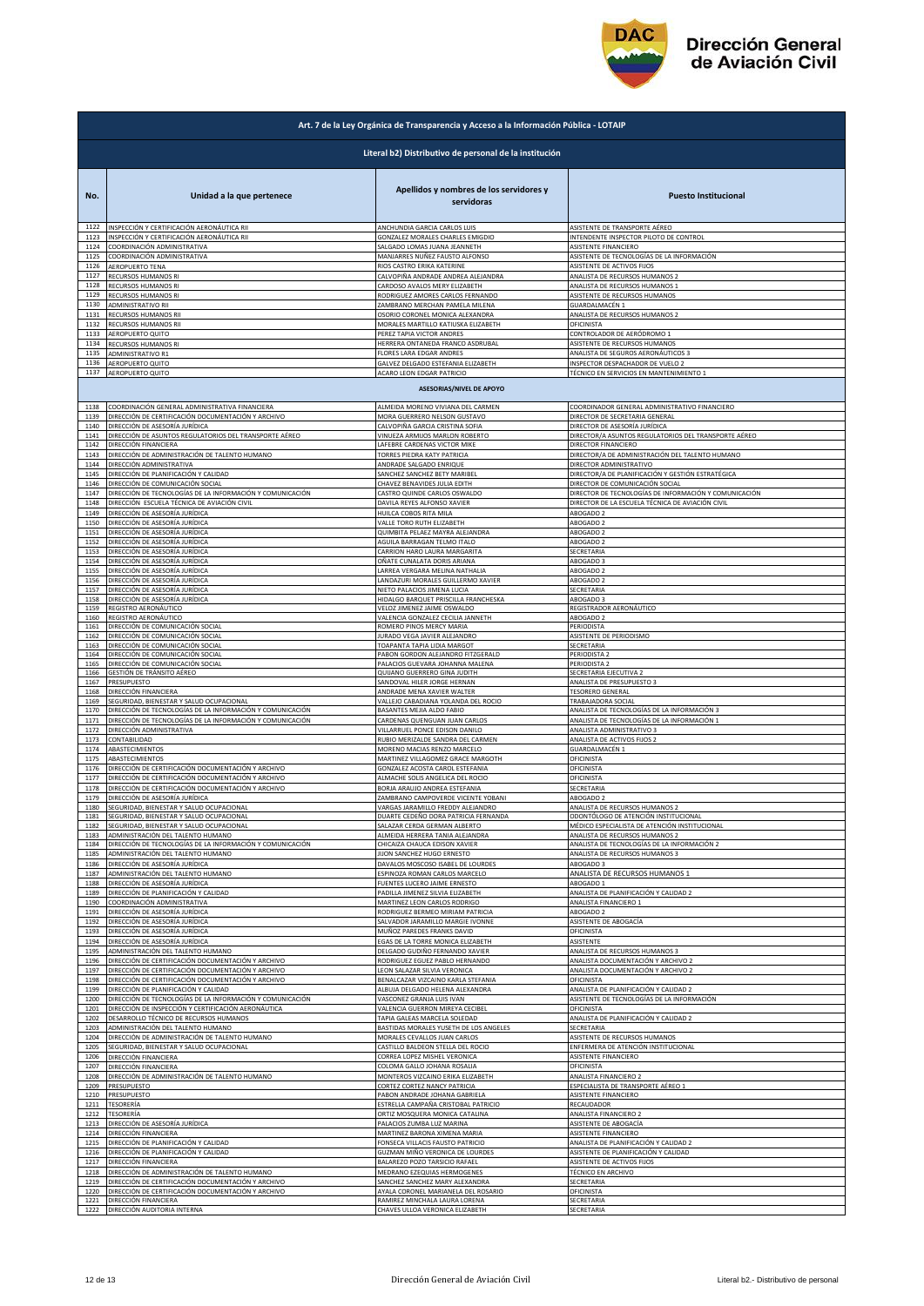

|      | Art. 7 de la Ley Orgánica de Transparencia y Acceso a la Información Pública - LOTAIP |                                                                      |                                                       |  |
|------|---------------------------------------------------------------------------------------|----------------------------------------------------------------------|-------------------------------------------------------|--|
|      | Literal b2) Distributivo de personal de la institución                                |                                                                      |                                                       |  |
| No.  | Unidad a la que pertenece                                                             | Apellidos y nombres de los servidores y<br>servidoras                | <b>Puesto Institucional</b>                           |  |
| 1122 | INSPECCIÓN Y CERTIFICACIÓN AERONÁUTICA RII                                            | ANCHUNDIA GARCIA CARLOS LUIS                                         | ASISTENTE DE TRANSPORTE AÉREO                         |  |
| 1123 | INSPECCIÓN Y CERTIFICACIÓN AERONÁUTICA RII                                            | GONZALEZ MORALES CHARLES EMIGDIO                                     | INTENDENTE INSPECTOR PILOTO DE CONTROL                |  |
| 1124 | COORDINACIÓN ADMINISTRATIVA                                                           | SALGADO LOMAS JUANA JEANNETH                                         | ASISTENTE FINANCIERO                                  |  |
| 1125 | COORDINACIÓN ADMINISTRATIVA                                                           | MANJARRES NUÑEZ FAUSTO ALFONSO                                       | ASISTENTE DE TECNOLOGÍAS DE LA INFORMACIÓN            |  |
| 1126 | AEROPUERTO TENA                                                                       | RIOS CASTRO ERIKA KATERINE                                           | ASISTENTE DE ACTIVOS FIJOS                            |  |
| 1127 | <b>RECURSOS HUMANOS RI</b>                                                            | CALVOPIÑA ANDRADE ANDREA ALEJANDRA                                   | ANALISTA DE RECURSOS HUMANOS 2                        |  |
| 1128 | RECURSOS HUMANOS RI                                                                   | CARDOSO AVALOS MERY ELIZABETH                                        | ANALISTA DE RECURSOS HUMANOS 1                        |  |
| 1129 | RECURSOS HUMANOS RI                                                                   | RODRIGUEZ AMORES CARLOS FERNANDO                                     | ASISTENTE DE RECURSOS HUMANOS                         |  |
| 1130 | ADMINISTRATIVO RII                                                                    | ZAMBRANO MERCHAN PAMELA MILENA                                       | GUARDALMACÉN 1                                        |  |
| 1131 | RECURSOS HUMANOS RII                                                                  | OSORIO CORONEL MONICA ALEXANDRA                                      | ANALISTA DE RECURSOS HUMANOS 2                        |  |
| 1132 | RECURSOS HUMANOS RII                                                                  | MORALES MARTILLO KATIUSKA ELIZABETH                                  | OFICINISTA                                            |  |
| 1133 | AEROPUERTO QUITO                                                                      | PEREZ TAPIA VICTOR ANDRES                                            | CONTROLADOR DE AERÓDROMO 1                            |  |
| 1134 | RECURSOS HUMANOS RI                                                                   | HERRERA ONTANEDA FRANCO ASDRUBAL                                     | ASISTENTE DE RECURSOS HUMANOS                         |  |
| 1135 | ADMINISTRATIVO R1                                                                     | FLORES LARA EDGAR ANDRES                                             | ANALISTA DE SEGUROS AERONÁUTICOS 3                    |  |
| 1136 | AEROPUERTO QUITO                                                                      | GALVEZ DELGADO ESTEFANIA ELIZABETH                                   | INSPECTOR DESPACHADOR DE VUELO 2                      |  |
| 1137 | AEROPUERTO QUITO                                                                      | ACARO LEON EDGAR PATRICIO<br><b>ASESORIAS/NIVEL DE APOYO</b>         | TÉCNICO EN SERVICIOS EN MANTENIMIENTO 1               |  |
| 1138 | COORDINACIÓN GENERAL ADMINISTRATIVA FINANCIERA                                        | ALMEIDA MORENO VIVIANA DEL CARMEN                                    | COORDINADOR GENERAL ADMINISTRATIVO FINANCIERO         |  |
| 1139 | DIRECCIÓN DE CERTIFICACIÓN DOCUMENTACIÓN Y ARCHIVO                                    | MORA GUERRERO NELSON GUSTAVO                                         | DIRECTOR DE SECRETARIA GENERAL                        |  |
| 1140 | DIRECCIÓN DE ASESORÍA JURÍDICA                                                        | CALVOPIÑA GARCIA CRISTINA SOFIA                                      | DIRECTOR DE ASESORÍA JURÍDICA                         |  |
| 1141 | DIRECCIÓN DE ASUNTOS REGULATORIOS DEL TRANSPORTE AÉREO                                | VINUEZA ARMIJOS MARLON ROBERTO                                       | DIRECTOR/A ASUNTOS REGULATORIOS DEL TRANSPORTE AÉREO  |  |
| 1142 | DIRECCIÓN FINANCIERA                                                                  | LAFEBRE CARDENAS VICTOR MIKE                                         | DIRECTOR FINANCIERO                                   |  |
| 1143 | DIRECCIÓN DE ADMINISTRACIÓN DE TALENTO HUMANO                                         | TORRES PIEDRA KATY PATRICIA                                          | DIRECTOR/A DE ADMINISTRACIÓN DEL TALENTO HUMANO       |  |
| 1144 | DIRECCIÓN ADMINISTRATIVA                                                              | ANDRADE SALGADO ENRIQUE                                              | DIRECTOR ADMINISTRATIVO                               |  |
| 1145 | DIRECCIÓN DE PLANIFICACIÓN Y CALIDAD                                                  | SANCHEZ SANCHEZ BETY MARIBEL                                         | DIRECTOR/A DE PLANIFICACIÓN Y GESTIÓN ESTRATÉGICA     |  |
| 1146 | DIRECCIÓN DE COMUNICACIÓN SOCIAL                                                      | CHAVEZ BENAVIDES JULIA EDITH                                         | DIRECTOR DE COMUNICACIÓN SOCIAL                       |  |
| 1147 | DIRECCIÓN DE TECNOLOGÍAS DE LA INFORMACIÓN Y COMUNICACIÓN                             | CASTRO QUINDE CARLOS OSWALDO                                         | DIRECTOR DE TECNOLOGÍAS DE INFORMACIÓN Y COMUNICACIÓN |  |
| 1148 | DIRECCIÓN ESCUELA TÉCNICA DE AVIACIÓN CIVIL                                           | DAVILA REYES ALFONSO XAVIER                                          | DIRECTOR DE LA ESCUELA TÉCNICA DE AVIACIÓN CIVIL      |  |
| 1149 | DIRECCIÓN DE ASESORÍA JURÍDICA                                                        | HUILCA COBOS RITA MILA                                               | ABOGADO 2                                             |  |
| 1150 | DIRECCIÓN DE ASESORÍA JURÍDICA                                                        | VALLE TORO RUTH ELIZABETH                                            | ABOGADO 2                                             |  |
| 1151 | DIRECCIÓN DE ASESORÍA JURÍDICA                                                        | QUIMBITA PELAEZ MAYRA ALEJANDRA                                      | ABOGADO 2                                             |  |
| 1152 | DIRECCIÓN DE ASESORÍA JURÍDICA                                                        | AGUILA BARRAGAN TELMO ITALO                                          | ABOGADO 2                                             |  |
| 1153 | DIRECCIÓN DE ASESORÍA JURÍDICA                                                        | CARRION HARO LAURA MARGARITA                                         | SECRETARIA                                            |  |
| 1154 | DIRECCIÓN DE ASESORÍA JURÍDICA                                                        | OÑATE CUNALATA DORIS ARIANA                                          | ABOGADO 3                                             |  |
| 1155 | DIRECCIÓN DE ASESORÍA JURÍDICA                                                        | LARREA VERGARA MELINA NATHALIA                                       | ABOGADO 2                                             |  |
| 1156 | DIRECCIÓN DE ASESORÍA JURÍDICA                                                        | LANDAZURI MORALES GUILLERMO XAVIER                                   | ABOGADO 2                                             |  |
| 1157 | DIRECCIÓN DE ASESORÍA JURÍDICA                                                        | NIETO PALACIOS JIMENA LUCIA                                          | SECRETARIA                                            |  |
| 1158 | DIRECCIÓN DE ASESORÍA JURÍDICA                                                        | HIDALGO BARQUET PRISCILLA FRANCHESKA                                 | ABOGADO 3                                             |  |
| 1159 | REGISTRO AERONÁUTICO                                                                  | VELOZ JIMENEZ JAIME OSWALDO                                          | REGISTRADOR AERONÁUTICO                               |  |
| 1160 | REGISTRO AERONÁUTICO                                                                  | VALENCIA GONZALEZ CECILIA JANNETH                                    | ABOGADO 2                                             |  |
| 1161 | DIRECCIÓN DE COMUNICACIÓN SOCIAL                                                      | ROMERO PINOS MERCY MARIA                                             | PERIODISTA                                            |  |
| 1162 | DIRECCIÓN DE COMUNICACIÓN SOCIAL                                                      | JURADO VEGA JAVIER ALEJANDRO                                         | ASISTENTE DE PERIODISMO                               |  |
| 1163 | DIRECCIÓN DE COMUNICACIÓN SOCIAL                                                      | TOAPANTA TAPIA LIDIA MARGOT                                          | SECRETARIA                                            |  |
| 1164 | DIRECCIÓN DE COMUNICACIÓN SOCIAL                                                      | PABON GORDON ALEJANDRO FITZGERALD                                    | PERIODISTA 2                                          |  |
| 1165 | DIRECCIÓN DE COMUNICACIÓN SOCIAL                                                      | PALACIOS GUEVARA JOHANNA MALENA                                      | PERIODISTA 2                                          |  |
| 1166 | GESTIÓN DE TRÁNSITO AÉREO                                                             | QUIJANO GUERRERO GINA JUDITH                                         | SECRETARIA EJECUTIVA 2                                |  |
| 1167 | PRESUPUESTO                                                                           | SANDOVAL HILER JORGE HERNAN                                          | ANALISTA DE PRESUPUESTO 3                             |  |
| 1168 | DIRECCIÓN FINANCIERA                                                                  | ANDRADE MENA XAVIER WALTER                                           | <b>TESORERO GENERAL</b>                               |  |
| 1169 | SEGURIDAD, BIENESTAR Y SALUD OCUPACIONAL                                              | VALLEJO CABADIANA YOLANDA DEL ROCIO                                  | TRABAJADORA SOCIAL                                    |  |
| 1170 | DIRECCIÓN DE TECNOLOGÍAS DE LA INFORMACIÓN Y COMUNICACIÓN                             | BASANTES MEJIA ALDO FABIO                                            | ANALISTA DE TECNOLOGÍAS DE LA INFORMACIÓN 3           |  |
| 1171 | DIRECCIÓN DE TECNOLOGÍAS DE LA INFORMACIÓN Y COMUNICACIÓN                             | CARDENAS QUENGUAN JUAN CARLOS                                        | ANALISTA DE TECNOLOGÍAS DE LA INFORMACIÓN 1           |  |
| 1172 | DIRECCIÓN ADMINISTRATIVA                                                              | VILLARRUEL PONCE EDISON DANILO                                       | ANALISTA ADMINISTRATIVO 3                             |  |
| 1173 | CONTABILIDAD                                                                          | RUBIO MERIZALDE SANDRA DEL CARMEN                                    | ANALISTA DE ACTIVOS FIJOS 2                           |  |
| 1174 | ABASTECIMIENTOS                                                                       | MORENO MACIAS RENZO MARCELO                                          | GUARDALMACÉN 1                                        |  |
| 1175 | ABASTECIMIENTOS                                                                       | MARTINEZ VILLAGOMEZ GRACE MARGOTH                                    | OFICINISTA                                            |  |
| 1176 | DIRECCIÓN DE CERTIFICACIÓN DOCUMENTACIÓN Y ARCHIVO                                    | GONZALEZ ACOSTA CAROL ESTEFANIA                                      | OFICINISTA                                            |  |
| 1177 | DIRECCIÓN DE CERTIFICACIÓN DOCUMENTACIÓN Y ARCHIVO                                    | ALMACHE SOLIS ANGELICA DEL ROCIO                                     | OFICINISTA                                            |  |
| 1178 | DIRECCIÓN DE CERTIFICACIÓN DOCUMENTACIÓN Y ARCHIVO                                    | BORJA ARAUJO ANDREA ESTEFANIA                                        | SECRETARIA                                            |  |
| 1179 | DIRECCIÓN DE ASESORÍA JURÍDICA                                                        | ZAMBRANO CAMPOVERDE VICENTE YOBANI                                   | ABOGADO 2                                             |  |
| 1190 | CECURIDAD RIENECTAR V CALUD OCURACIONAL                                               | VARGAS IARAMILLO EREDOV ALEIANDI                                     | ANALISTA DE RECURSOS HUMANIOS ?                       |  |
| 1181 | SEGURIDAD, BIENESTAR Y SALUD OCUPACIONAL                                              | DUARTE CEDEÑO DORA PATRICIA FERNANDA                                 | ODONTÓLOGO DE ATENCIÓN INSTITUCIONAL                  |  |
| 1182 | SEGURIDAD, BIENESTAR Y SALUD OCUPACIONAL                                              | SALAZAR CERDA GERMAN ALBERTO                                         | MÉDICO ESPECIALISTA DE ATENCIÓN INSTITUCIONAL         |  |
| 1183 | ADMINISTRACIÓN DEL TALENTO HUMANO                                                     | ALMEIDA HERRERA TANIA ALEJANDRA                                      | ANALISTA DE RECURSOS HUMANOS 2                        |  |
| 1184 | DIRECCIÓN DE TECNOLOGÍAS DE LA INFORMACIÓN Y COMUNICACIÓN                             | CHICAIZA CHAUCA EDISON XAVIER                                        | ANALISTA DE TECNOLOGÍAS DE LA INFORMACIÓN 2           |  |
| 1185 | ADMINISTRACIÓN DEL TALENTO HUMANO                                                     | JIJON SANCHEZ HUGO ERNESTO                                           | ANALISTA DE RECURSOS HUMANOS 3                        |  |
| 1186 | DIRECCIÓN DE ASESORÍA JURÍDICA                                                        | DAVALOS MOSCOSO ISABEL DE LOURDES                                    | ABOGADO 3                                             |  |
| 1187 | ADMINISTRACIÓN DEL TALENTO HUMANO                                                     | ESPINOZA ROMAN CARLOS MARCELO                                        | ANALISTA DE RECURSOS HUMANOS 1                        |  |
| 1188 | DIRECCIÓN DE ASESORÍA JURÍDICA                                                        | FUENTES LUCERO JAIME ERNESTO                                         | ABOGADO 1                                             |  |
| 1189 | DIRECCIÓN DE PLANIFICACIÓN Y CALIDAD                                                  | PADILLA JIMENEZ SILVIA ELIZABETH                                     | ANALISTA DE PLANIFICACIÓN Y CALIDAD 2                 |  |
| 1190 | COORDINACIÓN ADMINISTRATIVA                                                           | MARTINEZ LEON CARLOS RODRIGO                                         | ANALISTA FINANCIERO 1                                 |  |
| 1191 | DIRECCIÓN DE ASESORÍA JURÍDICA                                                        | RODRIGUEZ BERMEO MIRIAM PATRICIA                                     | ABOGADO 2                                             |  |
| 1192 | DIRECCIÓN DE ASESORÍA JURÍDICA                                                        | SALVADOR JARAMILLO MARGIE IVONNE                                     | ASISTENTE DE ABOGACÍA                                 |  |
| 1193 | DIRECCIÓN DE ASESORÍA JURÍDICA                                                        | MUÑOZ PAREDES FRANKS DAVID                                           | OFICINISTA                                            |  |
| 1194 | DIRECCIÓN DE ASESORÍA JURÍDICA                                                        | EGAS DE LA TORRE MONICA ELIZABETH                                    | <b>ASISTENTE</b>                                      |  |
| 1195 | ADMINISTRACIÓN DEL TALENTO HUMANO                                                     | DELGADO GUDIÑO FERNANDO XAVIER                                       | ANALISTA DE RECURSOS HUMANOS 3                        |  |
| 1196 | DIRECCIÓN DE CERTIFICACIÓN DOCUMENTACIÓN Y ARCHIVO                                    | RODRIGUEZ EGUEZ PABLO HERNANDO                                       | ANALISTA DOCUMENTACIÓN Y ARCHIVO 2                    |  |
| 1197 | DIRECCIÓN DE CERTIFICACIÓN DOCUMENTACIÓN Y ARCHIVO                                    | LEON SALAZAR SILVIA VERONICA                                         | ANALISTA DOCUMENTACIÓN Y ARCHIVO 2                    |  |
| 1198 | DIRECCIÓN DE CERTIFICACIÓN DOCUMENTACIÓN Y ARCHIVO                                    | BENALCAZAR VIZCAINO KARLA STEFANIA                                   | OFICINISTA                                            |  |
| 1199 | DIRECCIÓN DE PLANIFICACIÓN Y CALIDAD                                                  | ALBUJA DELGADO HELENA ALEXANDRA                                      | ANALISTA DE PLANIFICACIÓN Y CALIDAD 2                 |  |
| 1200 | DIRECCIÓN DE TECNOLOGÍAS DE LA INFORMACIÓN Y COMUNICACIÓN                             | VASCONEZ GRANJA LUIS IVAN                                            | ASISTENTE DE TECNOLOGÍAS DE LA INFORMACIÓN            |  |
| 1201 | DIRECCIÓN DE INSPECCIÓN Y CERTIFICACIÓN AERONÁUTICA                                   | VALENCIA GUERRON MIREYA CECIBEL                                      | OFICINISTA                                            |  |
| 1202 | DESARROLLO TÉCNICO DE RECURSOS HUMANOS                                                | TAPIA GALEAS MARCELA SOLEDAD                                         | ANALISTA DE PLANIFICACIÓN Y CALIDAD 2                 |  |
| 1203 | ADMINISTRACIÓN DEL TALENTO HUMANO                                                     | BASTIDAS MORALES YUSETH DE LOS ANGELES                               | SECRETARIA                                            |  |
| 1204 | DIRECCIÓN DE ADMINISTRACIÓN DE TALENTO HUMANO                                         | MORALES CEVALLOS JUAN CARLOS                                         | ASISTENTE DE RECURSOS HUMANOS                         |  |
| 1205 | SEGURIDAD, BIENESTAR Y SALUD OCUPACIONAL                                              | CASTILLO BALDEON STELLA DEL ROCIO                                    | ENFERMERA DE ATENCIÓN INSTITUCIONAL                   |  |
| 1206 | DIRECCIÓN FINANCIERA                                                                  | CORREA LOPEZ MISHEL VERONICA                                         | ASISTENTE FINANCIERO                                  |  |
| 1207 | DIRECCIÓN FINANCIERA                                                                  | COLOMA GALLO JOHANA ROSALIA                                          | OFICINISTA                                            |  |
| 1208 | DIRECCIÓN DE ADMINISTRACIÓN DE TALENTO HUMANO                                         | MONTEROS VIZCAINO ERIKA ELIZABETH                                    | ANALISTA FINANCIERO 2                                 |  |
| 1209 | PRESUPUESTO                                                                           | CORTEZ CORTEZ NANCY PATRICIA                                         | ESPECIALISTA DE TRANSPORTE AÉREO 1                    |  |
| 1210 | PRESUPUESTO                                                                           |                                                                      | ASISTENTE FINANCIERO                                  |  |
| 1211 | TESORERÍA                                                                             | PABON ANDRADE JOHANA GABRIELA<br>ESTRELLA CAMPAÑA CRISTOBAL PATRICIO | RECAUDADOR                                            |  |
| 1212 | TESORERÍA                                                                             | ORTIZ MOSQUERA MONICA CATALINA                                       | ANALISTA FINANCIERO 2                                 |  |
| 1213 | DIRECCIÓN DE ASESORÍA JURÍDICA                                                        | PALACIOS ZUMBA LUZ MARINA                                            | ASISTENTE DE ABOGACÍA                                 |  |
| 1214 | DIRECCIÓN FINANCIERA                                                                  | MARTINEZ BARONA XIMENA MARIA                                         | ASISTENTE FINANCIERO                                  |  |
| 1215 | DIRECCIÓN DE PLANIFICACIÓN Y CALIDAD                                                  | FONSECA VILLACIS FAUSTO PATRICIO                                     | ANALISTA DE PLANIFICACIÓN Y CALIDAD 2                 |  |
| 1216 | DIRECCIÓN DE PLANIFICACIÓN Y CALIDAD                                                  | GUZMAN MIÑO VERONICA DE LOURDES<br>BALAREZO POZO TARSICIO RAFAEL     | ASISTENTE DE PLANIFICACIÓN Y CALIDAD                  |  |
| 1217 | DIRECCIÓN FINANCIERA                                                                  | MEDRANO EZEQUIAS HERMOGENES                                          | ASISTENTE DE ACTIVOS FIJOS                            |  |
| 1218 | DIRECCIÓN DE ADMINISTRACIÓN DE TALENTO HUMANO                                         |                                                                      | TÉCNICO EN ARCHIVO                                    |  |
| 1219 | DIRECCIÓN DE CERTIFICACIÓN DOCUMENTACIÓN Y ARCHIVO                                    | SANCHEZ SANCHEZ MARY ALEXANDRA                                       | SECRETARIA                                            |  |
| 1220 | DIRECCIÓN DE CERTIFICACIÓN DOCUMENTACIÓN Y ARCHIVO                                    | AYALA CORONEL MARIANELA DEL ROSARIO                                  | OFICINISTA                                            |  |
| 1221 | DIRECCIÓN FINANCIERA                                                                  | RAMIREZ MINCHALA LAURA LORENA                                        | SECRETARIA                                            |  |
| 1222 | DIRECCIÓN AUDITORIA INTERNA                                                           | CHAVES ULLOA VERONICA ELIZABETH                                      | SECRETARIA                                            |  |